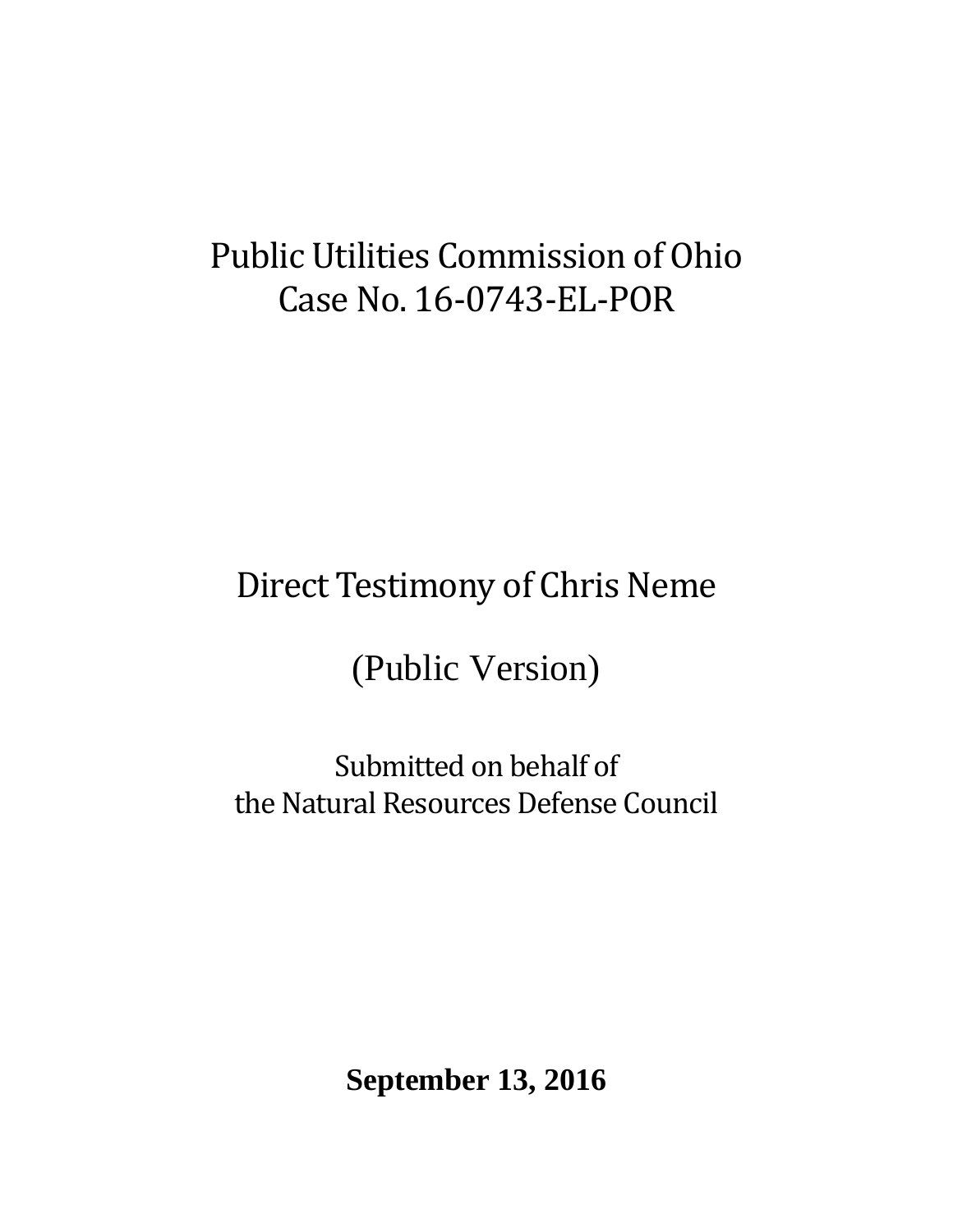# Public Utilities Commission of Ohio Case No. 16-0743-EL-POR

# Direct Testimony of Chris Neme

(Public Version)

Submitted on behalf of the Natural Resources Defense Council

**September 13, 2016**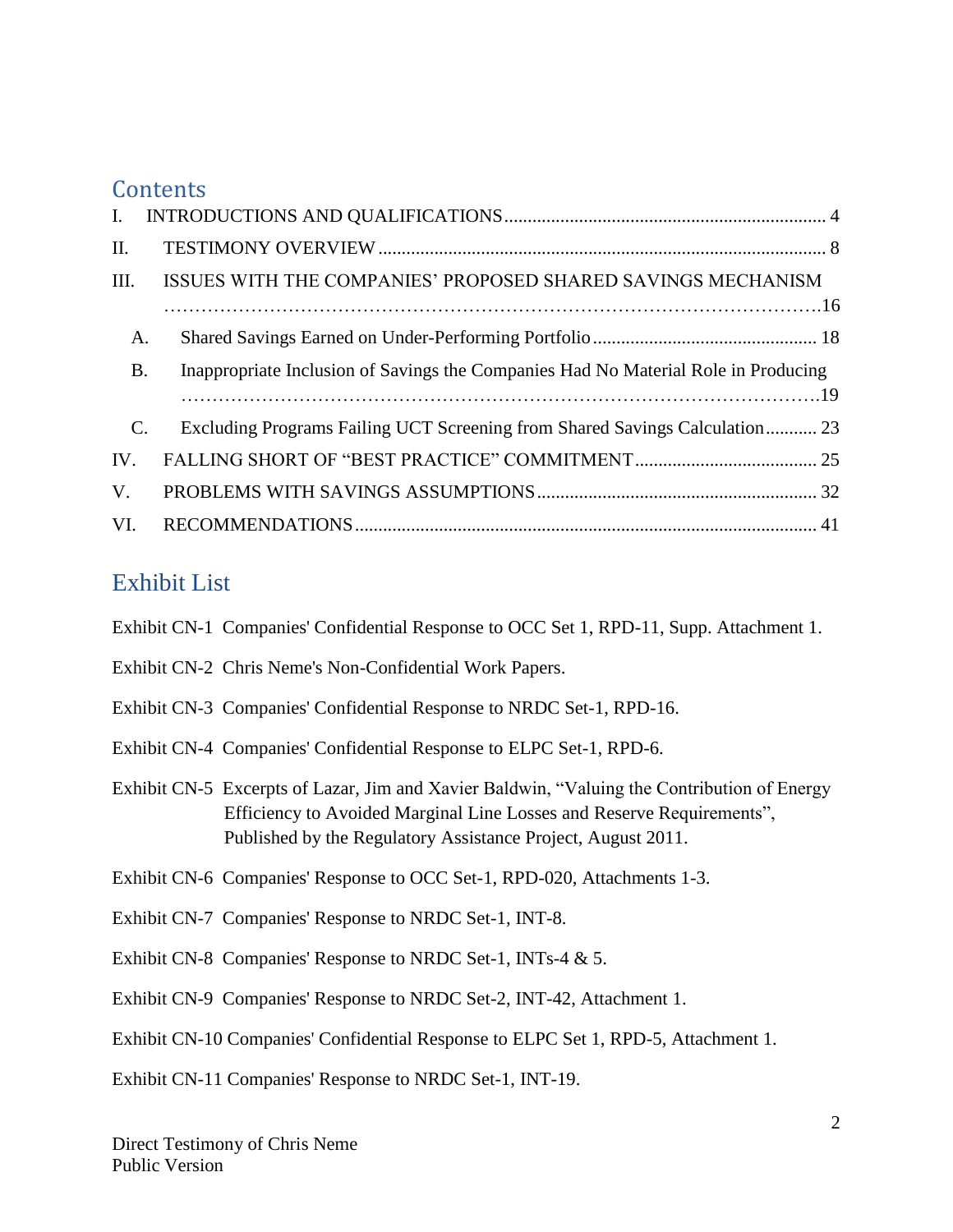# **Contents**

| $\mathbf{I}$ . |                                                                                    |  |
|----------------|------------------------------------------------------------------------------------|--|
| II.            |                                                                                    |  |
| III.           | ISSUES WITH THE COMPANIES' PROPOSED SHARED SAVINGS MECHANISM                       |  |
|                |                                                                                    |  |
| A.             |                                                                                    |  |
| <b>B.</b>      | Inappropriate Inclusion of Savings the Companies Had No Material Role in Producing |  |
|                |                                                                                    |  |
| $\mathbf{C}$ . | Excluding Programs Failing UCT Screening from Shared Savings Calculation 23        |  |
| IV.            |                                                                                    |  |
| $V_{\cdot}$    |                                                                                    |  |
| VI.            |                                                                                    |  |

# Exhibit List

| Exhibit CN-1 Companies' Confidential Response to OCC Set 1, RPD-11, Supp. Attachment 1. |  |  |  |  |
|-----------------------------------------------------------------------------------------|--|--|--|--|
|                                                                                         |  |  |  |  |

- Exhibit CN-2 Chris Neme's Non-Confidential Work Papers.
- Exhibit CN-3 Companies' Confidential Response to NRDC Set-1, RPD-16.
- Exhibit CN-4 Companies' Confidential Response to ELPC Set-1, RPD-6.
- Exhibit CN-5 Excerpts of Lazar, Jim and Xavier Baldwin, "Valuing the Contribution of Energy Efficiency to Avoided Marginal Line Losses and Reserve Requirements", Published by the Regulatory Assistance Project, August 2011.
- Exhibit CN-6 Companies' Response to OCC Set-1, RPD-020, Attachments 1-3.
- Exhibit CN-7 Companies' Response to NRDC Set-1, INT-8.
- Exhibit CN-8 Companies' Response to NRDC Set-1, INTs-4 & 5.
- Exhibit CN-9 Companies' Response to NRDC Set-2, INT-42, Attachment 1.
- Exhibit CN-10 Companies' Confidential Response to ELPC Set 1, RPD-5, Attachment 1.
- Exhibit CN-11 Companies' Response to NRDC Set-1, INT-19.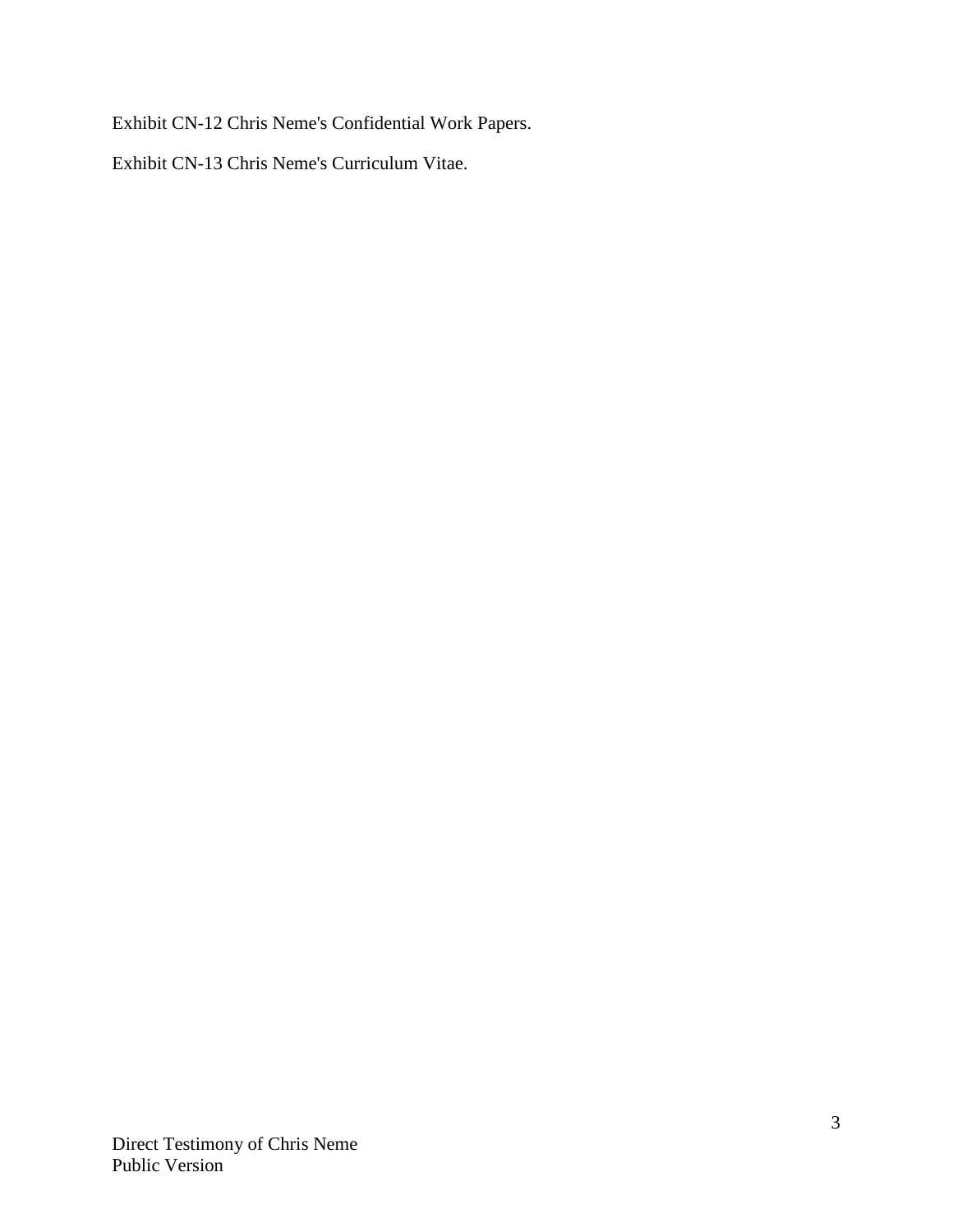Exhibit CN-12 Chris Neme's Confidential Work Papers.

Exhibit CN-13 Chris Neme's Curriculum Vitae.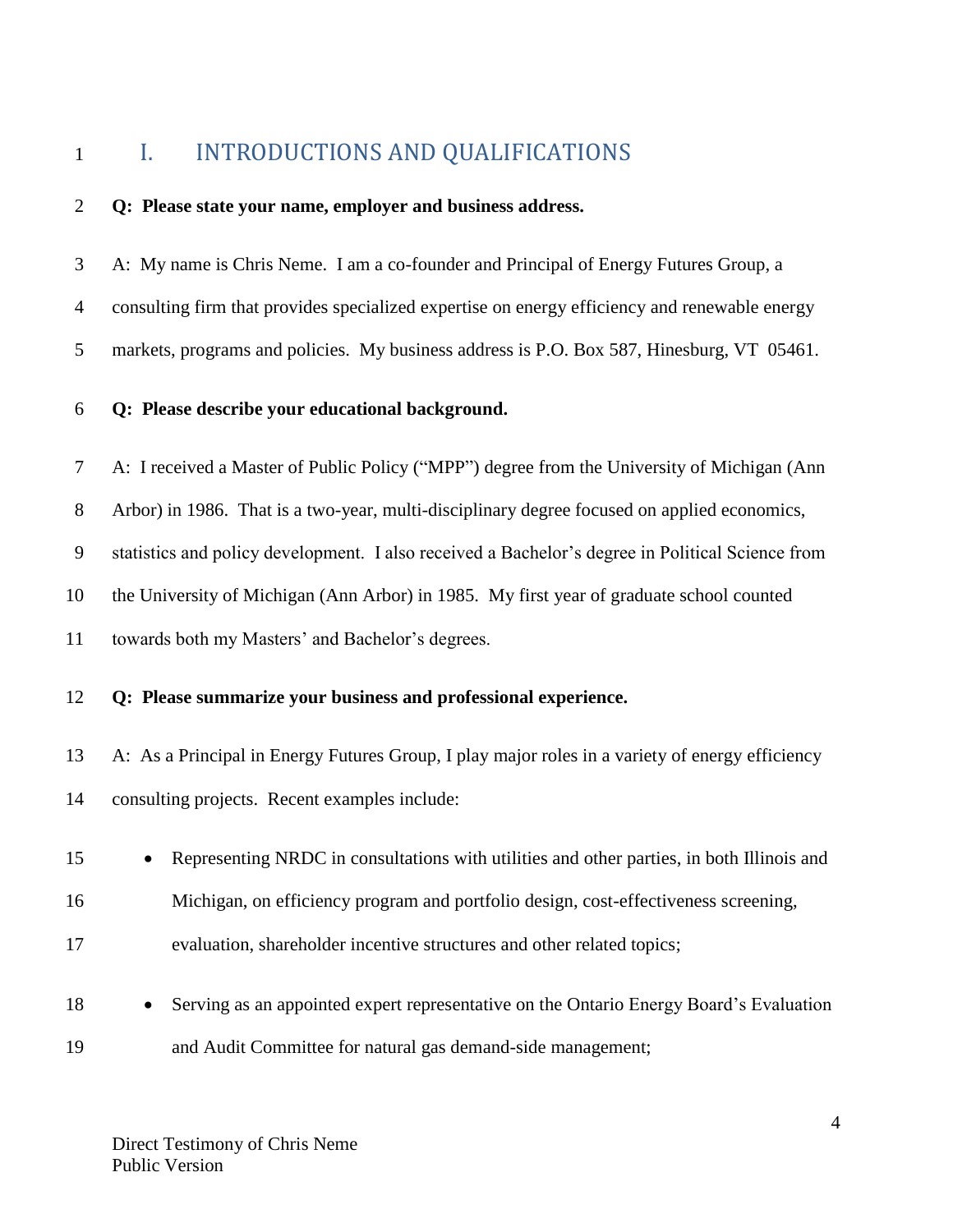# <span id="page-3-0"></span>1 I. INTRODUCTIONS AND QUALIFICATIONS

### **Q: Please state your name, employer and business address.**

 A: My name is Chris Neme. I am a co-founder and Principal of Energy Futures Group, a consulting firm that provides specialized expertise on energy efficiency and renewable energy markets, programs and policies. My business address is P.O. Box 587, Hinesburg, VT 05461.

### **Q: Please describe your educational background.**

 A: I received a Master of Public Policy ("MPP") degree from the University of Michigan (Ann Arbor) in 1986. That is a two-year, multi-disciplinary degree focused on applied economics, statistics and policy development. I also received a Bachelor's degree in Political Science from the University of Michigan (Ann Arbor) in 1985. My first year of graduate school counted towards both my Masters' and Bachelor's degrees.

### **Q: Please summarize your business and professional experience.**

 A: As a Principal in Energy Futures Group, I play major roles in a variety of energy efficiency consulting projects. Recent examples include:

| 15 |           | • Representing NRDC in consultations with utilities and other parties, in both Illinois and |
|----|-----------|---------------------------------------------------------------------------------------------|
| 16 |           | Michigan, on efficiency program and portfolio design, cost-effectiveness screening,         |
| 17 |           | evaluation, shareholder incentive structures and other related topics;                      |
| 18 | $\bullet$ | Serving as an appointed expert representative on the Ontario Energy Board's Evaluation      |

and Audit Committee for natural gas demand-side management;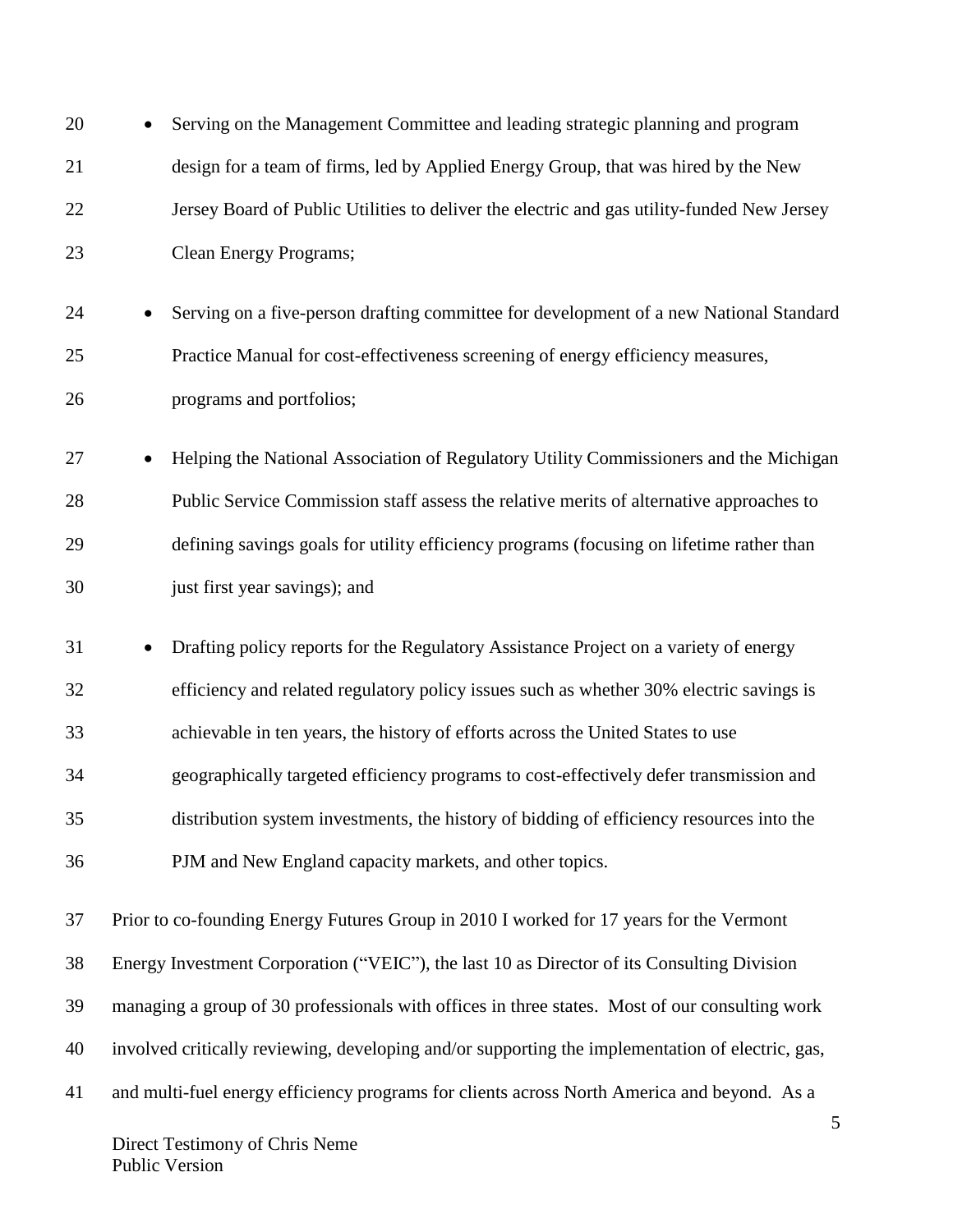| 20 |           | Serving on the Management Committee and leading strategic planning and program                   |
|----|-----------|--------------------------------------------------------------------------------------------------|
| 21 |           | design for a team of firms, led by Applied Energy Group, that was hired by the New               |
| 22 |           | Jersey Board of Public Utilities to deliver the electric and gas utility-funded New Jersey       |
| 23 |           | Clean Energy Programs;                                                                           |
| 24 | $\bullet$ | Serving on a five-person drafting committee for development of a new National Standard           |
| 25 |           | Practice Manual for cost-effectiveness screening of energy efficiency measures,                  |
| 26 |           | programs and portfolios;                                                                         |
| 27 | $\bullet$ | Helping the National Association of Regulatory Utility Commissioners and the Michigan            |
| 28 |           | Public Service Commission staff assess the relative merits of alternative approaches to          |
| 29 |           | defining savings goals for utility efficiency programs (focusing on lifetime rather than         |
| 30 |           | just first year savings); and                                                                    |
| 31 | $\bullet$ | Drafting policy reports for the Regulatory Assistance Project on a variety of energy             |
| 32 |           | efficiency and related regulatory policy issues such as whether 30% electric savings is          |
| 33 |           | achievable in ten years, the history of efforts across the United States to use                  |
| 34 |           | geographically targeted efficiency programs to cost-effectively defer transmission and           |
| 35 |           | distribution system investments, the history of bidding of efficiency resources into the         |
| 36 |           | PJM and New England capacity markets, and other topics.                                          |
| 37 |           | Prior to co-founding Energy Futures Group in 2010 I worked for 17 years for the Vermont          |
| 38 |           | Energy Investment Corporation ("VEIC"), the last 10 as Director of its Consulting Division       |
| 39 |           | managing a group of 30 professionals with offices in three states. Most of our consulting work   |
| 40 |           | involved critically reviewing, developing and/or supporting the implementation of electric, gas, |
| 41 |           | and multi-fuel energy efficiency programs for clients across North America and beyond. As a      |
|    |           | 5                                                                                                |

Direct Testimony of Chris Neme Public Version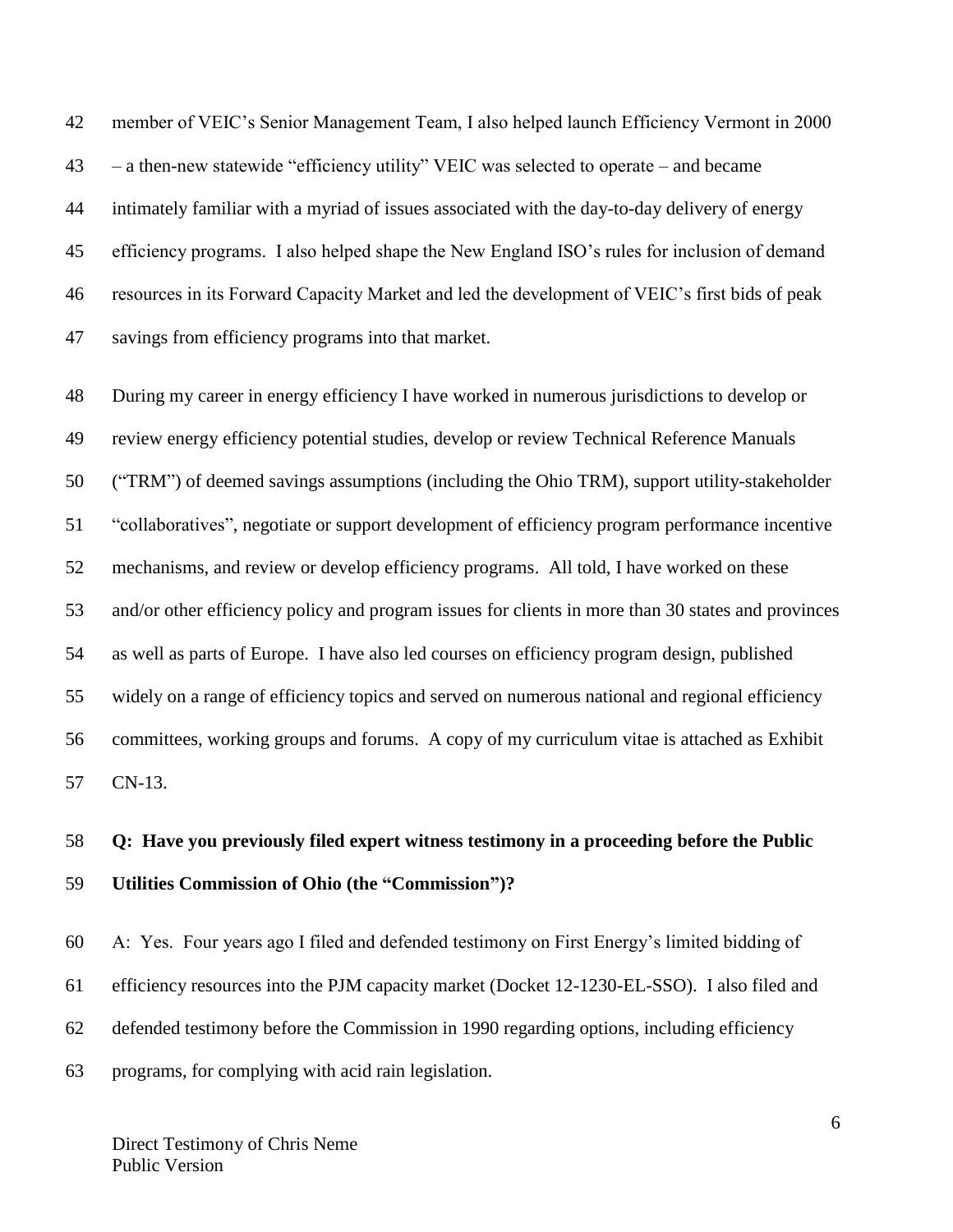member of VEIC's Senior Management Team, I also helped launch Efficiency Vermont in 2000 – a then-new statewide "efficiency utility" VEIC was selected to operate – and became intimately familiar with a myriad of issues associated with the day-to-day delivery of energy efficiency programs. I also helped shape the New England ISO's rules for inclusion of demand resources in its Forward Capacity Market and led the development of VEIC's first bids of peak savings from efficiency programs into that market.

 During my career in energy efficiency I have worked in numerous jurisdictions to develop or review energy efficiency potential studies, develop or review Technical Reference Manuals ("TRM") of deemed savings assumptions (including the Ohio TRM), support utility-stakeholder "collaboratives", negotiate or support development of efficiency program performance incentive mechanisms, and review or develop efficiency programs. All told, I have worked on these and/or other efficiency policy and program issues for clients in more than 30 states and provinces as well as parts of Europe. I have also led courses on efficiency program design, published widely on a range of efficiency topics and served on numerous national and regional efficiency committees, working groups and forums. A copy of my curriculum vitae is attached as Exhibit CN-13.

# **Q: Have you previously filed expert witness testimony in a proceeding before the Public Utilities Commission of Ohio (the "Commission")?**

 A: Yes. Four years ago I filed and defended testimony on First Energy's limited bidding of efficiency resources into the PJM capacity market (Docket 12-1230-EL-SSO). I also filed and defended testimony before the Commission in 1990 regarding options, including efficiency programs, for complying with acid rain legislation.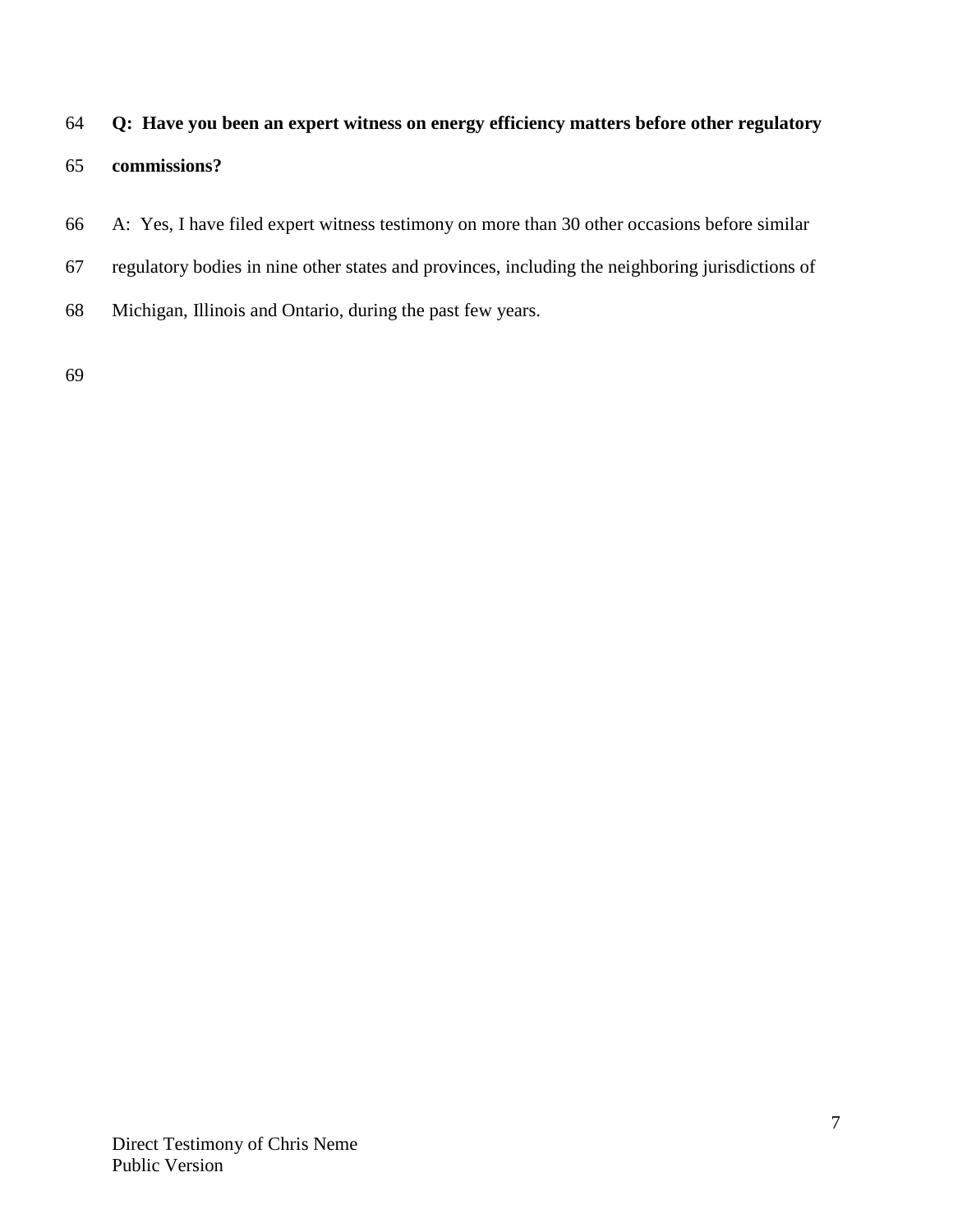# **Q: Have you been an expert witness on energy efficiency matters before other regulatory**

### **commissions?**

- A: Yes, I have filed expert witness testimony on more than 30 other occasions before similar
- regulatory bodies in nine other states and provinces, including the neighboring jurisdictions of
- Michigan, Illinois and Ontario, during the past few years.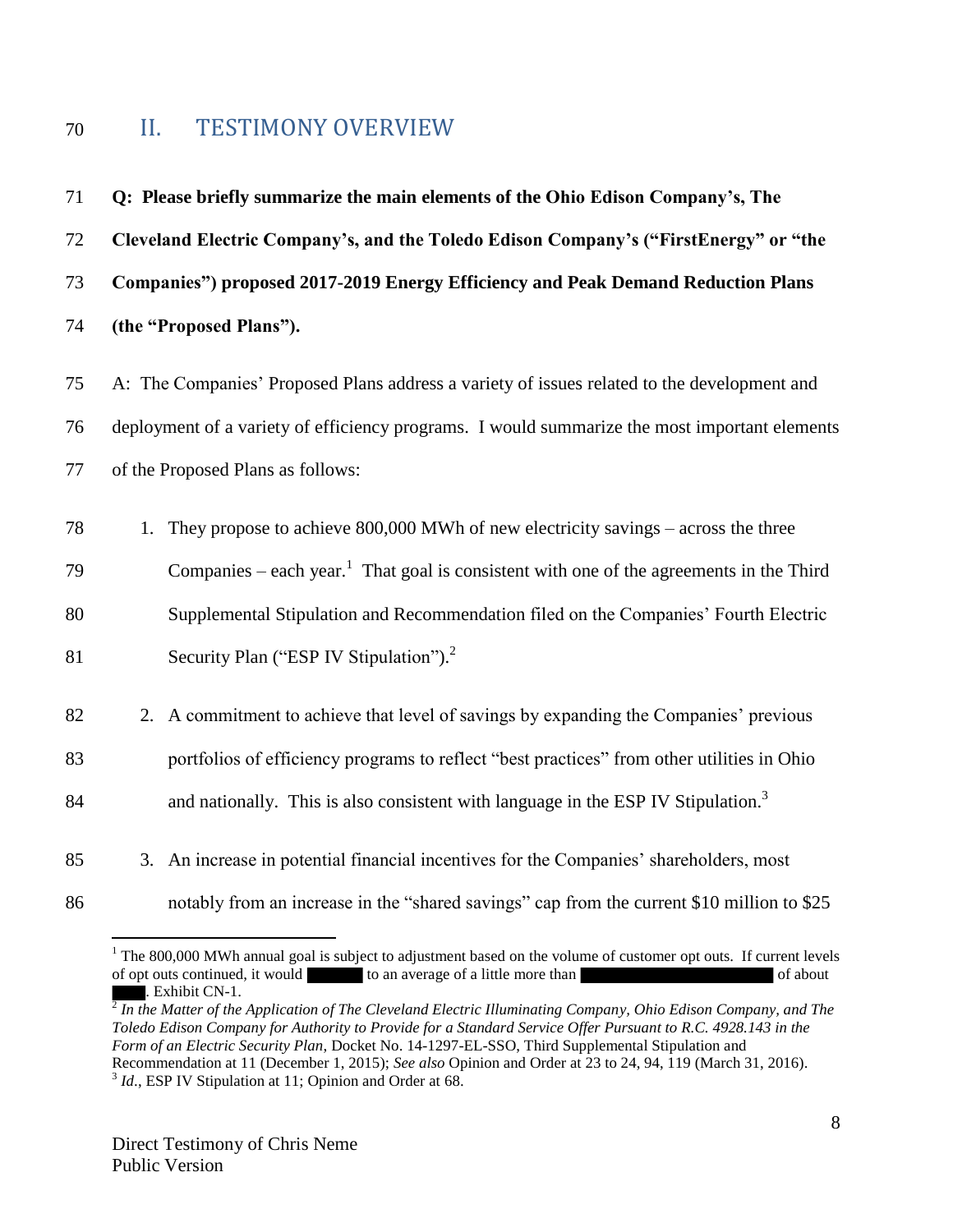# <span id="page-7-0"></span>II. TESTIMONY OVERVIEW

 **Q: Please briefly summarize the main elements of the Ohio Edison Company's, The Cleveland Electric Company's, and the Toledo Edison Company's ("FirstEnergy" or "the Companies") proposed 2017-2019 Energy Efficiency and Peak Demand Reduction Plans (the "Proposed Plans").**

 A: The Companies' Proposed Plans address a variety of issues related to the development and deployment of a variety of efficiency programs. I would summarize the most important elements of the Proposed Plans as follows:

1. They propose to achieve 800,000 MWh of new electricity savings – across the three

Companies – each year.<sup>1</sup> That goal is consistent with one of the agreements in the Third

Supplemental Stipulation and Recommendation filed on the Companies' Fourth Electric

- 81 Security Plan ("ESP IV Stipulation").<sup>2</sup>
- 2. A commitment to achieve that level of savings by expanding the Companies' previous portfolios of efficiency programs to reflect "best practices" from other utilities in Ohio
- and nationally. This is also consistent with language in the ESP IV Stipulation.<sup>3</sup>
- 3. An increase in potential financial incentives for the Companies' shareholders, most
- 

 $\overline{a}$ 

notably from an increase in the "shared savings" cap from the current \$10 million to \$25

 The 800,000 MWh annual goal is subject to adjustment based on the volume of customer opt outs. If current levels of opt outs continued, it would to an average of a little more than of about of about . Exhibit CN-1.

 *In the Matter of the Application of The Cleveland Electric Illuminating Company, Ohio Edison Company, and The Toledo Edison Company for Authority to Provide for a Standard Service Offer Pursuant to R.C. 4928.143 in the Form of an Electric Security Plan*, Docket No. 14-1297-EL-SSO, Third Supplemental Stipulation and Recommendation at 11 (December 1, 2015); *See also* Opinion and Order at 23 to 24, 94, 119 (March 31, 2016). <sup>3</sup> Id., ESP IV Stipulation at 11; Opinion and Order at 68.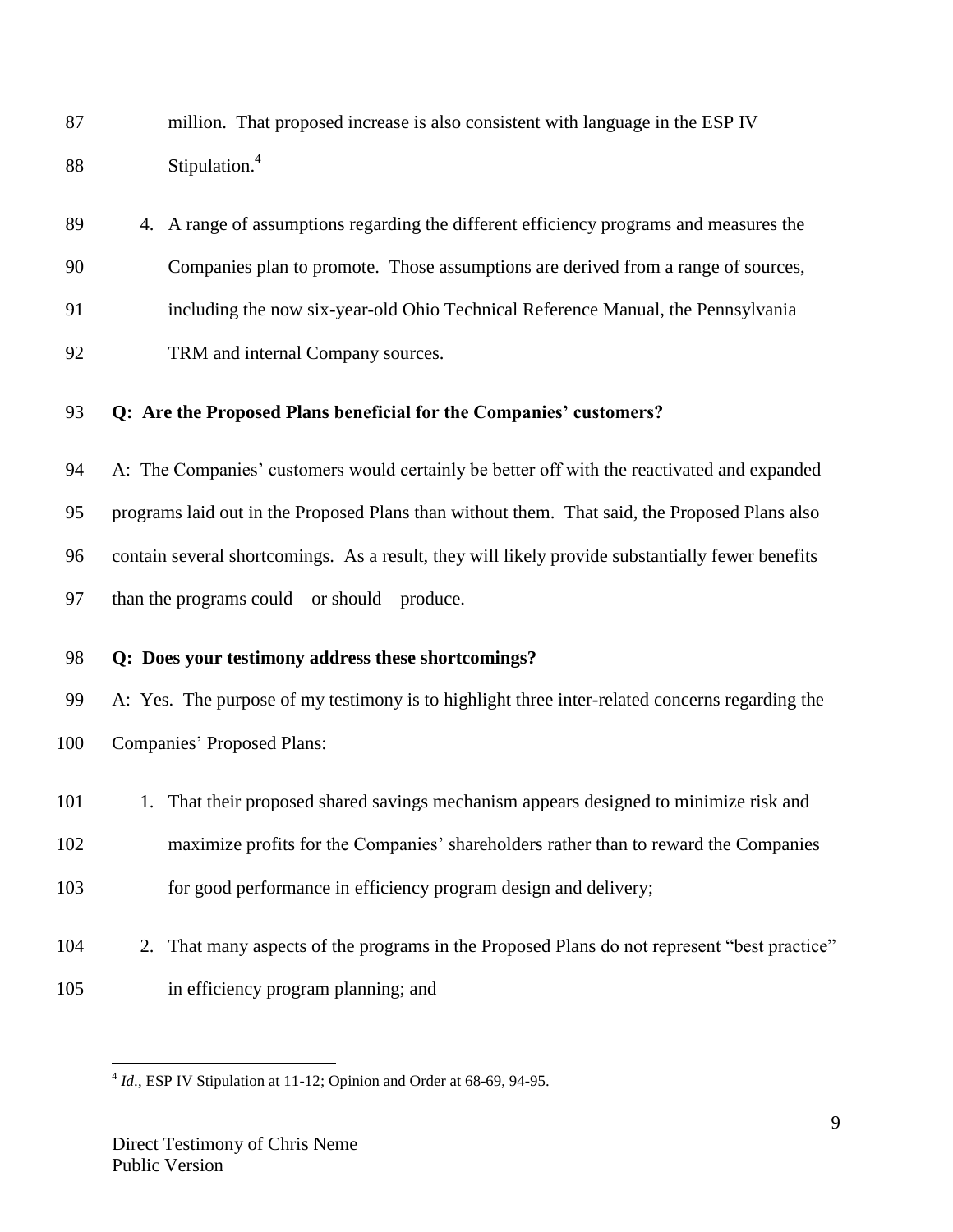million. That proposed increase is also consistent with language in the ESP IV Stipulation.<sup>4</sup> 

- 4. A range of assumptions regarding the different efficiency programs and measures the Companies plan to promote. Those assumptions are derived from a range of sources, including the now six-year-old Ohio Technical Reference Manual, the Pennsylvania
- 92 TRM and internal Company sources.

### **Q: Are the Proposed Plans beneficial for the Companies' customers?**

 A: The Companies' customers would certainly be better off with the reactivated and expanded programs laid out in the Proposed Plans than without them. That said, the Proposed Plans also contain several shortcomings. As a result, they will likely provide substantially fewer benefits 97 than the programs could – or should – produce.

### **Q: Does your testimony address these shortcomings?**

 A: Yes. The purpose of my testimony is to highlight three inter-related concerns regarding the Companies' Proposed Plans:

- 101 1. That their proposed shared savings mechanism appears designed to minimize risk and
- maximize profits for the Companies' shareholders rather than to reward the Companies
- 103 for good performance in efficiency program design and delivery;
- 2. That many aspects of the programs in the Proposed Plans do not represent "best practice" in efficiency program planning; and

 $\overline{a}$ <sup>4</sup> *Id.*, ESP IV Stipulation at 11-12; Opinion and Order at 68-69, 94-95.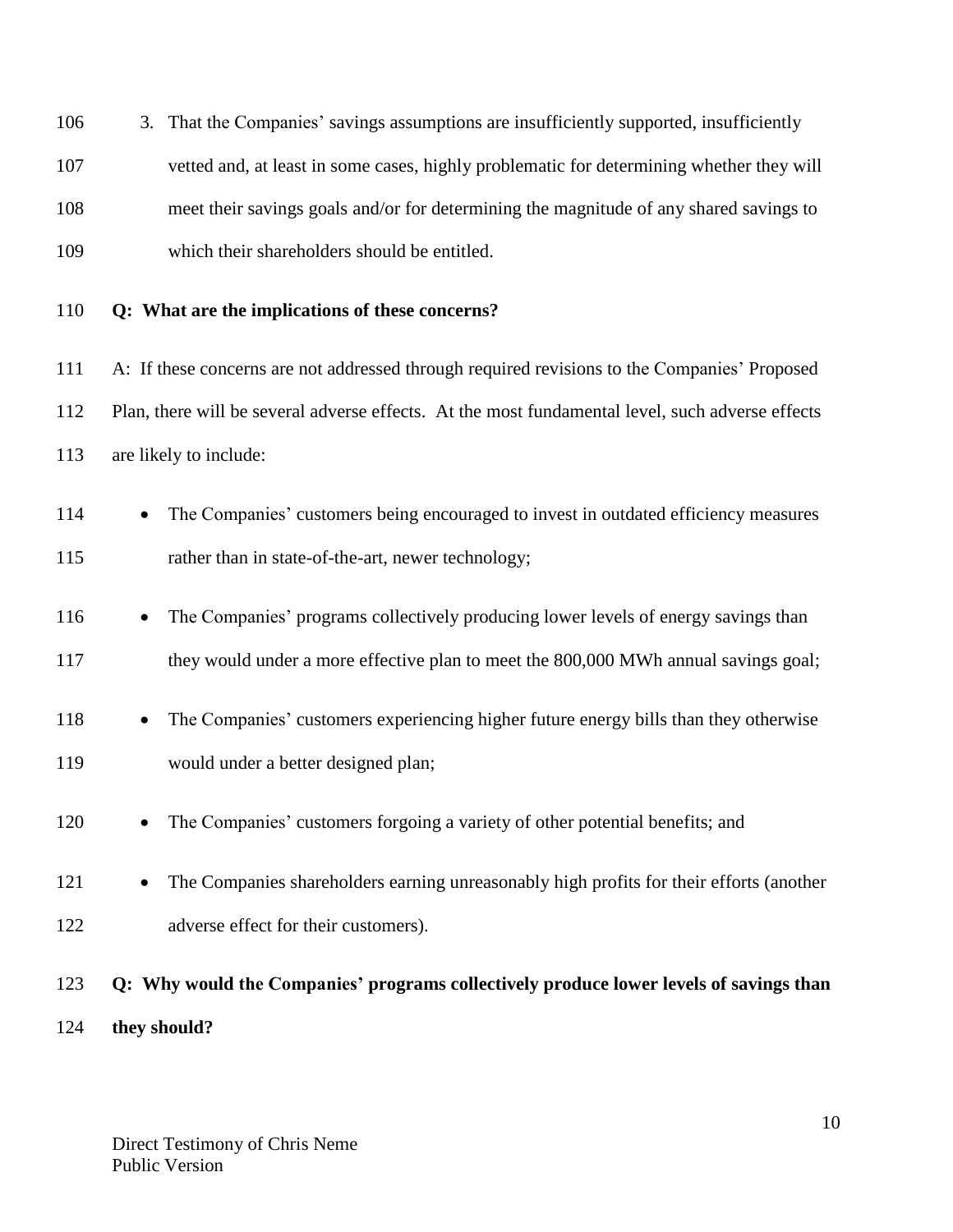| 106        | 3. That the Companies' savings assumptions are insufficiently supported, insufficiently                                                   |
|------------|-------------------------------------------------------------------------------------------------------------------------------------------|
| 107        | vetted and, at least in some cases, highly problematic for determining whether they will                                                  |
| 108        | meet their savings goals and/or for determining the magnitude of any shared savings to                                                    |
| 109        | which their shareholders should be entitled.                                                                                              |
| 110        | Q: What are the implications of these concerns?                                                                                           |
| 111        | A: If these concerns are not addressed through required revisions to the Companies' Proposed                                              |
| 112        | Plan, there will be several adverse effects. At the most fundamental level, such adverse effects                                          |
| 113        | are likely to include:                                                                                                                    |
| 114<br>115 | The Companies' customers being encouraged to invest in outdated efficiency measures<br>rather than in state-of-the-art, newer technology; |
| 116        | The Companies' programs collectively producing lower levels of energy savings than<br>$\bullet$                                           |
| 117        | they would under a more effective plan to meet the 800,000 MWh annual savings goal;                                                       |
| 118        | The Companies' customers experiencing higher future energy bills than they otherwise<br>$\bullet$                                         |
| 119        | would under a better designed plan;                                                                                                       |
| 120        | The Companies' customers forgoing a variety of other potential benefits; and                                                              |
| 121        | The Companies shareholders earning unreasonably high profits for their efforts (another                                                   |
| 122        | adverse effect for their customers).                                                                                                      |
| 123        | Q: Why would the Companies' programs collectively produce lower levels of savings than                                                    |
| 124        | they should?                                                                                                                              |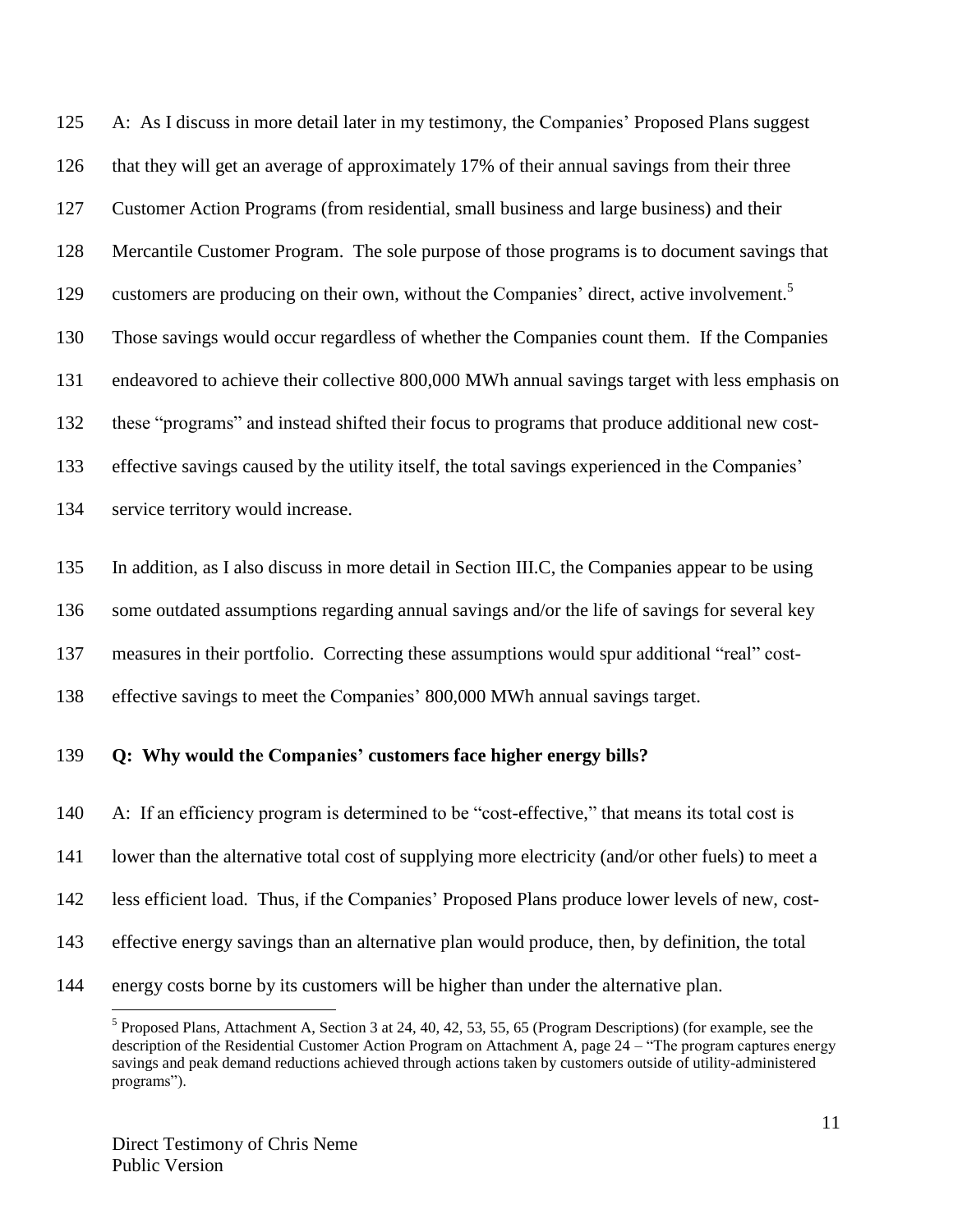A: As I discuss in more detail later in my testimony, the Companies' Proposed Plans suggest that they will get an average of approximately 17% of their annual savings from their three Customer Action Programs (from residential, small business and large business) and their Mercantile Customer Program. The sole purpose of those programs is to document savings that 129 customers are producing on their own, without the Companies' direct, active involvement.<sup>5</sup> Those savings would occur regardless of whether the Companies count them. If the Companies endeavored to achieve their collective 800,000 MWh annual savings target with less emphasis on these "programs" and instead shifted their focus to programs that produce additional new cost- effective savings caused by the utility itself, the total savings experienced in the Companies' service territory would increase.

 In addition, as I also discuss in more detail in Section III.C, the Companies appear to be using some outdated assumptions regarding annual savings and/or the life of savings for several key measures in their portfolio. Correcting these assumptions would spur additional "real" cost-effective savings to meet the Companies' 800,000 MWh annual savings target.

#### **Q: Why would the Companies' customers face higher energy bills?**

 A: If an efficiency program is determined to be "cost-effective," that means its total cost is lower than the alternative total cost of supplying more electricity (and/or other fuels) to meet a less efficient load. Thus, if the Companies' Proposed Plans produce lower levels of new, cost- effective energy savings than an alternative plan would produce, then, by definition, the total energy costs borne by its customers will be higher than under the alternative plan.

 $<sup>5</sup>$  Proposed Plans, Attachment A, Section 3 at 24, 40, 42, 53, 55, 65 (Program Descriptions) (for example, see the</sup> description of the Residential Customer Action Program on Attachment A, page 24 – "The program captures energy savings and peak demand reductions achieved through actions taken by customers outside of utility-administered programs").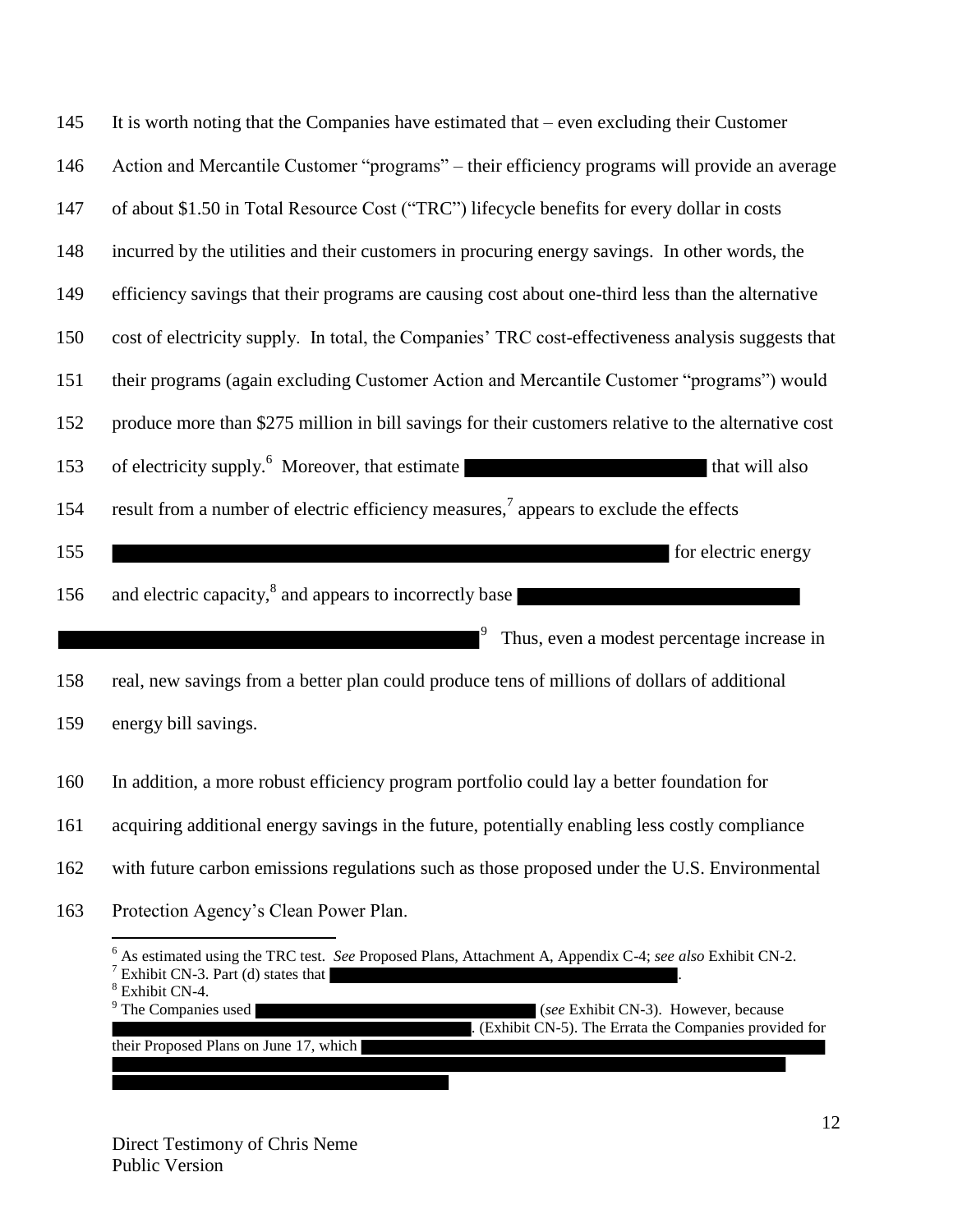| 145 | It is worth noting that the Companies have estimated that $-$ even excluding their Customer                                                                                                                                                                              |
|-----|--------------------------------------------------------------------------------------------------------------------------------------------------------------------------------------------------------------------------------------------------------------------------|
| 146 | Action and Mercantile Customer "programs" – their efficiency programs will provide an average                                                                                                                                                                            |
| 147 | of about \$1.50 in Total Resource Cost ("TRC") lifecycle benefits for every dollar in costs                                                                                                                                                                              |
| 148 | incurred by the utilities and their customers in procuring energy savings. In other words, the                                                                                                                                                                           |
| 149 | efficiency savings that their programs are causing cost about one-third less than the alternative                                                                                                                                                                        |
| 150 | cost of electricity supply. In total, the Companies' TRC cost-effectiveness analysis suggests that                                                                                                                                                                       |
| 151 | their programs (again excluding Customer Action and Mercantile Customer "programs") would                                                                                                                                                                                |
| 152 | produce more than \$275 million in bill savings for their customers relative to the alternative cost                                                                                                                                                                     |
| 153 | of electricity supply. <sup>6</sup> Moreover, that estimate<br>that will also                                                                                                                                                                                            |
| 154 | result from a number of electric efficiency measures, <sup>7</sup> appears to exclude the effects                                                                                                                                                                        |
| 155 | for electric energy                                                                                                                                                                                                                                                      |
| 156 | and electric capacity, <sup>8</sup> and appears to incorrectly base                                                                                                                                                                                                      |
|     | $\mathsf{I}^9$<br>Thus, even a modest percentage increase in                                                                                                                                                                                                             |
| 158 | real, new savings from a better plan could produce tens of millions of dollars of additional                                                                                                                                                                             |
| 159 | energy bill savings.                                                                                                                                                                                                                                                     |
| 160 | In addition, a more robust efficiency program portfolio could lay a better foundation for                                                                                                                                                                                |
| 161 | acquiring additional energy savings in the future, potentially enabling less costly compliance                                                                                                                                                                           |
| 162 | with future carbon emissions regulations such as those proposed under the U.S. Environmental                                                                                                                                                                             |
| 163 | Protection Agency's Clean Power Plan.                                                                                                                                                                                                                                    |
|     | $6$ As estimated using the TRC test. See Proposed Plans, Attachment A, Appendix C-4; see also Exhibit CN-2.<br>$\frac{7}{7}$ Exhibit CN-3. Part (d) states that<br><sup>8</sup> Exhibit CN-4.<br><sup>9</sup> The Companies used<br>(see Exhibit CN-3). However, because |

. (Exhibit CN-5). The Errata the Companies provided for

their Proposed Plans on June 17, which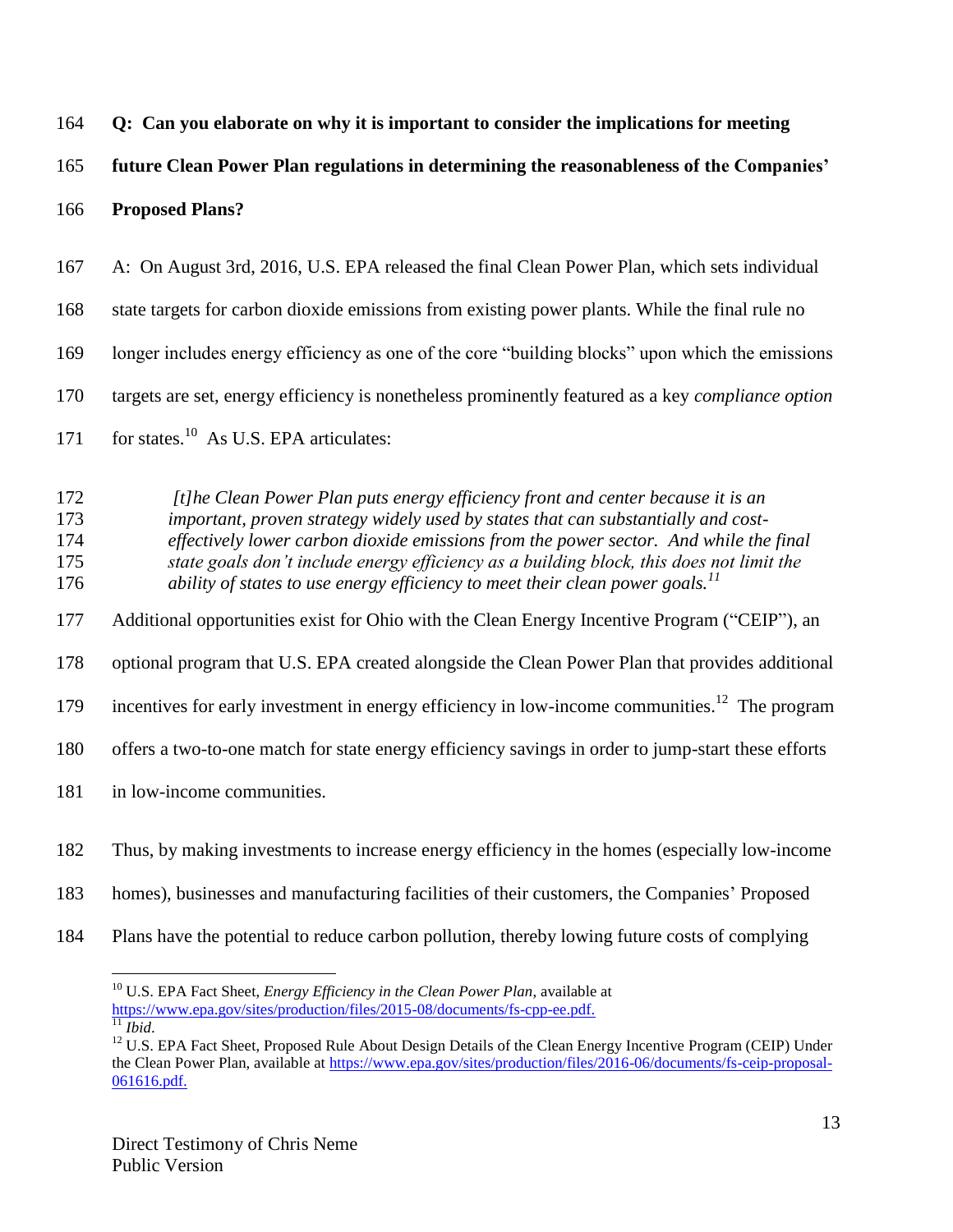|  | 164 Q: Can you elaborate on why it is important to consider the implications for meeting |  |  |  |
|--|------------------------------------------------------------------------------------------|--|--|--|
|  |                                                                                          |  |  |  |

### **future Clean Power Plan regulations in determining the reasonableness of the Companies'**

#### **Proposed Plans?**

A: On August 3rd, 2016, U.S. EPA released the final Clean Power Plan, which sets individual

state targets for carbon dioxide emissions from existing power plants. While the final rule no

longer includes energy efficiency as one of the core "building blocks" upon which the emissions

targets are set, energy efficiency is nonetheless prominently featured as a key *compliance option*

171 for states.<sup>10</sup> As U.S. EPA articulates:

 *[t]he Clean Power Plan puts energy efficiency front and center because it is an important, proven strategy widely used by states that can substantially and cost- effectively lower carbon dioxide emissions from the power sector. And while the final state goals don't include energy efficiency as a building block, this does not limit the ability of states to use energy efficiency to meet their clean power goals.<sup>11</sup>*

Additional opportunities exist for Ohio with the Clean Energy Incentive Program ("CEIP"), an

optional program that U.S. EPA created alongside the Clean Power Plan that provides additional

179 incentives for early investment in energy efficiency in low-income communities.<sup>12</sup> The program

offers a two-to-one match for state energy efficiency savings in order to jump-start these efforts

in low-income communities.

- homes), businesses and manufacturing facilities of their customers, the Companies' Proposed
- Plans have the potential to reduce carbon pollution, thereby lowing future costs of complying

Thus, by making investments to increase energy efficiency in the homes (especially low-income

<sup>&</sup>lt;sup>10</sup> U.S. EPA Fact Sheet, *Energy Efficiency in the Clean Power Plan*, available at [https://www.epa.gov/sites/production/files/2015-08/documents/fs-cpp-ee.pdf.](https://www.epa.gov/sites/production/files/2015-08/documents/fs-cpp-ee.pdf)  $\frac{11}{11}$ *Ibid.* 

<sup>&</sup>lt;sup>12</sup> U.S. EPA Fact Sheet, Proposed Rule About Design Details of the Clean Energy Incentive Program (CEIP) Under the Clean Power Plan, available a[t https://www.epa.gov/sites/production/files/2016-06/documents/fs-ceip-proposal-](https://www.epa.gov/sites/production/files/2016-06/documents/fs-ceip-proposal-061616.pdf)[061616.pdf.](https://www.epa.gov/sites/production/files/2016-06/documents/fs-ceip-proposal-061616.pdf)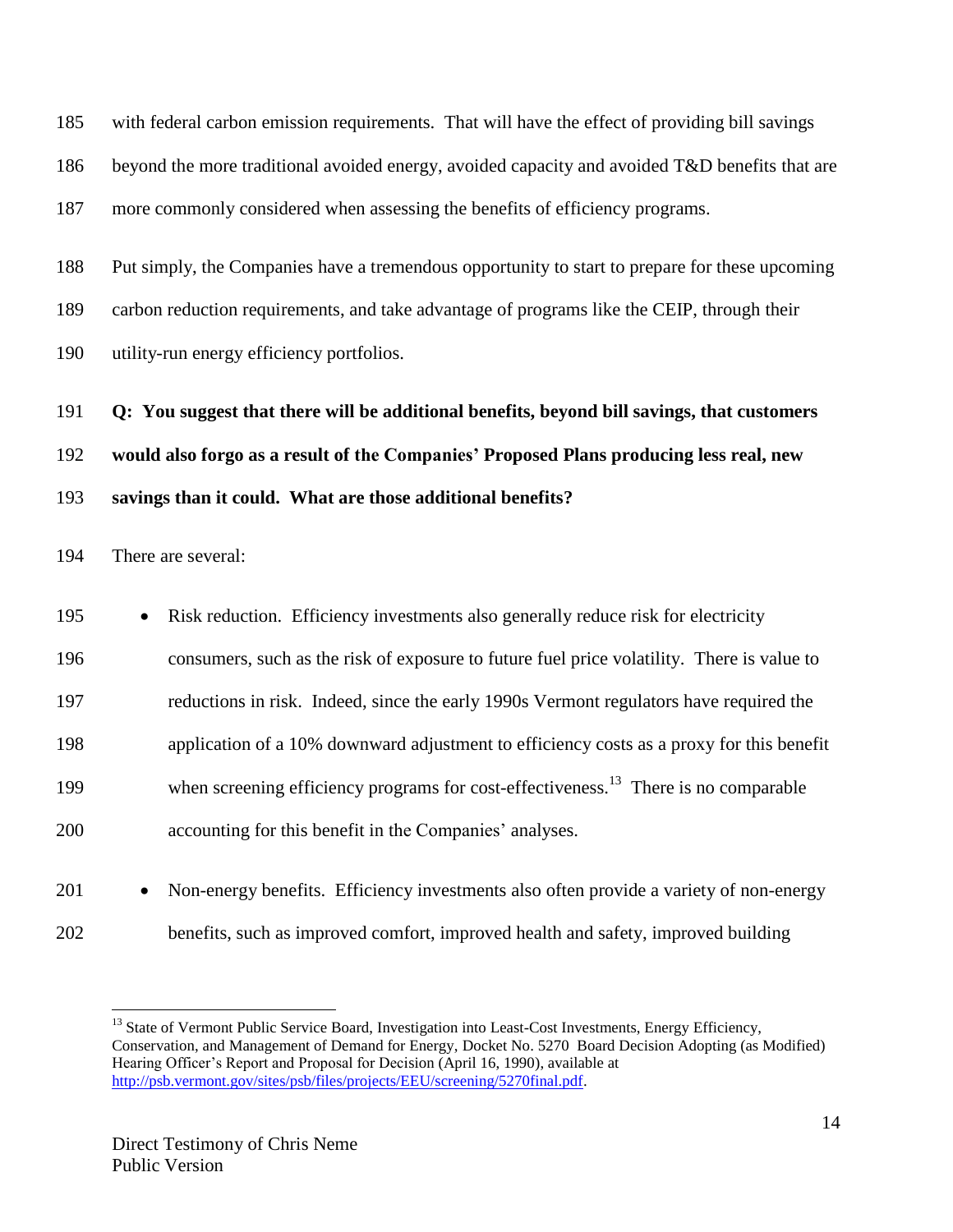with federal carbon emission requirements. That will have the effect of providing bill savings beyond the more traditional avoided energy, avoided capacity and avoided T&D benefits that are more commonly considered when assessing the benefits of efficiency programs.

 Put simply, the Companies have a tremendous opportunity to start to prepare for these upcoming carbon reduction requirements, and take advantage of programs like the CEIP, through their utility-run energy efficiency portfolios.

**Q: You suggest that there will be additional benefits, beyond bill savings, that customers** 

**would also forgo as a result of the Companies' Proposed Plans producing less real, new** 

**savings than it could. What are those additional benefits?**

There are several:

| 195 | $\bullet$ | Risk reduction. Efficiency investments also generally reduce risk for electricity               |
|-----|-----------|-------------------------------------------------------------------------------------------------|
| 196 |           | consumers, such as the risk of exposure to future fuel price volatility. There is value to      |
| 197 |           | reductions in risk. Indeed, since the early 1990s Vermont regulators have required the          |
| 198 |           | application of a 10% downward adjustment to efficiency costs as a proxy for this benefit        |
| 199 |           | when screening efficiency programs for cost-effectiveness. <sup>13</sup> There is no comparable |
| 200 |           | accounting for this benefit in the Companies' analyses.                                         |
|     |           |                                                                                                 |

201 • Non-energy benefits. Efficiency investments also often provide a variety of non-energy benefits, such as improved comfort, improved health and safety, improved building

 $\overline{a}$ <sup>13</sup> State of Vermont Public Service Board, Investigation into Least-Cost Investments, Energy Efficiency, Conservation, and Management of Demand for Energy, Docket No. 5270 Board Decision Adopting (as Modified) Hearing Officer's Report and Proposal for Decision (April 16, 1990), available at [http://psb.vermont.gov/sites/psb/files/projects/EEU/screening/5270final.pdf.](http://psb.vermont.gov/sites/psb/files/projects/EEU/screening/5270final.pdf)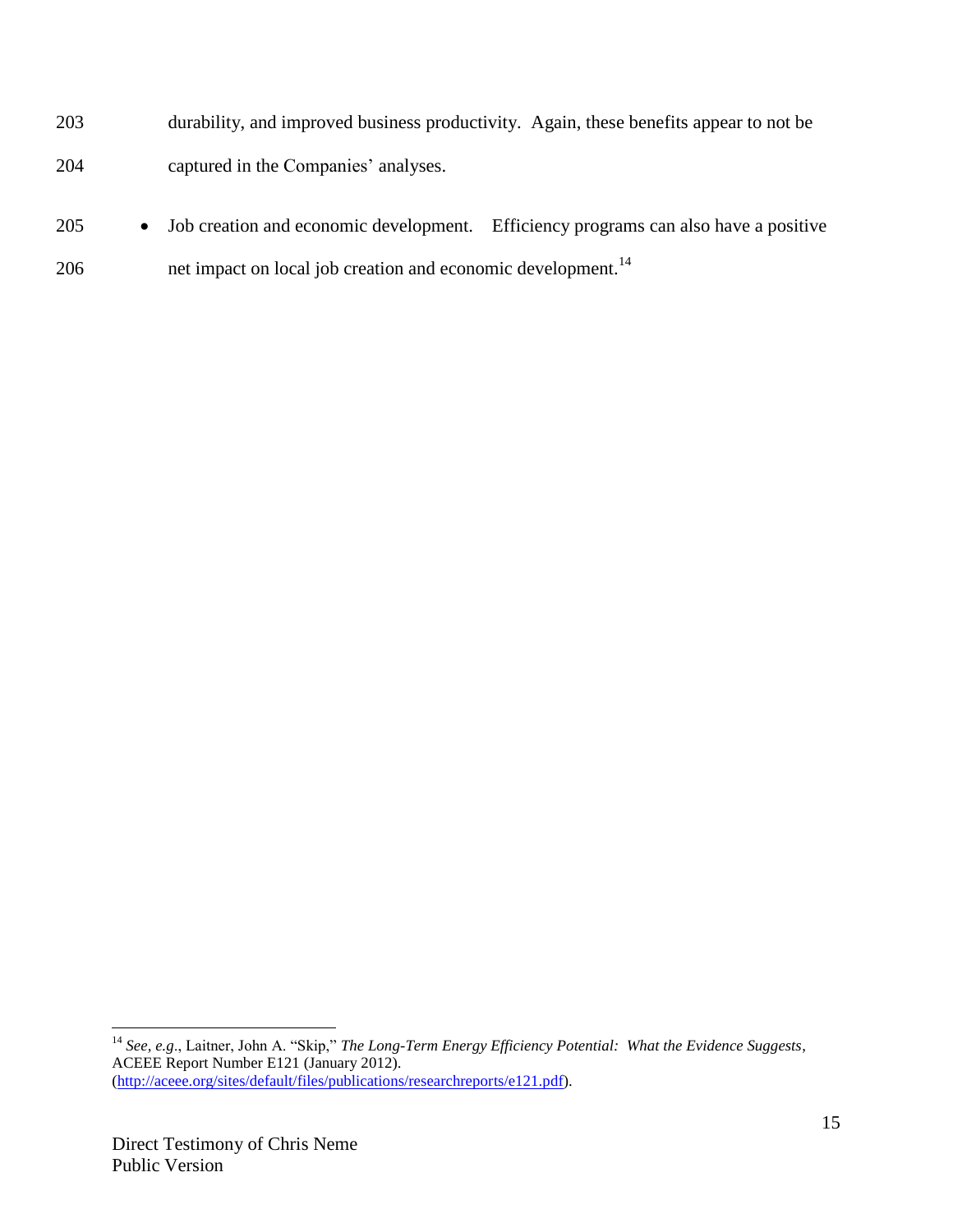| 203 | durability, and improved business productivity. Again, these benefits appear to not be |
|-----|----------------------------------------------------------------------------------------|
| 204 | captured in the Companies' analyses.                                                   |

205 • Job creation and economic development. Efficiency programs can also have a positive 206 net impact on local job creation and economic development.<sup>14</sup>

<sup>14</sup> *See, e.g*., Laitner, John A. "Skip," *The Long-Term Energy Efficiency Potential: What the Evidence Suggests*, ACEEE Report Number E121 (January 2012). [\(http://aceee.org/sites/default/files/publications/researchreports/e121.pdf\)](http://aceee.org/sites/default/files/publications/researchreports/e121.pdf).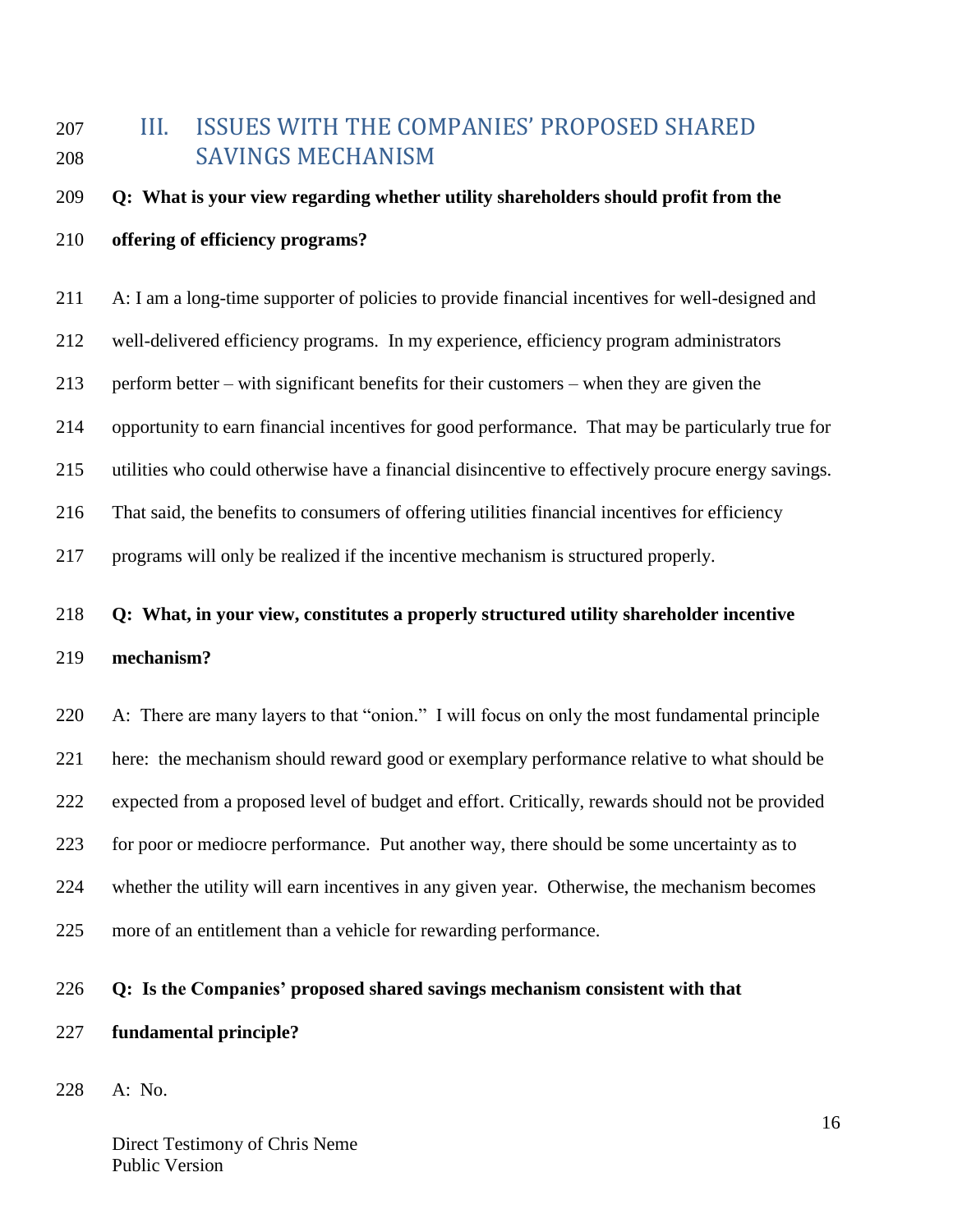# <span id="page-15-0"></span> III. ISSUES WITH THE COMPANIES' PROPOSED SHARED SAVINGS MECHANISM

#### **Q: What is your view regarding whether utility shareholders should profit from the**

#### **offering of efficiency programs?**

A: I am a long-time supporter of policies to provide financial incentives for well-designed and

well-delivered efficiency programs. In my experience, efficiency program administrators

perform better – with significant benefits for their customers – when they are given the

opportunity to earn financial incentives for good performance. That may be particularly true for

utilities who could otherwise have a financial disincentive to effectively procure energy savings.

That said, the benefits to consumers of offering utilities financial incentives for efficiency

programs will only be realized if the incentive mechanism is structured properly.

#### **Q: What, in your view, constitutes a properly structured utility shareholder incentive**

#### **mechanism?**

 A: There are many layers to that "onion." I will focus on only the most fundamental principle here: the mechanism should reward good or exemplary performance relative to what should be expected from a proposed level of budget and effort. Critically, rewards should not be provided for poor or mediocre performance. Put another way, there should be some uncertainty as to whether the utility will earn incentives in any given year. Otherwise, the mechanism becomes more of an entitlement than a vehicle for rewarding performance.

#### **Q: Is the Companies' proposed shared savings mechanism consistent with that**

#### **fundamental principle?**

A: No.

Direct Testimony of Chris Neme Public Version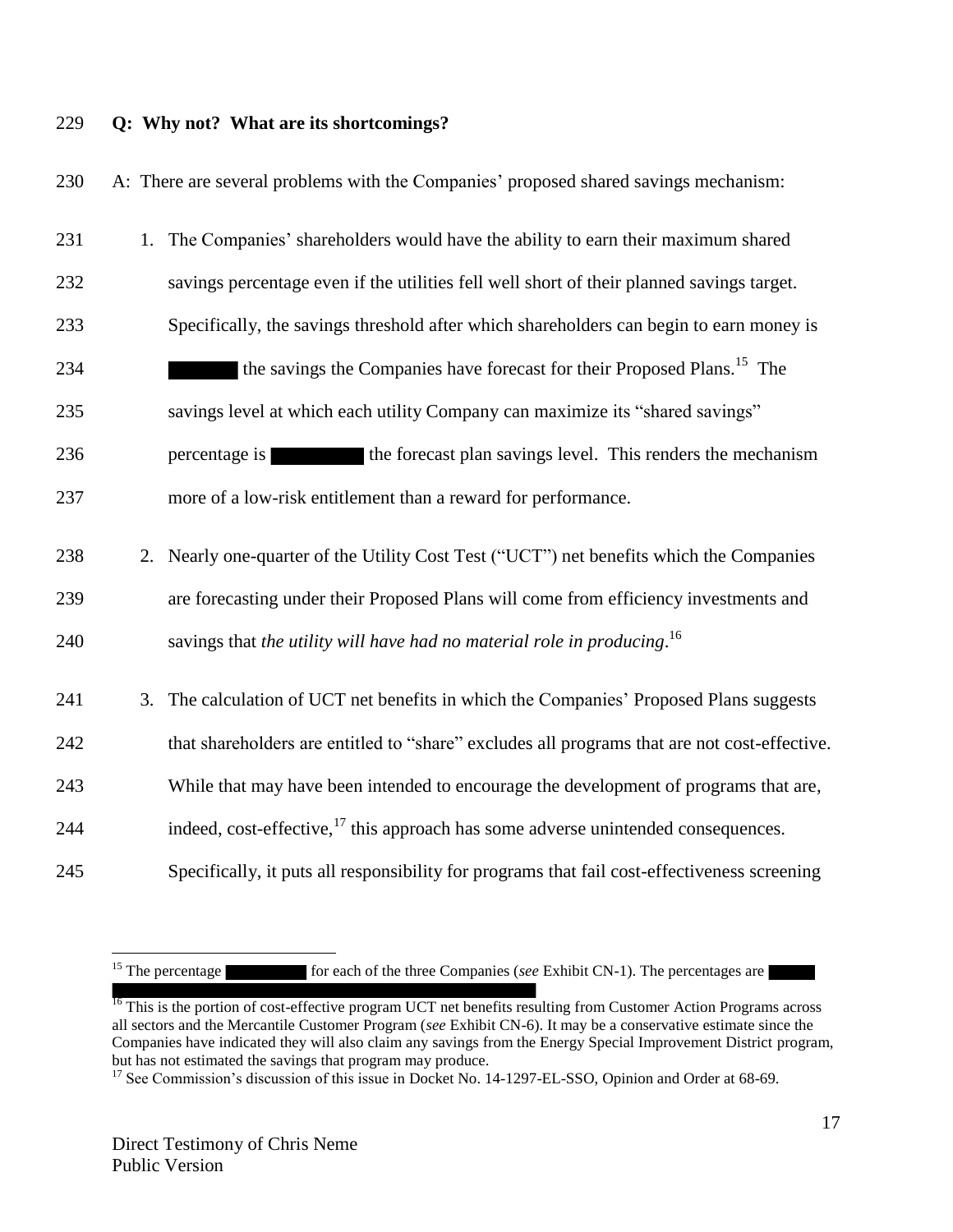### 229 **Q: Why not? What are its shortcomings?**

230 A: There are several problems with the Companies' proposed shared savings mechanism:

| 231 | 1. The Companies' shareholders would have the ability to earn their maximum shared            |
|-----|-----------------------------------------------------------------------------------------------|
| 232 | savings percentage even if the utilities fell well short of their planned savings target.     |
| 233 | Specifically, the savings threshold after which shareholders can begin to earn money is       |
| 234 | the savings the Companies have forecast for their Proposed Plans. <sup>15</sup> The           |
| 235 | savings level at which each utility Company can maximize its "shared savings"                 |
| 236 | the forecast plan savings level. This renders the mechanism<br>percentage is                  |
| 237 | more of a low-risk entitlement than a reward for performance.                                 |
| 238 | 2. Nearly one-quarter of the Utility Cost Test ("UCT") net benefits which the Companies       |
| 239 | are forecasting under their Proposed Plans will come from efficiency investments and          |
| 240 | savings that the utility will have had no material role in producing. <sup>16</sup>           |
| 241 | 3. The calculation of UCT net benefits in which the Companies' Proposed Plans suggests        |
| 242 | that shareholders are entitled to "share" excludes all programs that are not cost-effective.  |
| 243 | While that may have been intended to encourage the development of programs that are,          |
| 244 | indeed, cost-effective, <sup>17</sup> this approach has some adverse unintended consequences. |
| 245 | Specifically, it puts all responsibility for programs that fail cost-effectiveness screening  |

<sup>&</sup>lt;sup>15</sup> The percentage for each of the three Companies (*see* Exhibit CN-1). The percentages are

<sup>&</sup>lt;sup>16</sup> This is the portion of cost-effective program UCT net benefits resulting from Customer Action Programs across all sectors and the Mercantile Customer Program (*see* Exhibit CN-6). It may be a conservative estimate since the Companies have indicated they will also claim any savings from the Energy Special Improvement District program, but has not estimated the savings that program may produce.

<sup>&</sup>lt;sup>17</sup> See Commission's discussion of this issue in Docket No. 14-1297-EL-SSO, Opinion and Order at 68-69.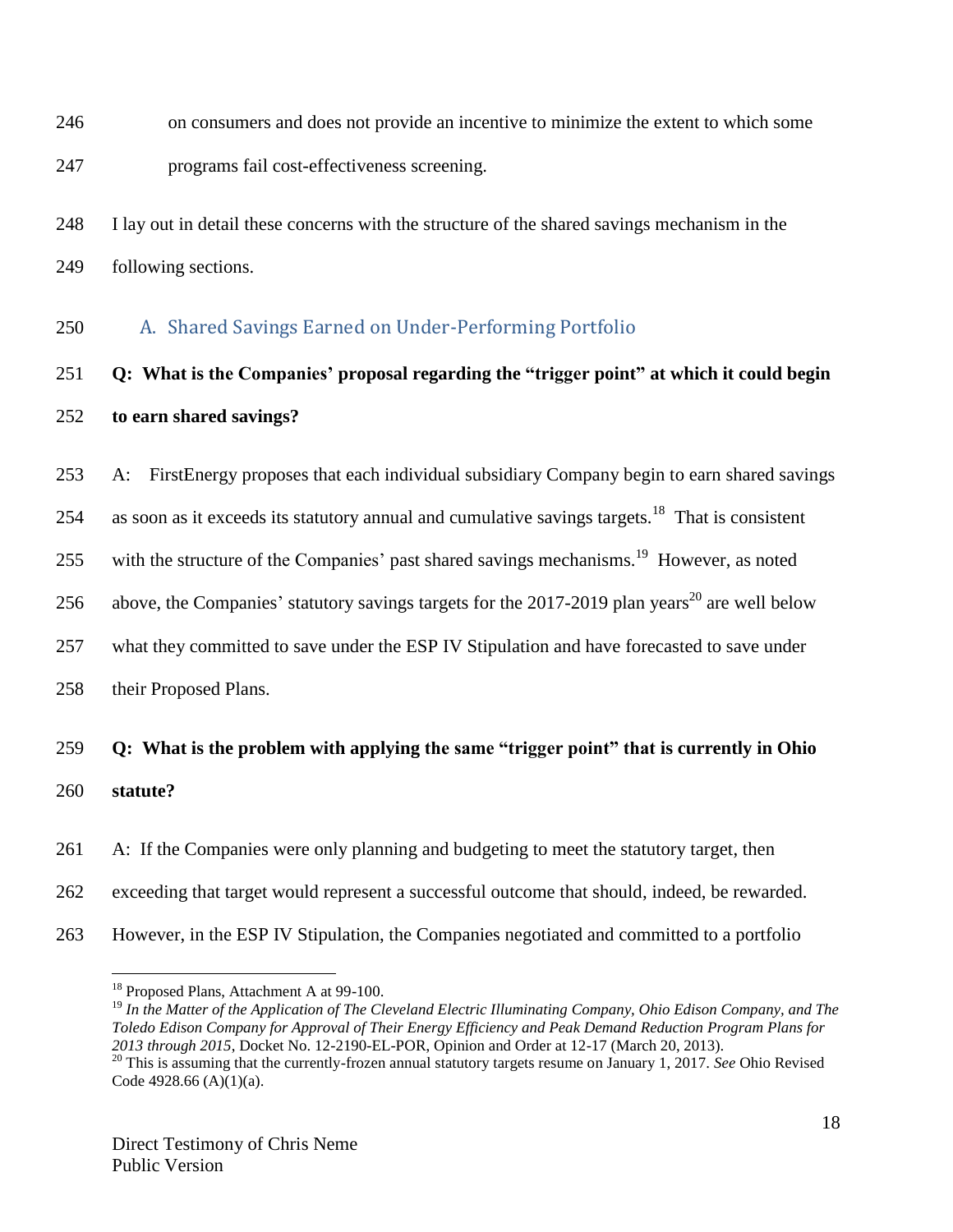- on consumers and does not provide an incentive to minimize the extent to which some
- programs fail cost-effectiveness screening.
- I lay out in detail these concerns with the structure of the shared savings mechanism in the following sections.
- <span id="page-17-0"></span>A. Shared Savings Earned on Under-Performing Portfolio

# **Q: What is the Companies' proposal regarding the "trigger point" at which it could begin to earn shared savings?**

A: FirstEnergy proposes that each individual subsidiary Company begin to earn shared savings

254 as soon as it exceeds its statutory annual and cumulative savings targets.<sup>18</sup> That is consistent

255 with the structure of the Companies' past shared savings mechanisms.<sup>19</sup> However, as noted

256 above, the Companies' statutory savings targets for the 2017-2019 plan years<sup>20</sup> are well below

what they committed to save under the ESP IV Stipulation and have forecasted to save under

their Proposed Plans.

 $\overline{a}$ 

# **Q: What is the problem with applying the same "trigger point" that is currently in Ohio statute?**

 A: If the Companies were only planning and budgeting to meet the statutory target, then exceeding that target would represent a successful outcome that should, indeed, be rewarded. However, in the ESP IV Stipulation, the Companies negotiated and committed to a portfolio

<sup>&</sup>lt;sup>18</sup> Proposed Plans, Attachment A at 99-100.

 *In the Matter of the Application of The Cleveland Electric Illuminating Company, Ohio Edison Company, and The Toledo Edison Company for Approval of Their Energy Efficiency and Peak Demand Reduction Program Plans for 2013 through 2015*, Docket No. 12-2190-EL-POR, Opinion and Order at 12-17 (March 20, 2013).

 This is assuming that the currently-frozen annual statutory targets resume on January 1, 2017. *See* Ohio Revised Code 4928.66 (A)(1)(a).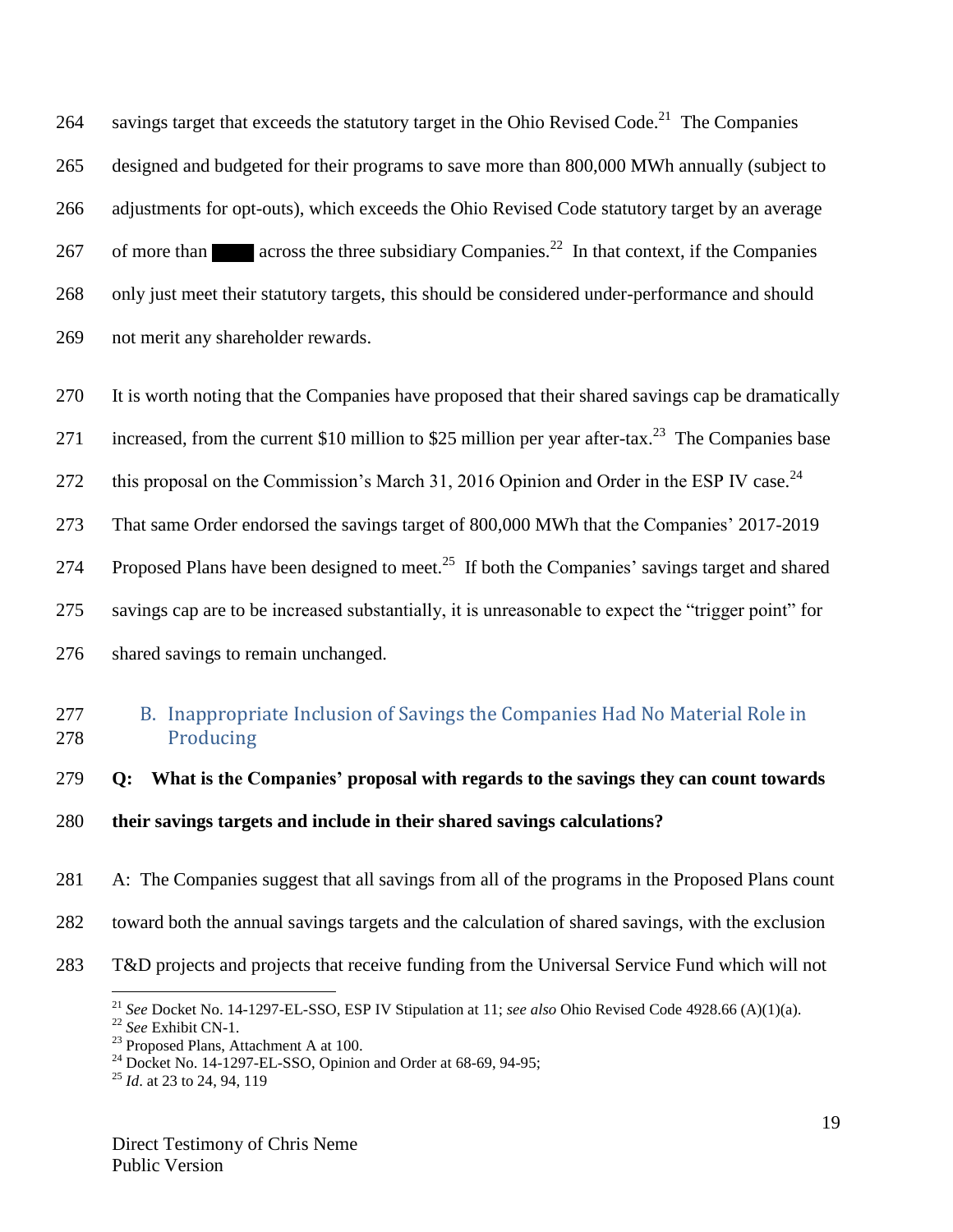264 savings target that exceeds the statutory target in the Ohio Revised Code.<sup>21</sup> The Companies designed and budgeted for their programs to save more than 800,000 MWh annually (subject to adjustments for opt-outs), which exceeds the Ohio Revised Code statutory target by an average 267 of more than across the three subsidiary Companies.<sup>22</sup> In that context, if the Companies only just meet their statutory targets, this should be considered under-performance and should not merit any shareholder rewards.

It is worth noting that the Companies have proposed that their shared savings cap be dramatically

271 increased, from the current \$10 million to \$25 million per year after-tax.<sup>23</sup> The Companies base

272 this proposal on the Commission's March 31, 2016 Opinion and Order in the ESP IV case.<sup>24</sup>

That same Order endorsed the savings target of 800,000 MWh that the Companies' 2017-2019

274 Proposed Plans have been designed to meet.<sup>25</sup> If both the Companies' savings target and shared

savings cap are to be increased substantially, it is unreasonable to expect the "trigger point" for

shared savings to remain unchanged.

### <span id="page-18-0"></span> B. Inappropriate Inclusion of Savings the Companies Had No Material Role in Producing

**Q: What is the Companies' proposal with regards to the savings they can count towards** 

**their savings targets and include in their shared savings calculations?**

A: The Companies suggest that all savings from all of the programs in the Proposed Plans count

- toward both the annual savings targets and the calculation of shared savings, with the exclusion
- T&D projects and projects that receive funding from the Universal Service Fund which will not

*See* Docket No. 14-1297-EL-SSO, ESP IV Stipulation at 11; *see also* Ohio Revised Code 4928.66 (A)(1)(a).

*See* Exhibit CN-1.

<sup>&</sup>lt;sup>23</sup> Proposed Plans, Attachment A at 100.

 $^{24}$  Docket No. 14-1297-EL-SSO, Opinion and Order at 68-69, 94-95;

*Id*. at 23 to 24, 94, 119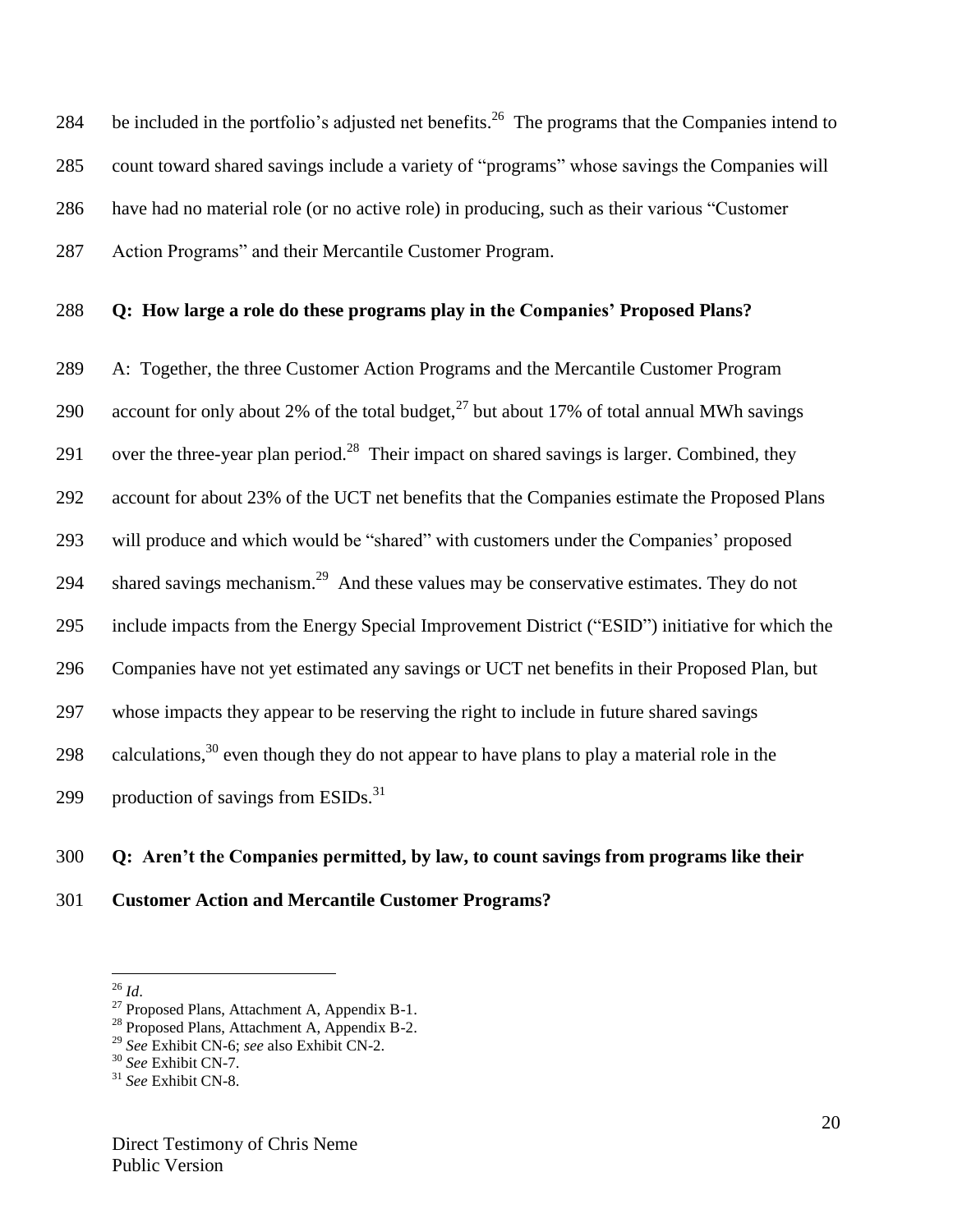284 be included in the portfolio's adjusted net benefits.<sup>26</sup> The programs that the Companies intend to count toward shared savings include a variety of "programs" whose savings the Companies will have had no material role (or no active role) in producing, such as their various "Customer Action Programs" and their Mercantile Customer Program.

#### **Q: How large a role do these programs play in the Companies' Proposed Plans?**

 A: Together, the three Customer Action Programs and the Mercantile Customer Program 290 account for only about 2% of the total budget,  $2^7$  but about 17% of total annual MWh savings 291 over the three-year plan period.<sup>28</sup> Their impact on shared savings is larger. Combined, they account for about 23% of the UCT net benefits that the Companies estimate the Proposed Plans will produce and which would be "shared" with customers under the Companies' proposed 294 shared savings mechanism.<sup>29</sup> And these values may be conservative estimates. They do not include impacts from the Energy Special Improvement District ("ESID") initiative for which the Companies have not yet estimated any savings or UCT net benefits in their Proposed Plan, but whose impacts they appear to be reserving the right to include in future shared savings 298 calculations, even though they do not appear to have plans to play a material role in the 299 production of savings from  $ESIDs.<sup>31</sup>$ 

# **Q: Aren't the Companies permitted, by law, to count savings from programs like their Customer Action and Mercantile Customer Programs?**

*Id*.

<sup>&</sup>lt;sup>27</sup> Proposed Plans, Attachment A, Appendix B-1.

<sup>&</sup>lt;sup>28</sup> Proposed Plans, Attachment A, Appendix B-2.

*See* Exhibit CN-6; *see* also Exhibit CN-2.

*See* Exhibit CN-7.

*See* Exhibit CN-8.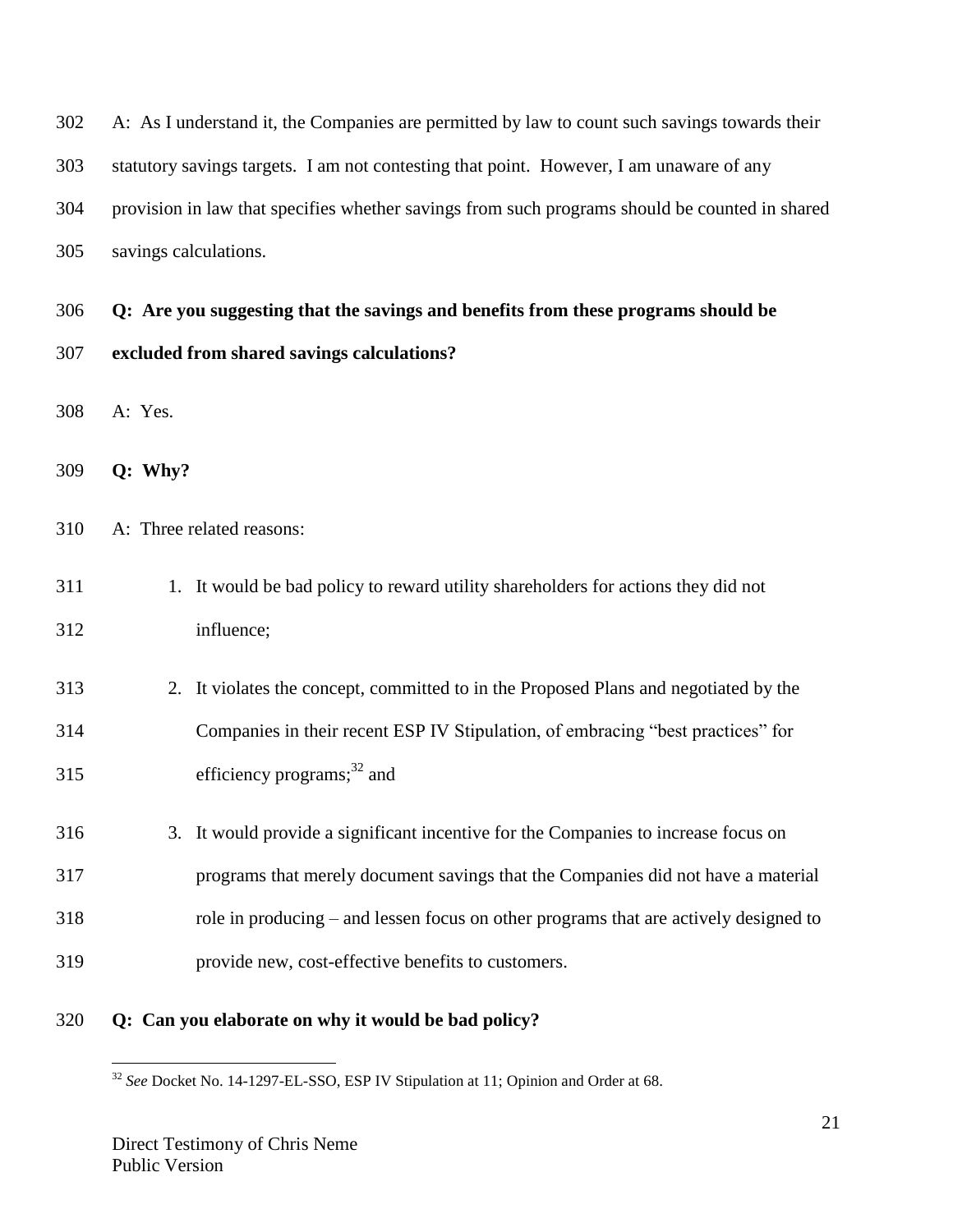| 302 | A: As I understand it, the Companies are permitted by law to count such savings towards their  |
|-----|------------------------------------------------------------------------------------------------|
| 303 | statutory savings targets. I am not contesting that point. However, I am unaware of any        |
| 304 | provision in law that specifies whether savings from such programs should be counted in shared |
| 305 | savings calculations.                                                                          |
| 306 | Q: Are you suggesting that the savings and benefits from these programs should be              |
| 307 | excluded from shared savings calculations?                                                     |
| 308 | A: Yes.                                                                                        |
| 309 | Q: Why?                                                                                        |
| 310 | A: Three related reasons:                                                                      |
| 311 | 1. It would be bad policy to reward utility shareholders for actions they did not              |
| 312 | influence;                                                                                     |
| 313 | 2. It violates the concept, committed to in the Proposed Plans and negotiated by the           |
| 314 | Companies in their recent ESP IV Stipulation, of embracing "best practices" for                |
| 315 | efficiency programs; $32$ and                                                                  |
| 316 | It would provide a significant incentive for the Companies to increase focus on<br>3.          |
| 317 | programs that merely document savings that the Companies did not have a material               |
| 318 | role in producing – and lessen focus on other programs that are actively designed to           |
| 319 | provide new, cost-effective benefits to customers.                                             |
| 320 | Q: Can you elaborate on why it would be bad policy?                                            |

*See* Docket No. 14-1297-EL-SSO, ESP IV Stipulation at 11; Opinion and Order at 68.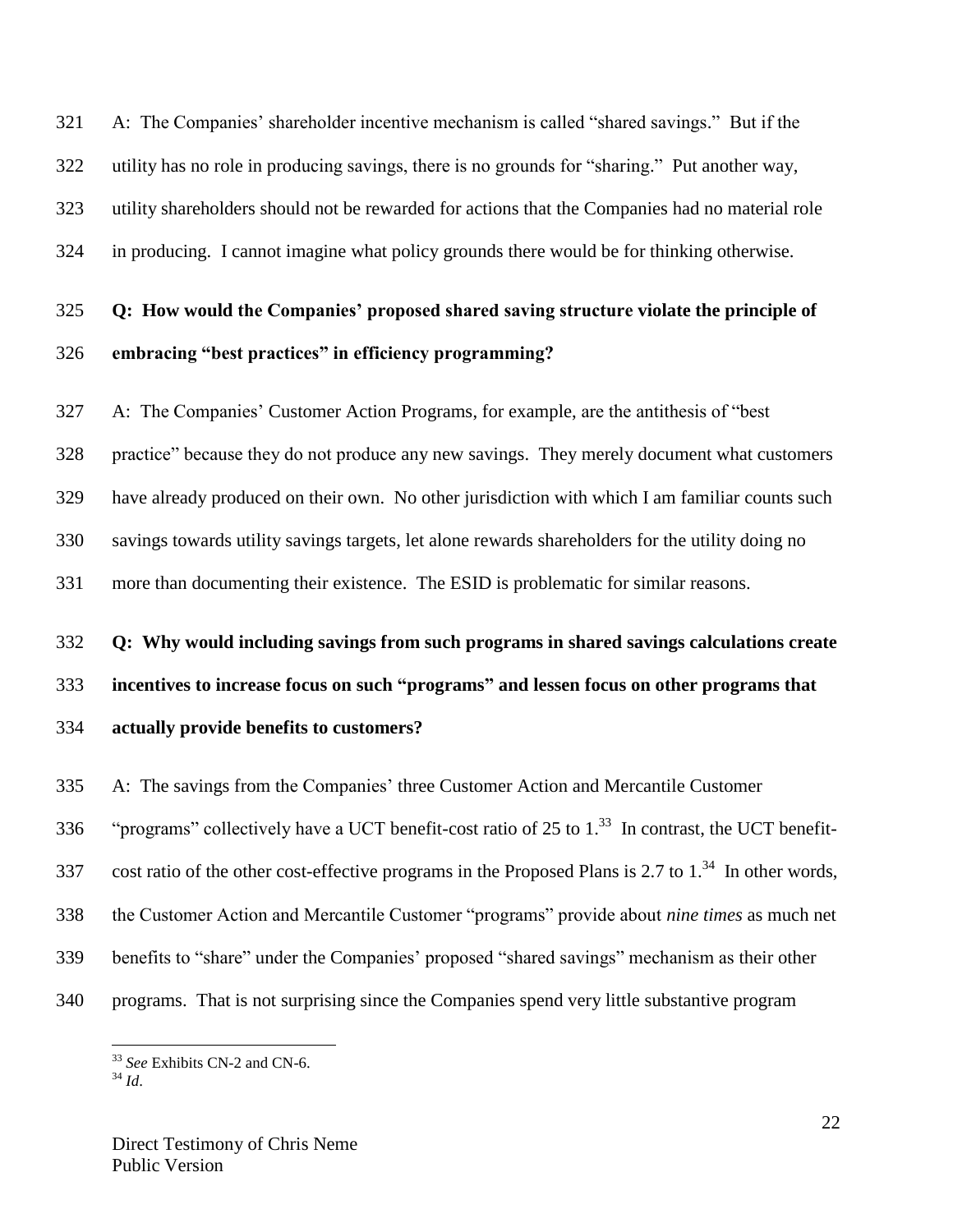A: The Companies' shareholder incentive mechanism is called "shared savings." But if the utility has no role in producing savings, there is no grounds for "sharing." Put another way, utility shareholders should not be rewarded for actions that the Companies had no material role in producing. I cannot imagine what policy grounds there would be for thinking otherwise.

# **Q: How would the Companies' proposed shared saving structure violate the principle of embracing "best practices" in efficiency programming?**

 A: The Companies' Customer Action Programs, for example, are the antithesis of "best practice" because they do not produce any new savings. They merely document what customers have already produced on their own. No other jurisdiction with which I am familiar counts such savings towards utility savings targets, let alone rewards shareholders for the utility doing no more than documenting their existence. The ESID is problematic for similar reasons.

#### **Q: Why would including savings from such programs in shared savings calculations create**

**incentives to increase focus on such "programs" and lessen focus on other programs that** 

**actually provide benefits to customers?**

A: The savings from the Companies' three Customer Action and Mercantile Customer

336 "programs" collectively have a UCT benefit-cost ratio of 25 to 1.<sup>33</sup> In contrast, the UCT benefit-

337 cost ratio of the other cost-effective programs in the Proposed Plans is 2.7 to  $1<sup>34</sup>$  In other words,

the Customer Action and Mercantile Customer "programs" provide about *nine times* as much net

- benefits to "share" under the Companies' proposed "shared savings" mechanism as their other
- programs. That is not surprising since the Companies spend very little substantive program

*See* Exhibits CN-2 and CN-6.

 $34\overline{1}$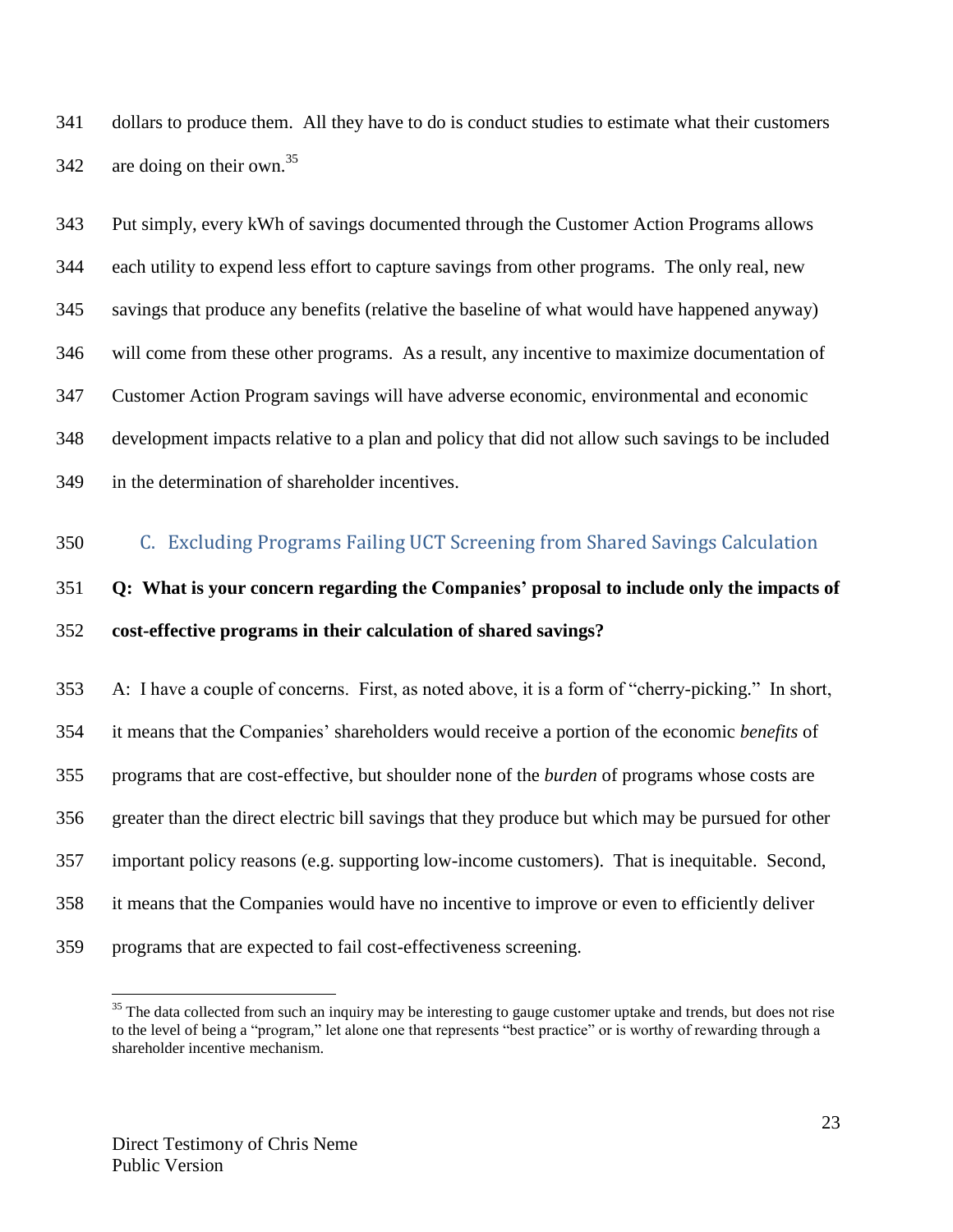dollars to produce them. All they have to do is conduct studies to estimate what their customers 342 are doing on their own.<sup>35</sup>

 Put simply, every kWh of savings documented through the Customer Action Programs allows each utility to expend less effort to capture savings from other programs. The only real, new savings that produce any benefits (relative the baseline of what would have happened anyway) will come from these other programs. As a result, any incentive to maximize documentation of Customer Action Program savings will have adverse economic, environmental and economic development impacts relative to a plan and policy that did not allow such savings to be included in the determination of shareholder incentives.

<span id="page-22-0"></span>C. Excluding Programs Failing UCT Screening from Shared Savings Calculation

# **Q: What is your concern regarding the Companies' proposal to include only the impacts of cost-effective programs in their calculation of shared savings?**

 A: I have a couple of concerns. First, as noted above, it is a form of "cherry-picking." In short, it means that the Companies' shareholders would receive a portion of the economic *benefits* of programs that are cost-effective, but shoulder none of the *burden* of programs whose costs are greater than the direct electric bill savings that they produce but which may be pursued for other important policy reasons (e.g. supporting low-income customers). That is inequitable. Second, it means that the Companies would have no incentive to improve or even to efficiently deliver programs that are expected to fail cost-effectiveness screening.

<sup>&</sup>lt;sup>35</sup> The data collected from such an inquiry may be interesting to gauge customer uptake and trends, but does not rise to the level of being a "program," let alone one that represents "best practice" or is worthy of rewarding through a shareholder incentive mechanism.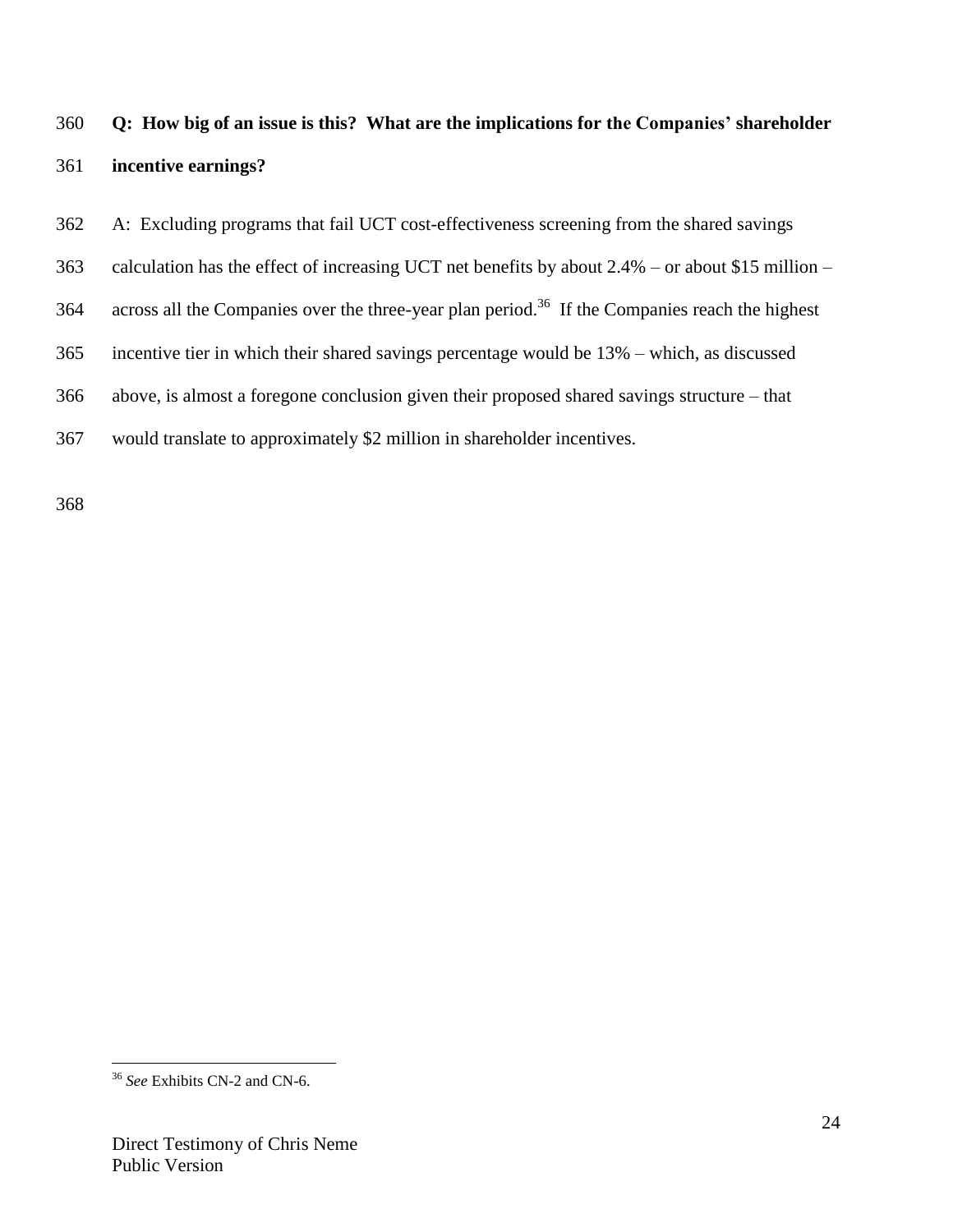# **Q: How big of an issue is this? What are the implications for the Companies' shareholder incentive earnings?**

A: Excluding programs that fail UCT cost-effectiveness screening from the shared savings

calculation has the effect of increasing UCT net benefits by about 2.4% – or about \$15 million –

364 across all the Companies over the three-year plan period.<sup>36</sup> If the Companies reach the highest

incentive tier in which their shared savings percentage would be 13% – which, as discussed

above, is almost a foregone conclusion given their proposed shared savings structure – that

```
367 would translate to approximately $2 million in shareholder incentives.
```
 $\overline{a}$ *See* Exhibits CN-2 and CN-6.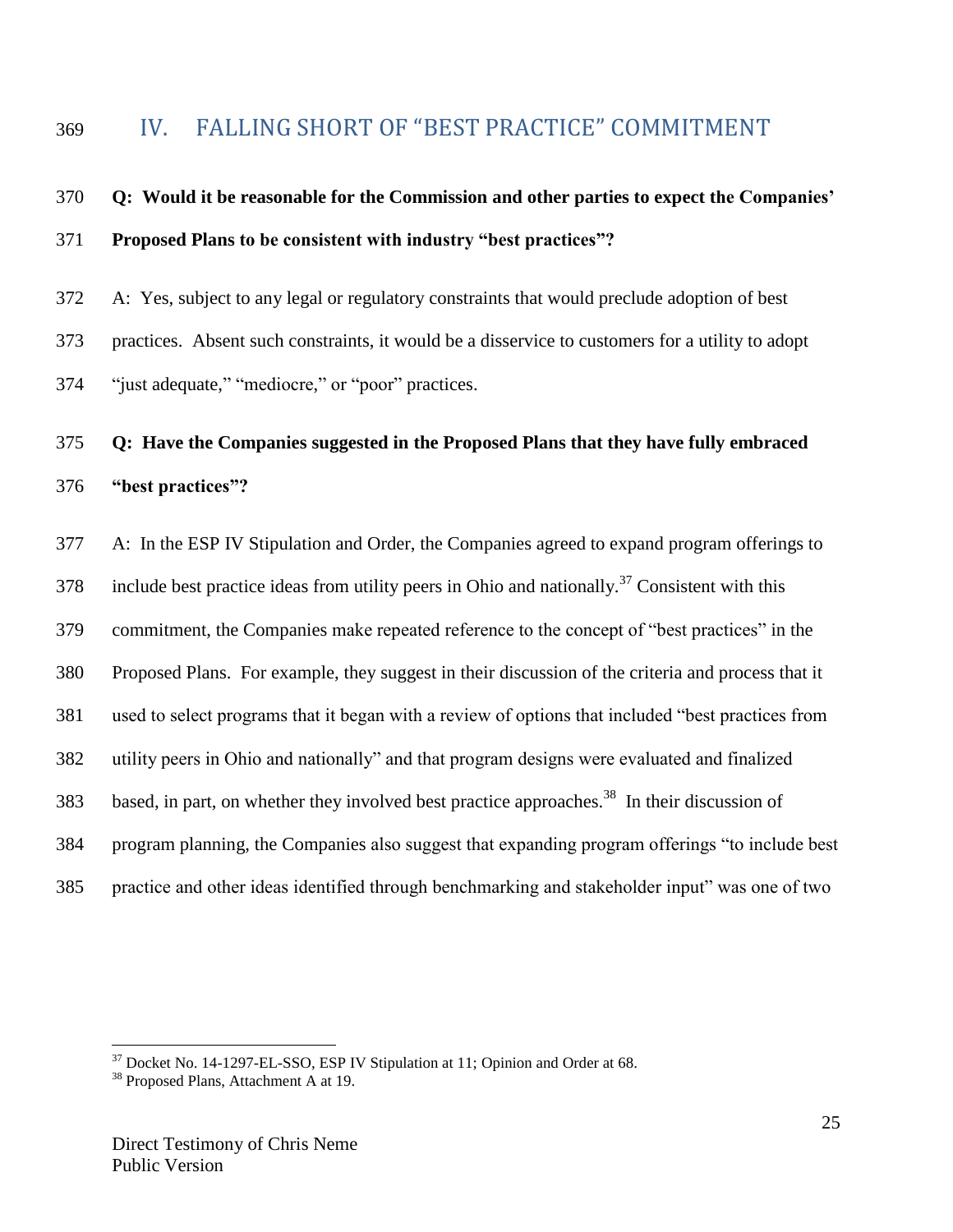# <span id="page-24-0"></span>IV. FALLING SHORT OF "BEST PRACTICE" COMMITMENT

# **Q: Would it be reasonable for the Commission and other parties to expect the Companies' Proposed Plans to be consistent with industry "best practices"?**

A: Yes, subject to any legal or regulatory constraints that would preclude adoption of best

practices. Absent such constraints, it would be a disservice to customers for a utility to adopt

"just adequate," "mediocre," or "poor" practices.

# **Q: Have the Companies suggested in the Proposed Plans that they have fully embraced "best practices"?**

 A: In the ESP IV Stipulation and Order, the Companies agreed to expand program offerings to 378 include best practice ideas from utility peers in Ohio and nationally.<sup>37</sup> Consistent with this commitment, the Companies make repeated reference to the concept of "best practices" in the Proposed Plans. For example, they suggest in their discussion of the criteria and process that it used to select programs that it began with a review of options that included "best practices from utility peers in Ohio and nationally" and that program designs were evaluated and finalized 383 based, in part, on whether they involved best practice approaches.<sup>38</sup> In their discussion of program planning, the Companies also suggest that expanding program offerings "to include best practice and other ideas identified through benchmarking and stakeholder input" was one of two

Docket No. 14-1297-EL-SSO, ESP IV Stipulation at 11; Opinion and Order at 68.

Proposed Plans, Attachment A at 19.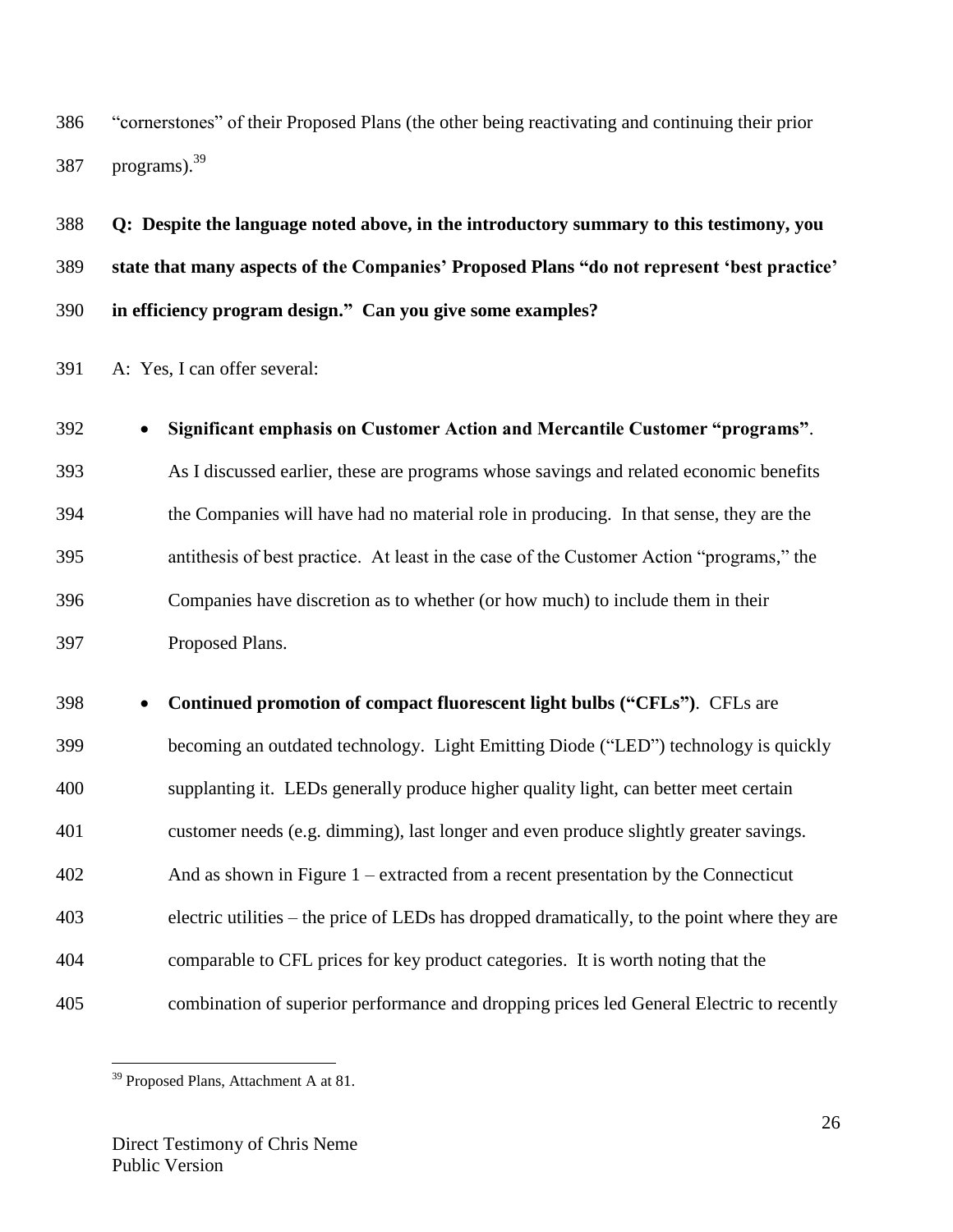"cornerstones" of their Proposed Plans (the other being reactivating and continuing their prior 387 programs).  $39<sup>39</sup>$ 

 **Q: Despite the language noted above, in the introductory summary to this testimony, you state that many aspects of the Companies' Proposed Plans "do not represent 'best practice' in efficiency program design." Can you give some examples?**

A: Yes, I can offer several:

 **Significant emphasis on Customer Action and Mercantile Customer "programs"**. As I discussed earlier, these are programs whose savings and related economic benefits the Companies will have had no material role in producing. In that sense, they are the antithesis of best practice. At least in the case of the Customer Action "programs," the Companies have discretion as to whether (or how much) to include them in their Proposed Plans.

 **Continued promotion of compact fluorescent light bulbs ("CFLs")**. CFLs are becoming an outdated technology. Light Emitting Diode ("LED") technology is quickly supplanting it. LEDs generally produce higher quality light, can better meet certain customer needs (e.g. dimming), last longer and even produce slightly greater savings. And as shown in Figure 1 – extracted from a recent presentation by the Connecticut electric utilities – the price of LEDs has dropped dramatically, to the point where they are comparable to CFL prices for key product categories. It is worth noting that the combination of superior performance and dropping prices led General Electric to recently

<sup>&</sup>lt;sup>39</sup> Proposed Plans, Attachment A at 81.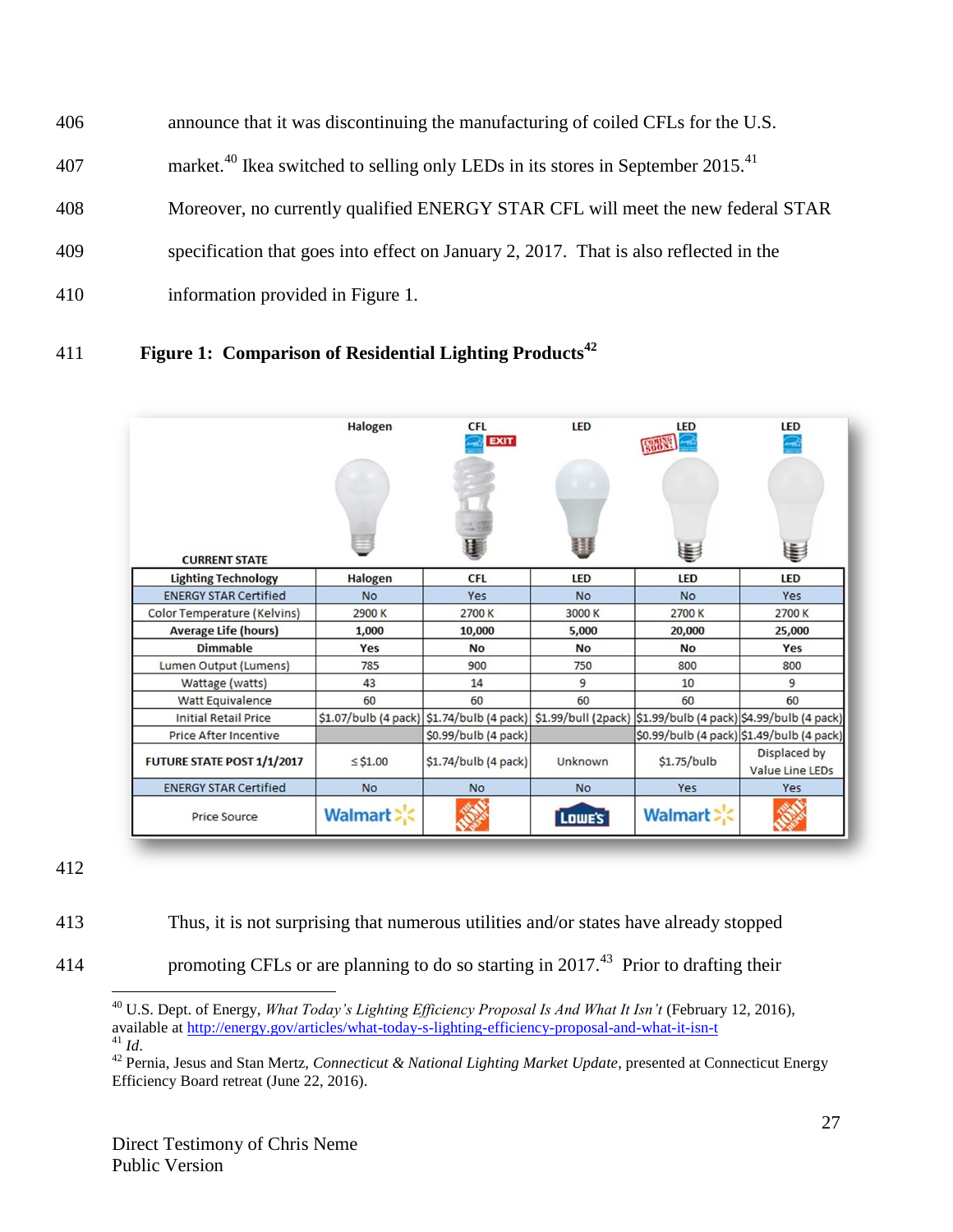- announce that it was discontinuing the manufacturing of coiled CFLs for the U.S. 407 market.<sup>40</sup> Ikea switched to selling only LEDs in its stores in September 2015.<sup>41</sup> Moreover, no currently qualified ENERGY STAR CFL will meet the new federal STAR
- specification that goes into effect on January 2, 2017. That is also reflected in the
- information provided in Figure 1.

# **Figure 1: Comparison of Residential Lighting Products<sup>42</sup>**

|                              | Halogen        | <b>CFL</b><br><b>EXIT</b>                                                                               | <b>LED</b> | <b>LED</b>     | <b>LED</b>                                |
|------------------------------|----------------|---------------------------------------------------------------------------------------------------------|------------|----------------|-------------------------------------------|
|                              |                |                                                                                                         | 用          |                |                                           |
| <b>CURRENT STATE</b>         |                |                                                                                                         |            | €              | €                                         |
| <b>Lighting Technology</b>   | Halogen        | <b>CFL</b>                                                                                              | <b>LED</b> | <b>LED</b>     | LED                                       |
| <b>ENERGY STAR Certified</b> | <b>No</b>      | Yes                                                                                                     | <b>No</b>  | <b>No</b>      | Yes                                       |
| Color Temperature (Kelvins)  | 2900 K         | 2700K                                                                                                   | 3000 K     | 2700 K         | 2700 K                                    |
| <b>Average Life (hours)</b>  | 1,000          | 10,000                                                                                                  | 5,000      | 20,000         | 25,000                                    |
| <b>Dimmable</b>              | Yes            | <b>No</b>                                                                                               | No         | <b>No</b>      | Yes                                       |
| Lumen Output (Lumens)        | 785            | 900                                                                                                     | 750        | 800            | 800                                       |
| Wattage (watts)              | 43             | 14                                                                                                      | 9          | 10             | 9                                         |
| Watt Equivalence             | 60             | 60                                                                                                      | 60         | 60             | 60                                        |
| <b>Initial Retail Price</b>  |                | \$1.07/bulb (4 pack) \$1.74/bulb (4 pack) \$1.99/bull (2pack) \$1.99/bulb (4 pack) \$4.99/bulb (4 pack) |            |                |                                           |
| <b>Price After Incentive</b> |                | \$0.99/bulb (4 pack)                                                                                    |            |                | \$0.99/bulb (4 pack) \$1.49/bulb (4 pack) |
| FUTURE STATE POST 1/1/2017   | $\leq$ \$1.00  | \$1.74/bulb (4 pack)                                                                                    | Unknown    | $$1.75/b$ ulb  | Displaced by<br>Value Line LEDs           |
| <b>ENERGY STAR Certified</b> | <b>No</b>      | No                                                                                                      | <b>No</b>  | Yes            | Yes                                       |
| <b>Price Source</b>          | <b>Walmart</b> |                                                                                                         | Lowe's     | <b>Walmart</b> |                                           |

Thus, it is not surprising that numerous utilities and/or states have already stopped

414 promoting CFLs or are planning to do so starting in 2017.<sup>43</sup> Prior to drafting their

 $\overline{a}$  U.S. Dept. of Energy, *What Today's Lighting Efficiency Proposal Is And What It Isn't* (February 12, 2016), available at<http://energy.gov/articles/what-today-s-lighting-efficiency-proposal-and-what-it-isn-t>

*Id*.

 Pernia, Jesus and Stan Mertz, *Connecticut & National Lighting Market Update*, presented at Connecticut Energy Efficiency Board retreat (June 22, 2016).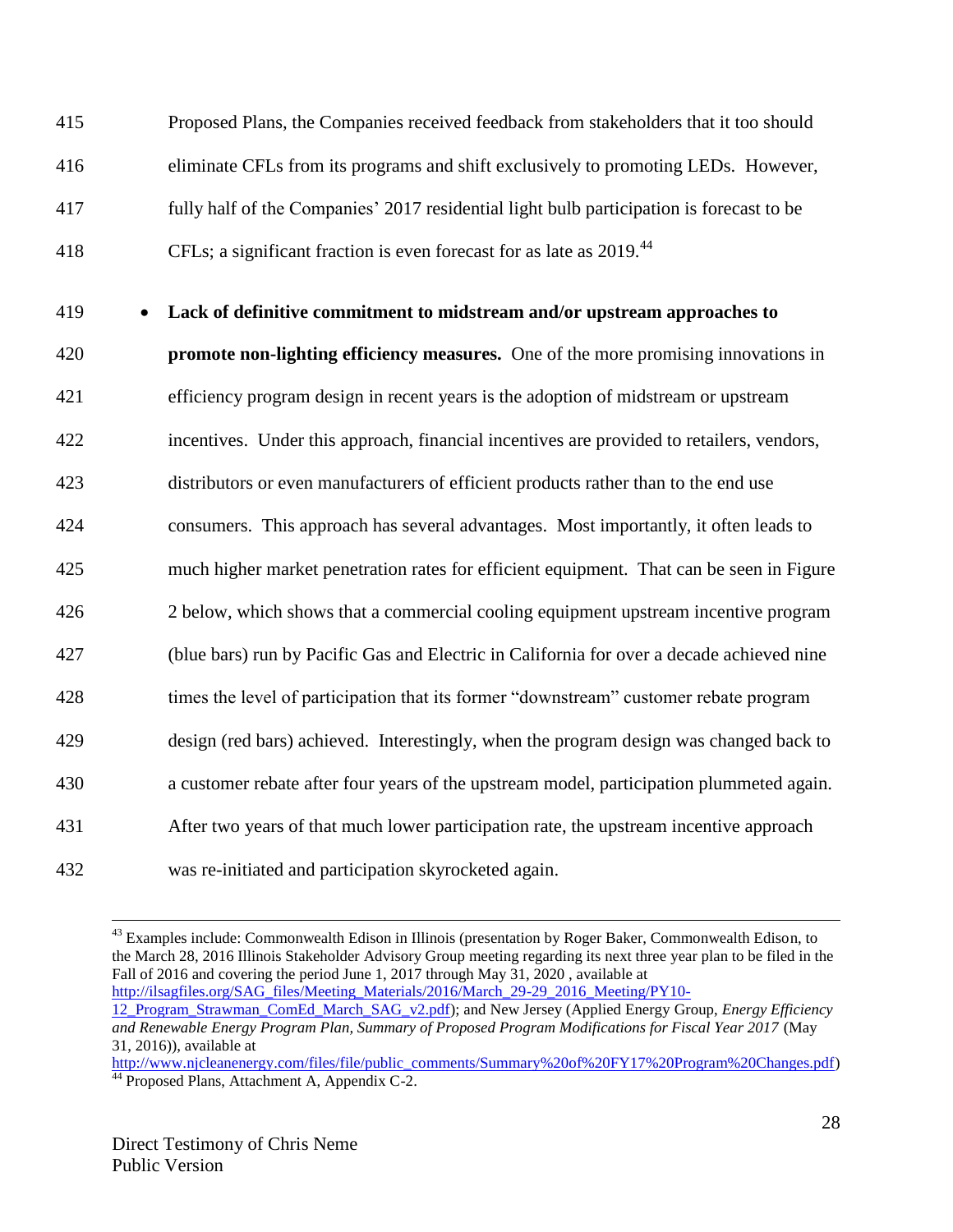Proposed Plans, the Companies received feedback from stakeholders that it too should eliminate CFLs from its programs and shift exclusively to promoting LEDs. However, fully half of the Companies' 2017 residential light bulb participation is forecast to be 418 CFLs; a significant fraction is even forecast for as late as 2019.<sup>44</sup>

### 419 **Lack of definitive commitment to midstream and/or upstream approaches to**

 **promote non-lighting efficiency measures.** One of the more promising innovations in efficiency program design in recent years is the adoption of midstream or upstream incentives. Under this approach, financial incentives are provided to retailers, vendors, distributors or even manufacturers of efficient products rather than to the end use consumers. This approach has several advantages. Most importantly, it often leads to much higher market penetration rates for efficient equipment. That can be seen in Figure 2 below, which shows that a commercial cooling equipment upstream incentive program (blue bars) run by Pacific Gas and Electric in California for over a decade achieved nine times the level of participation that its former "downstream" customer rebate program design (red bars) achieved. Interestingly, when the program design was changed back to a customer rebate after four years of the upstream model, participation plummeted again. After two years of that much lower participation rate, the upstream incentive approach was re-initiated and participation skyrocketed again.

 $\overline{a}$ <sup>43</sup> Examples include: Commonwealth Edison in Illinois (presentation by Roger Baker, Commonwealth Edison, to the March 28, 2016 Illinois Stakeholder Advisory Group meeting regarding its next three year plan to be filed in the Fall of 2016 and covering the period June 1, 2017 through May 31, 2020 , available at [http://ilsagfiles.org/SAG\\_files/Meeting\\_Materials/2016/March\\_29-29\\_2016\\_Meeting/PY10-](http://ilsagfiles.org/SAG_files/Meeting_Materials/2016/March_29-29_2016_Meeting/PY10-12_Program_Strawman_ComEd_March_SAG_v2.pdf) [12\\_Program\\_Strawman\\_ComEd\\_March\\_SAG\\_v2.pdf\)](http://ilsagfiles.org/SAG_files/Meeting_Materials/2016/March_29-29_2016_Meeting/PY10-12_Program_Strawman_ComEd_March_SAG_v2.pdf); and New Jersey (Applied Energy Group, *Energy Efficiency and Renewable Energy Program Plan, Summary of Proposed Program Modifications for Fiscal Year 2017* (May 31, 2016)), available at

[http://www.njcleanenergy.com/files/file/public\\_comments/Summary%20of%20FY17%20Program%20Changes.pdf\)](http://www.njcleanenergy.com/files/file/public_comments/Summary%20of%20FY17%20Program%20Changes.pdf) <sup>44</sup> Proposed Plans, Attachment A, Appendix C-2.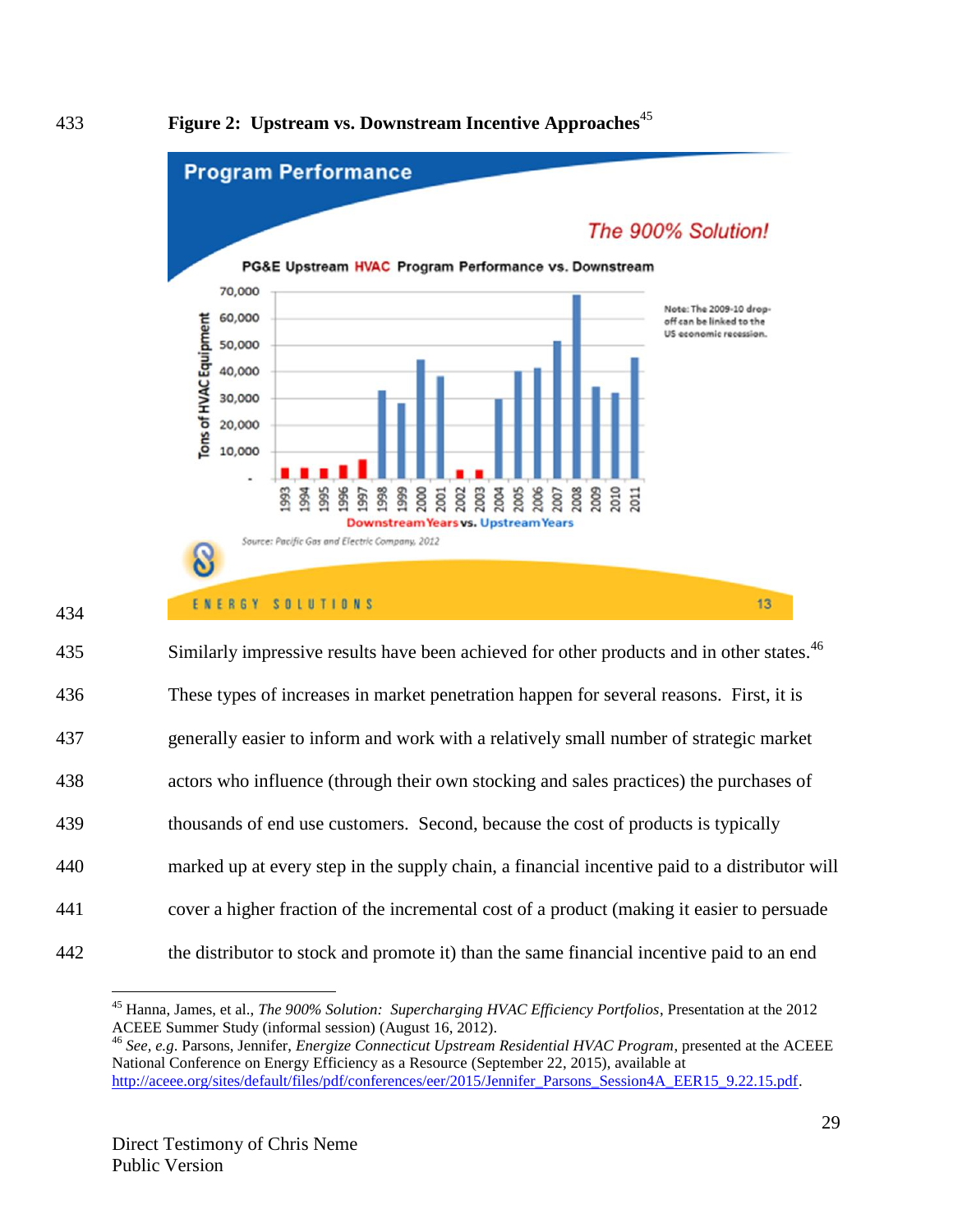

**Figure 2: Upstream vs. Downstream Incentive Approaches**<sup>45</sup>



434

| 435 | Similarly impressive results have been achieved for other products and in other states. <sup>46</sup> |
|-----|-------------------------------------------------------------------------------------------------------|
| 436 | These types of increases in market penetration happen for several reasons. First, it is               |
| 437 | generally easier to inform and work with a relatively small number of strategic market                |
| 438 | actors who influence (through their own stocking and sales practices) the purchases of                |
| 439 | thousands of end use customers. Second, because the cost of products is typically                     |
| 440 | marked up at every step in the supply chain, a financial incentive paid to a distributor will         |
| 441 | cover a higher fraction of the incremental cost of a product (making it easier to persuade            |
| 442 | the distributor to stock and promote it) than the same financial incentive paid to an end             |

 $\overline{a}$ <sup>45</sup> Hanna, James, et al., *The 900% Solution: Supercharging HVAC Efficiency Portfolios*, Presentation at the 2012 ACEEE Summer Study (informal session) (August 16, 2012).

<sup>46</sup> *See, e.g*. Parsons, Jennifer, *Energize Connecticut Upstream Residential HVAC Program*, presented at the ACEEE National Conference on Energy Efficiency as a Resource (September 22, 2015), available at [http://aceee.org/sites/default/files/pdf/conferences/eer/2015/Jennifer\\_Parsons\\_Session4A\\_EER15\\_9.22.15.pdf.](http://aceee.org/sites/default/files/pdf/conferences/eer/2015/Jennifer_Parsons_Session4A_EER15_9.22.15.pdf)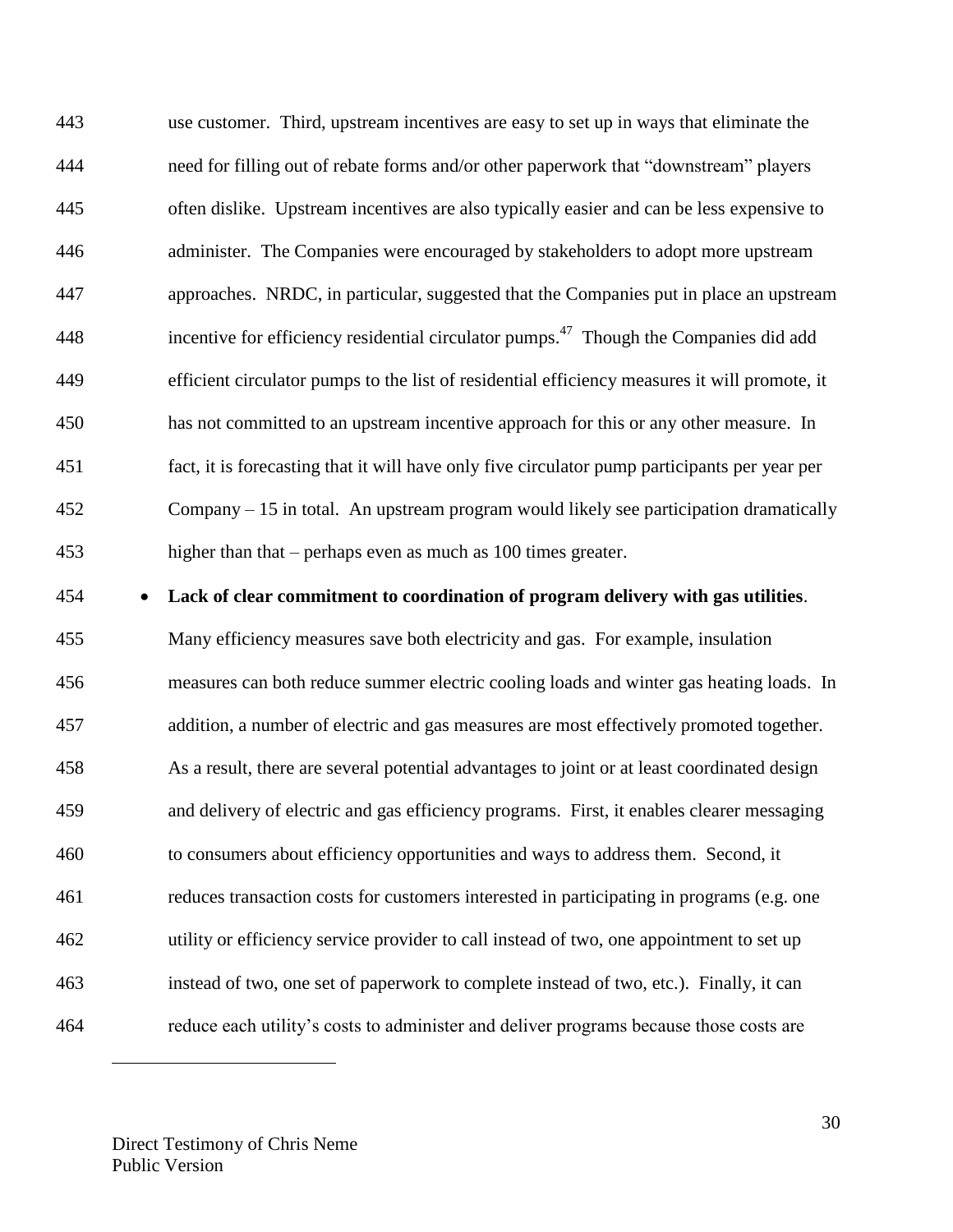use customer. Third, upstream incentives are easy to set up in ways that eliminate the need for filling out of rebate forms and/or other paperwork that "downstream" players often dislike. Upstream incentives are also typically easier and can be less expensive to administer. The Companies were encouraged by stakeholders to adopt more upstream approaches. NRDC, in particular, suggested that the Companies put in place an upstream 448 incentive for efficiency residential circulator pumps.<sup>47</sup> Though the Companies did add efficient circulator pumps to the list of residential efficiency measures it will promote, it has not committed to an upstream incentive approach for this or any other measure. In fact, it is forecasting that it will have only five circulator pump participants per year per Company – 15 in total. An upstream program would likely see participation dramatically higher than that – perhaps even as much as 100 times greater.

**Lack of clear commitment to coordination of program delivery with gas utilities**.

 Many efficiency measures save both electricity and gas. For example, insulation measures can both reduce summer electric cooling loads and winter gas heating loads. In addition, a number of electric and gas measures are most effectively promoted together. As a result, there are several potential advantages to joint or at least coordinated design and delivery of electric and gas efficiency programs. First, it enables clearer messaging to consumers about efficiency opportunities and ways to address them. Second, it reduces transaction costs for customers interested in participating in programs (e.g. one utility or efficiency service provider to call instead of two, one appointment to set up instead of two, one set of paperwork to complete instead of two, etc.). Finally, it can reduce each utility's costs to administer and deliver programs because those costs are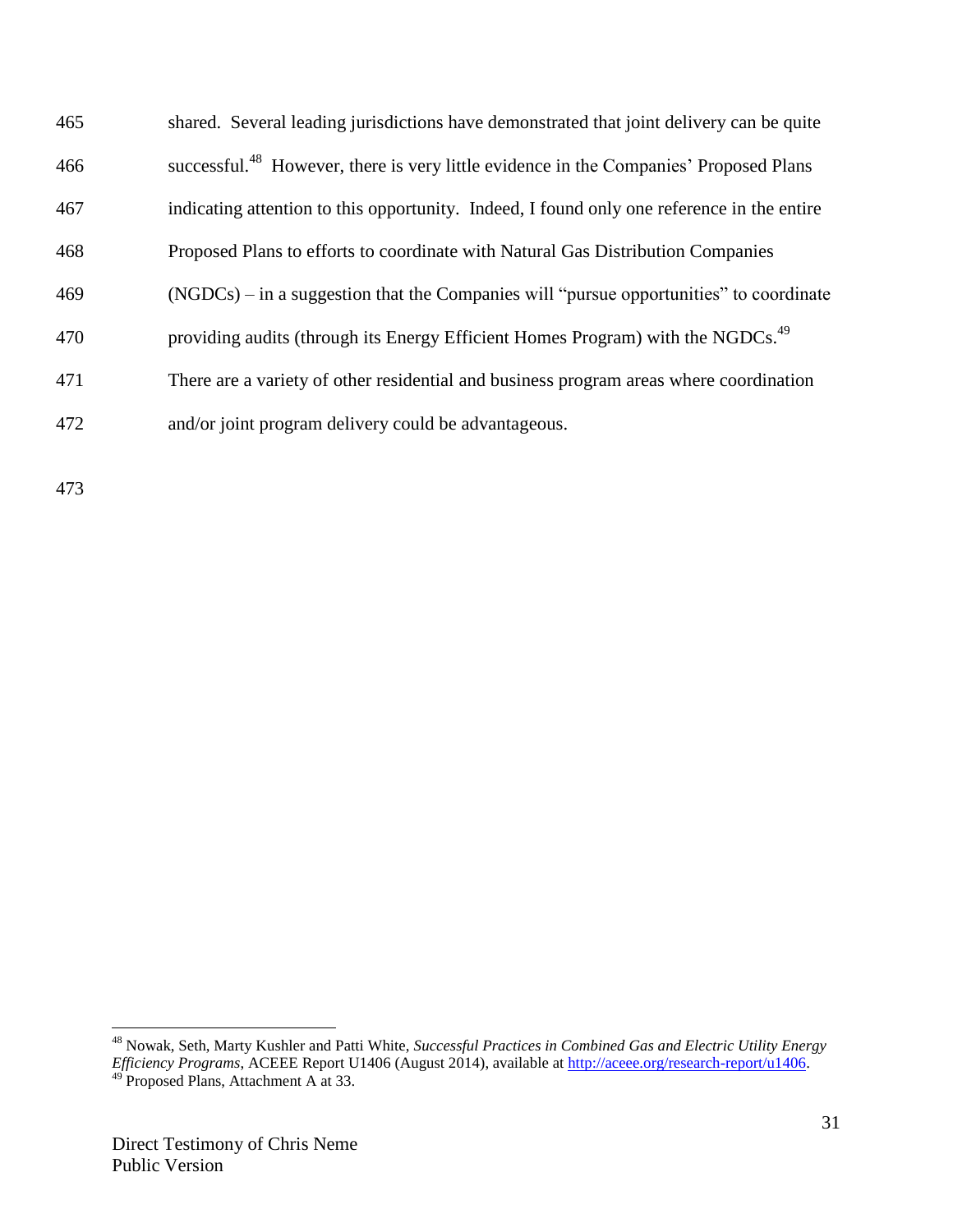| 465 | shared. Several leading jurisdictions have demonstrated that joint delivery can be quite          |
|-----|---------------------------------------------------------------------------------------------------|
| 466 | successful. <sup>48</sup> However, there is very little evidence in the Companies' Proposed Plans |
| 467 | indicating attention to this opportunity. Indeed, I found only one reference in the entire        |
| 468 | Proposed Plans to efforts to coordinate with Natural Gas Distribution Companies                   |
| 469 | $(NGDCs)$ – in a suggestion that the Companies will "pursue opportunities" to coordinate          |
| 470 | providing audits (through its Energy Efficient Homes Program) with the NGDCs. <sup>49</sup>       |
| 471 | There are a variety of other residential and business program areas where coordination            |
| 472 | and/or joint program delivery could be advantageous.                                              |

473

<sup>48</sup> Nowak, Seth, Marty Kushler and Patti White, *Successful Practices in Combined Gas and Electric Utility Energy Efficiency Programs*, ACEEE Report U1406 (August 2014), available at [http://aceee.org/research-report/u1406.](http://aceee.org/research-report/u1406) <sup>49</sup> Proposed Plans, Attachment A at 33.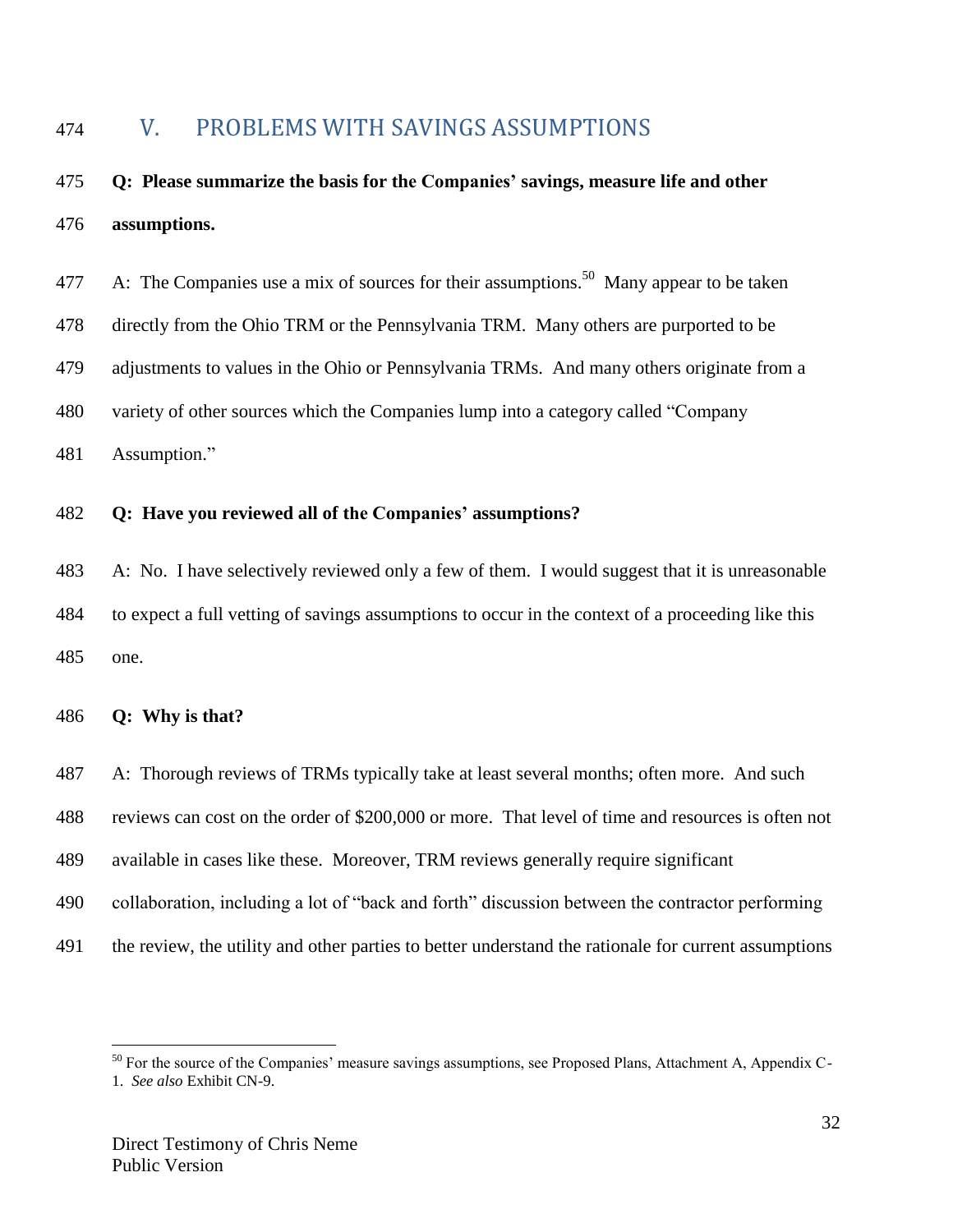# <span id="page-31-0"></span>V. PROBLEMS WITH SAVINGS ASSUMPTIONS

# **Q: Please summarize the basis for the Companies' savings, measure life and other assumptions.**

| 477 | A: The Companies use a mix of sources for their assumptions. <sup>50</sup> Many appear to be taken |
|-----|----------------------------------------------------------------------------------------------------|
| 478 | directly from the Ohio TRM or the Pennsylvania TRM. Many others are purported to be                |

- adjustments to values in the Ohio or Pennsylvania TRMs. And many others originate from a
- variety of other sources which the Companies lump into a category called "Company
- Assumption."

### **Q: Have you reviewed all of the Companies' assumptions?**

 A: No. I have selectively reviewed only a few of them. I would suggest that it is unreasonable to expect a full vetting of savings assumptions to occur in the context of a proceeding like this one.

#### **Q: Why is that?**

- A: Thorough reviews of TRMs typically take at least several months; often more. And such
- reviews can cost on the order of \$200,000 or more. That level of time and resources is often not
- available in cases like these. Moreover, TRM reviews generally require significant
- collaboration, including a lot of "back and forth" discussion between the contractor performing
- the review, the utility and other parties to better understand the rationale for current assumptions

<sup>&</sup>lt;sup>50</sup> For the source of the Companies' measure savings assumptions, see Proposed Plans, Attachment A, Appendix C-1. *See also* Exhibit CN-9.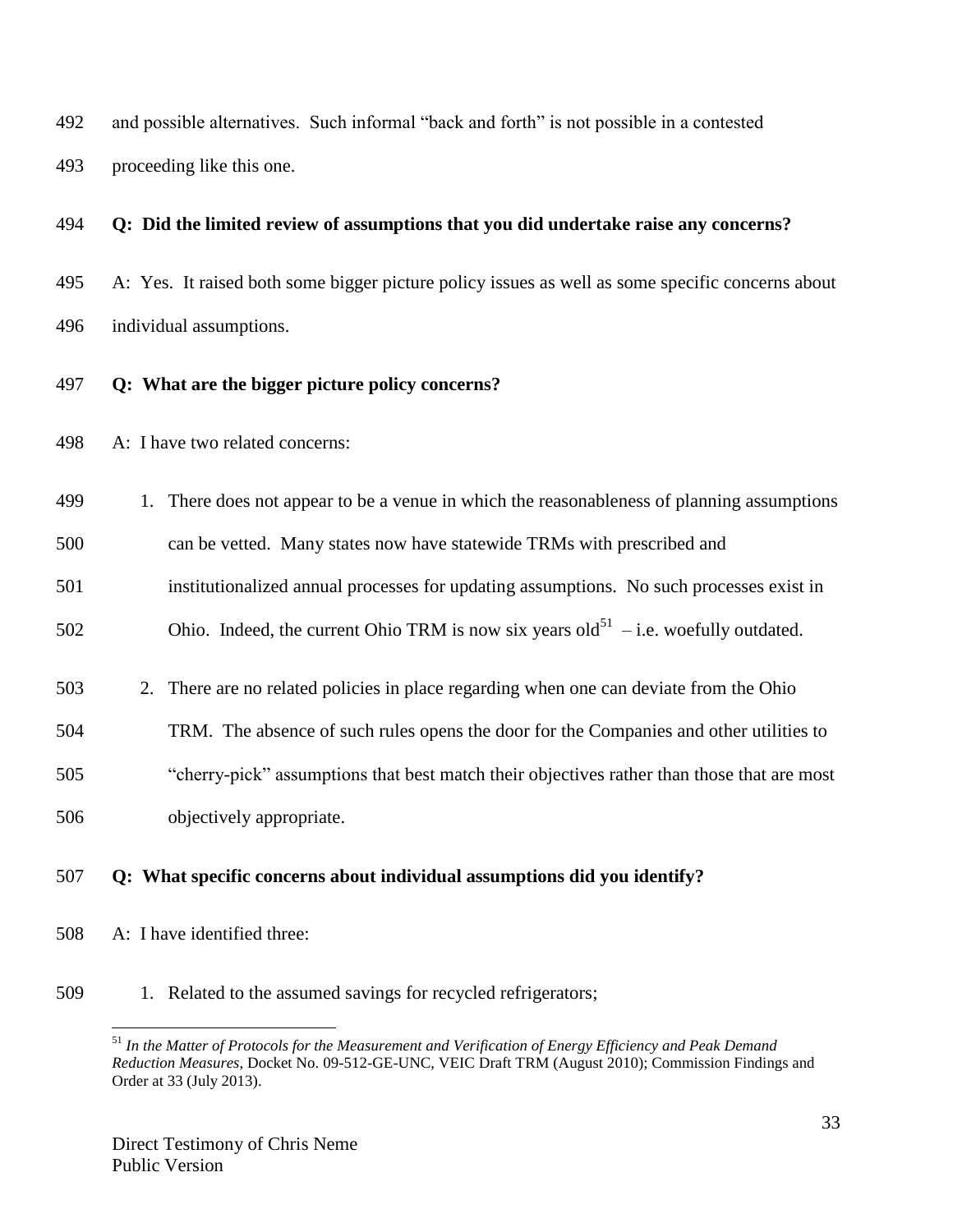and possible alternatives. Such informal "back and forth" is not possible in a contested

proceeding like this one.

### **Q: Did the limited review of assumptions that you did undertake raise any concerns?**

- A: Yes. It raised both some bigger picture policy issues as well as some specific concerns about individual assumptions.
- **Q: What are the bigger picture policy concerns?**
- A: I have two related concerns:
- 1. There does not appear to be a venue in which the reasonableness of planning assumptions
- can be vetted. Many states now have statewide TRMs with prescribed and
- institutionalized annual processes for updating assumptions. No such processes exist in
- 502 Chio. Indeed, the current Ohio TRM is now six years old<sup>51</sup> i.e. woefully outdated.
- 2. There are no related policies in place regarding when one can deviate from the Ohio
- TRM. The absence of such rules opens the door for the Companies and other utilities to
- "cherry-pick" assumptions that best match their objectives rather than those that are most
- objectively appropriate.

# **Q: What specific concerns about individual assumptions did you identify?**

- A: I have identified three:
- 1. Related to the assumed savings for recycled refrigerators;

 $\overline{a}$  *In the Matter of Protocols for the Measurement and Verification of Energy Efficiency and Peak Demand Reduction Measures*, Docket No. 09-512-GE-UNC, VEIC Draft TRM (August 2010); Commission Findings and Order at 33 (July 2013).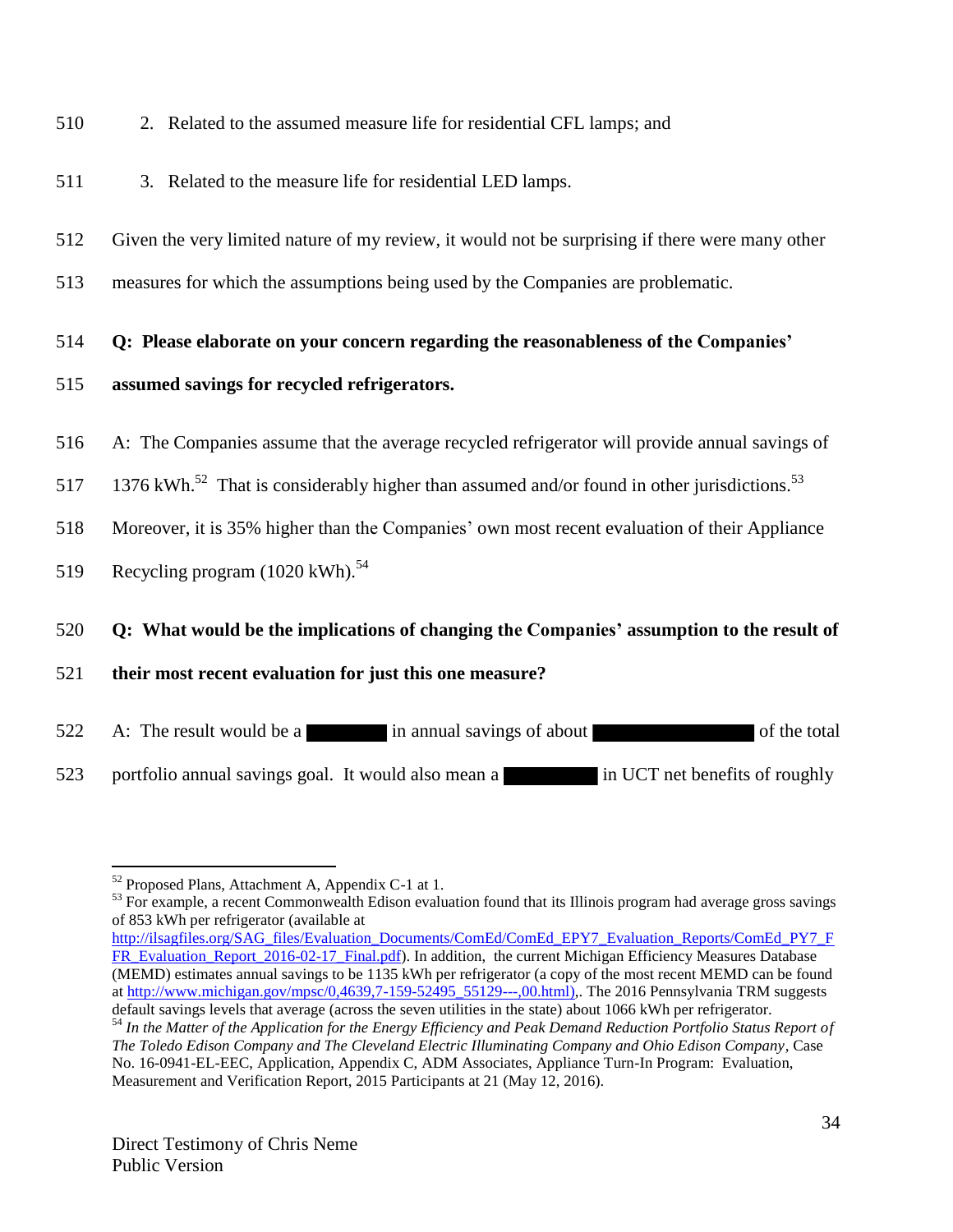- 510 2. Related to the assumed measure life for residential CFL lamps; and
- 511 3. Related to the measure life for residential LED lamps.
- 512 Given the very limited nature of my review, it would not be surprising if there were many other
- 513 measures for which the assumptions being used by the Companies are problematic.
- 514 **Q: Please elaborate on your concern regarding the reasonableness of the Companies'**
- 515 **assumed savings for recycled refrigerators.**
- 516 A: The Companies assume that the average recycled refrigerator will provide annual savings of
- 517 1376 kWh.<sup>52</sup> That is considerably higher than assumed and/or found in other jurisdictions.<sup>53</sup>
- 518 Moreover, it is 35% higher than the Companies' own most recent evaluation of their Appliance
- 519 Recycling program  $(1020 \text{ kWh})$ .<sup>54</sup>

 $\overline{a}$ 

# 520 **Q: What would be the implications of changing the Companies' assumption to the result of**

- 521 **their most recent evaluation for just this one measure?**
- 522 A: The result would be a in annual savings of about of the total
- 523 portfolio annual savings goal. It would also mean a in UCT net benefits of roughly

<sup>53</sup> For example, a recent Commonwealth Edison evaluation found that its Illinois program had average gross savings of 853 kWh per refrigerator (available at

 $52$  Proposed Plans, Attachment A, Appendix C-1 at 1.

[http://ilsagfiles.org/SAG\\_files/Evaluation\\_Documents/ComEd/ComEd\\_EPY7\\_Evaluation\\_Reports/ComEd\\_PY7\\_F](http://ilsagfiles.org/SAG_files/Evaluation_Documents/ComEd/ComEd_EPY7_Evaluation_Reports/ComEd_PY7_FFR_Evaluation_Report_2016-02-17_Final.pdf) [FR\\_Evaluation\\_Report\\_2016-02-17\\_Final.pdf\)](http://ilsagfiles.org/SAG_files/Evaluation_Documents/ComEd/ComEd_EPY7_Evaluation_Reports/ComEd_PY7_FFR_Evaluation_Report_2016-02-17_Final.pdf). In addition, the current Michigan Efficiency Measures Database (MEMD) estimates annual savings to be 1135 kWh per refrigerator (a copy of the most recent MEMD can be found a[t http://www.michigan.gov/mpsc/0,4639,7-159-52495\\_55129---,00.html\),](http://www.michigan.gov/mpsc/0,4639,7-159-52495_55129---,00.html)). The 2016 Pennsylvania TRM suggests default savings levels that average (across the seven utilities in the state) about 1066 kWh per refrigerator.

<sup>54</sup> *In the Matter of the Application for the Energy Efficiency and Peak Demand Reduction Portfolio Status Report of The Toledo Edison Company and The Cleveland Electric Illuminating Company and Ohio Edison Company*, Case No. 16-0941-EL-EEC, Application, Appendix C, ADM Associates, Appliance Turn-In Program: Evaluation, Measurement and Verification Report, 2015 Participants at 21 (May 12, 2016).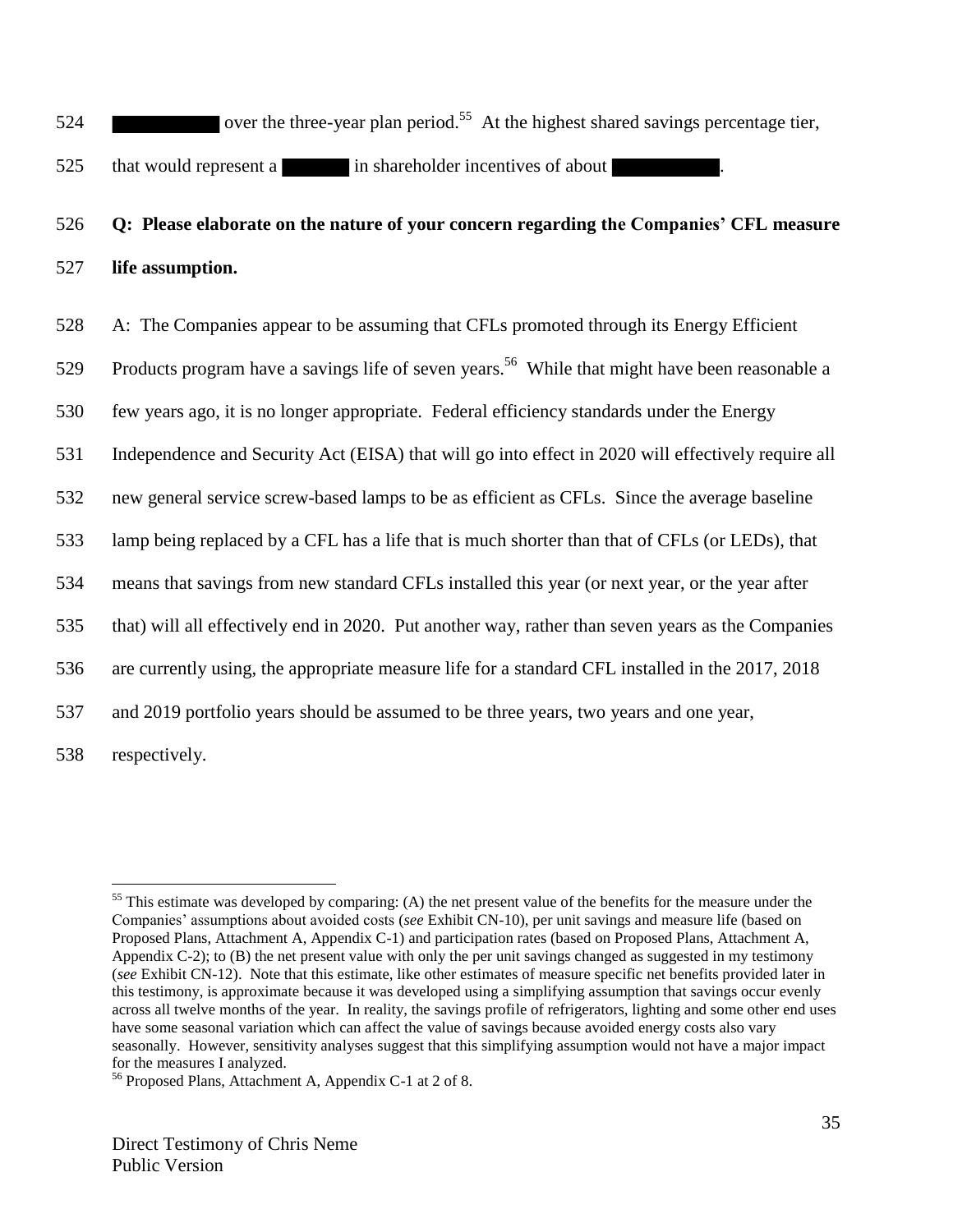$524$  over the three-year plan period.<sup>55</sup> At the highest shared savings percentage tier.

525 that would represent a in shareholder incentives of about

# 526 **Q: Please elaborate on the nature of your concern regarding the Companies' CFL measure**  527 **life assumption.**

528 A: The Companies appear to be assuming that CFLs promoted through its Energy Efficient

529 Products program have a savings life of seven years.<sup>56</sup> While that might have been reasonable a

530 few years ago, it is no longer appropriate. Federal efficiency standards under the Energy

531 Independence and Security Act (EISA) that will go into effect in 2020 will effectively require all

532 new general service screw-based lamps to be as efficient as CFLs. Since the average baseline

533 lamp being replaced by a CFL has a life that is much shorter than that of CFLs (or LEDs), that

534 means that savings from new standard CFLs installed this year (or next year, or the year after

535 that) will all effectively end in 2020. Put another way, rather than seven years as the Companies

536 are currently using, the appropriate measure life for a standard CFL installed in the 2017, 2018

537 and 2019 portfolio years should be assumed to be three years, two years and one year,

538 respectively.

 $\overline{a}$ <sup>55</sup> This estimate was developed by comparing: (A) the net present value of the benefits for the measure under the Companies' assumptions about avoided costs (*see* Exhibit CN-10), per unit savings and measure life (based on Proposed Plans, Attachment A, Appendix C-1) and participation rates (based on Proposed Plans, Attachment A, Appendix C-2); to (B) the net present value with only the per unit savings changed as suggested in my testimony (*see* Exhibit CN-12). Note that this estimate, like other estimates of measure specific net benefits provided later in this testimony, is approximate because it was developed using a simplifying assumption that savings occur evenly across all twelve months of the year. In reality, the savings profile of refrigerators, lighting and some other end uses have some seasonal variation which can affect the value of savings because avoided energy costs also vary seasonally. However, sensitivity analyses suggest that this simplifying assumption would not have a major impact for the measures I analyzed.

<sup>56</sup> Proposed Plans, Attachment A, Appendix C-1 at 2 of 8.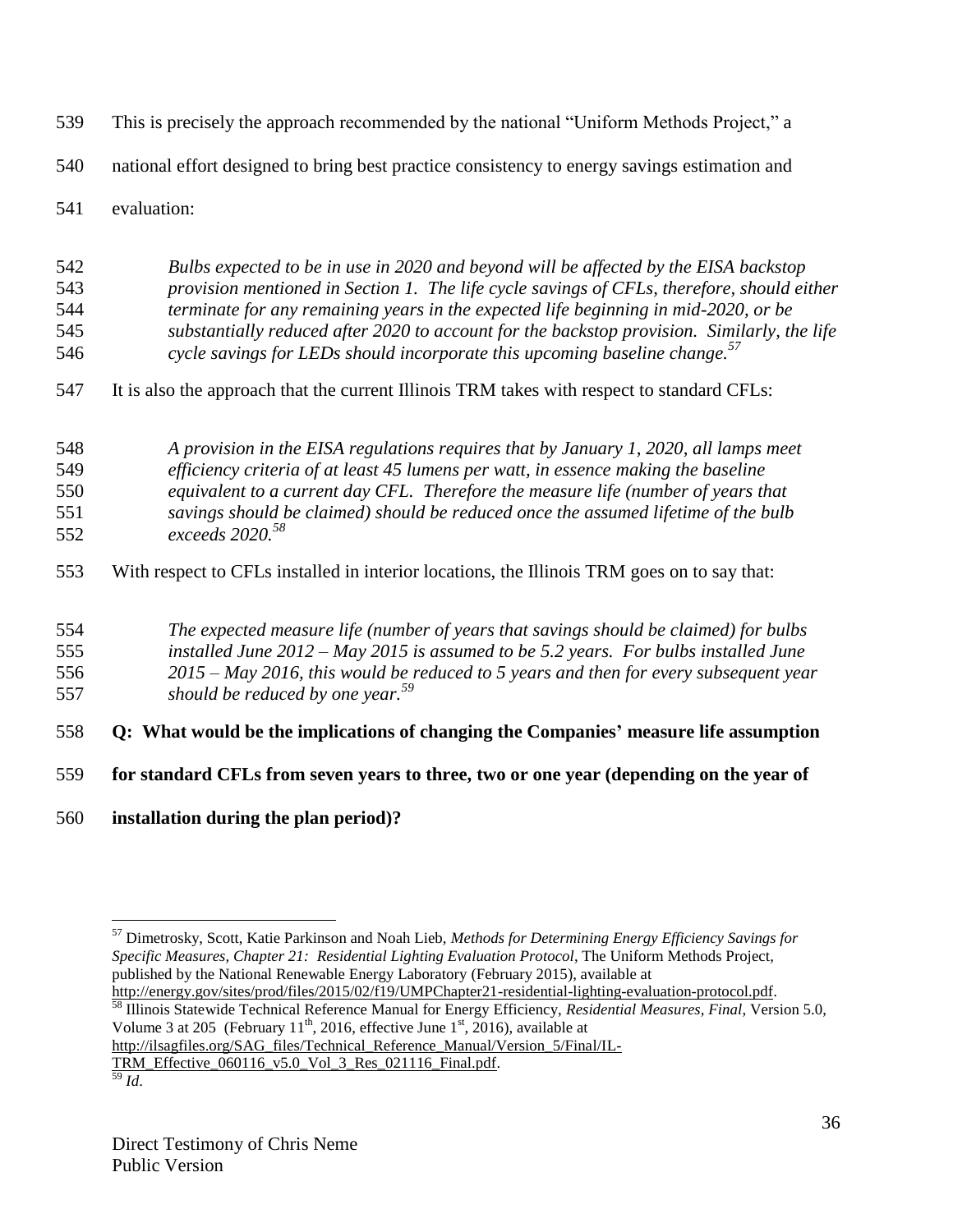- This is precisely the approach recommended by the national "Uniform Methods Project," a
- national effort designed to bring best practice consistency to energy savings estimation and
- evaluation:
- *Bulbs expected to be in use in 2020 and beyond will be affected by the EISA backstop provision mentioned in Section 1. The life cycle savings of CFLs, therefore, should either terminate for any remaining years in the expected life beginning in mid-2020, or be substantially reduced after 2020 to account for the backstop provision. Similarly, the life cycle savings for LEDs should incorporate this upcoming baseline change.<sup>57</sup>*
- It is also the approach that the current Illinois TRM takes with respect to standard CFLs:
- *A provision in the EISA regulations requires that by January 1, 2020, all lamps meet efficiency criteria of at least 45 lumens per watt, in essence making the baseline equivalent to a current day CFL. Therefore the measure life (number of years that savings should be claimed) should be reduced once the assumed lifetime of the bulb exceeds 2020.<sup>58</sup>*
- With respect to CFLs installed in interior locations, the Illinois TRM goes on to say that:
- *The expected measure life (number of years that savings should be claimed) for bulbs installed June 2012 – May 2015 is assumed to be 5.2 years. For bulbs installed June 2015 – May 2016, this would be reduced to 5 years and then for every subsequent year*
- *should be reduced by one year.<sup>59</sup>*
- **Q: What would be the implications of changing the Companies' measure life assumption**
- **for standard CFLs from seven years to three, two or one year (depending on the year of**
- **installation during the plan period)?**

 $\overline{a}$ 

 Illinois Statewide Technical Reference Manual for Energy Efficiency, *Residential Measures, Final*, Version 5.0, Volume 3 at 205 (February 11<sup>th</sup>, 2016, effective June 1<sup>st</sup>, 2016), available at

http://ilsagfiles.org/SAG\_files/Technical\_Reference\_Manual/Version\_5/Final/IL-

TRM\_Effective\_060116\_v5.0\_Vol\_3\_Res\_021116\_Final.pdf. *Id*.

 Dimetrosky, Scott, Katie Parkinson and Noah Lieb, *Methods for Determining Energy Efficiency Savings for Specific Measures, Chapter 21: Residential Lighting Evaluation Protocol*, The Uniform Methods Project, published by the National Renewable Energy Laboratory (February 2015), available at http://energy.gov/sites/prod/files/2015/02/f19/UMPChapter21-residential-lighting-evaluation-protocol.pdf.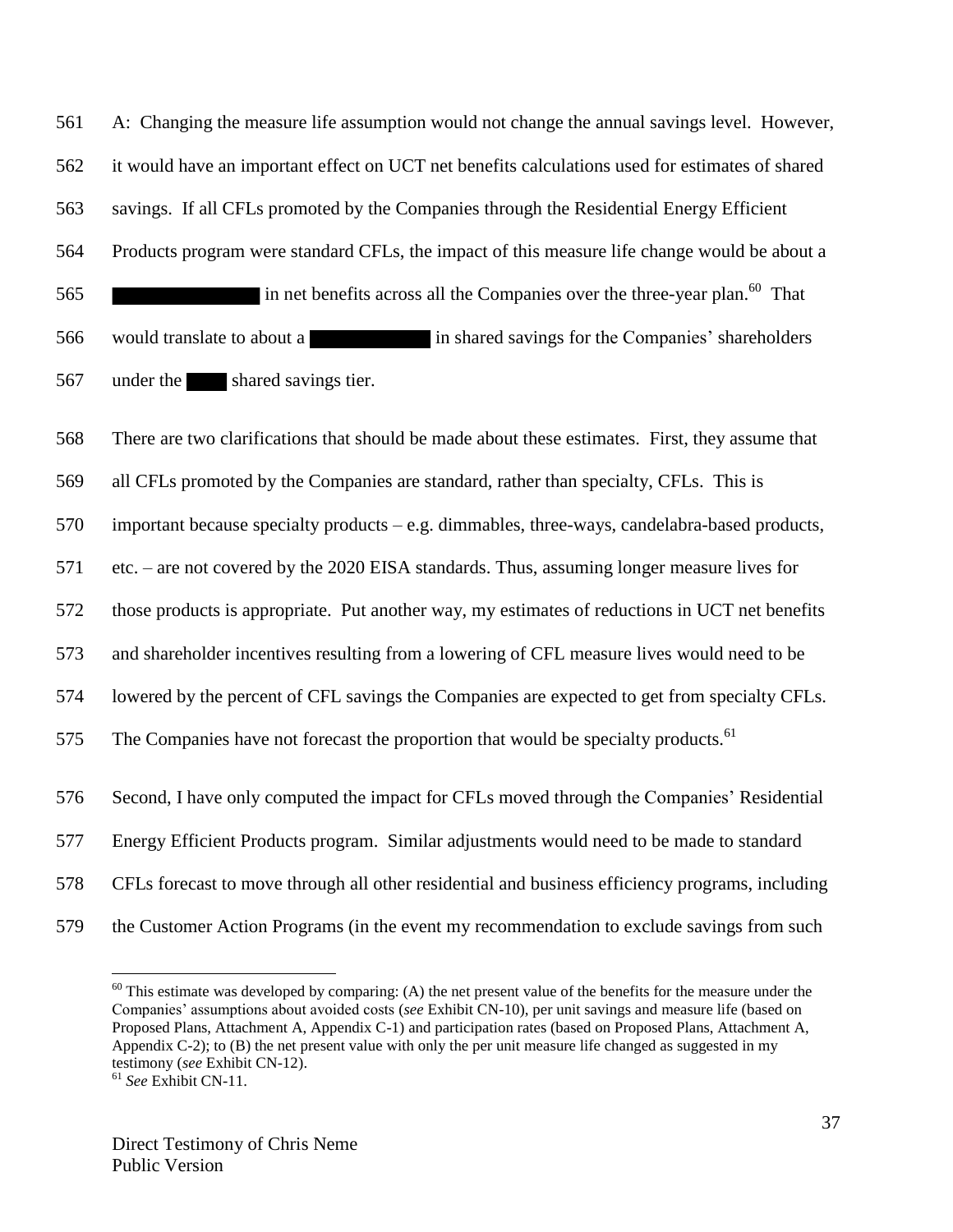A: Changing the measure life assumption would not change the annual savings level. However, it would have an important effect on UCT net benefits calculations used for estimates of shared savings. If all CFLs promoted by the Companies through the Residential Energy Efficient Products program were standard CFLs, the impact of this measure life change would be about a 565 in net benefits across all the Companies over the three-year plan.<sup>60</sup> That 566 would translate to about a in shared savings for the Companies' shareholders 567 under the shared savings tier.

 There are two clarifications that should be made about these estimates. First, they assume that all CFLs promoted by the Companies are standard, rather than specialty, CFLs. This is important because specialty products – e.g. dimmables, three-ways, candelabra-based products, etc. – are not covered by the 2020 EISA standards. Thus, assuming longer measure lives for those products is appropriate. Put another way, my estimates of reductions in UCT net benefits and shareholder incentives resulting from a lowering of CFL measure lives would need to be lowered by the percent of CFL savings the Companies are expected to get from specialty CFLs. The Companies have not forecast the proportion that would be specialty products.<sup>61</sup> Second, I have only computed the impact for CFLs moved through the Companies' Residential Energy Efficient Products program. Similar adjustments would need to be made to standard CFLs forecast to move through all other residential and business efficiency programs, including the Customer Action Programs (in the event my recommendation to exclude savings from such

 This estimate was developed by comparing: (A) the net present value of the benefits for the measure under the Companies' assumptions about avoided costs (*see* Exhibit CN-10), per unit savings and measure life (based on Proposed Plans, Attachment A, Appendix C-1) and participation rates (based on Proposed Plans, Attachment A, Appendix C-2); to (B) the net present value with only the per unit measure life changed as suggested in my testimony (*see* Exhibit CN-12).

*See* Exhibit CN-11.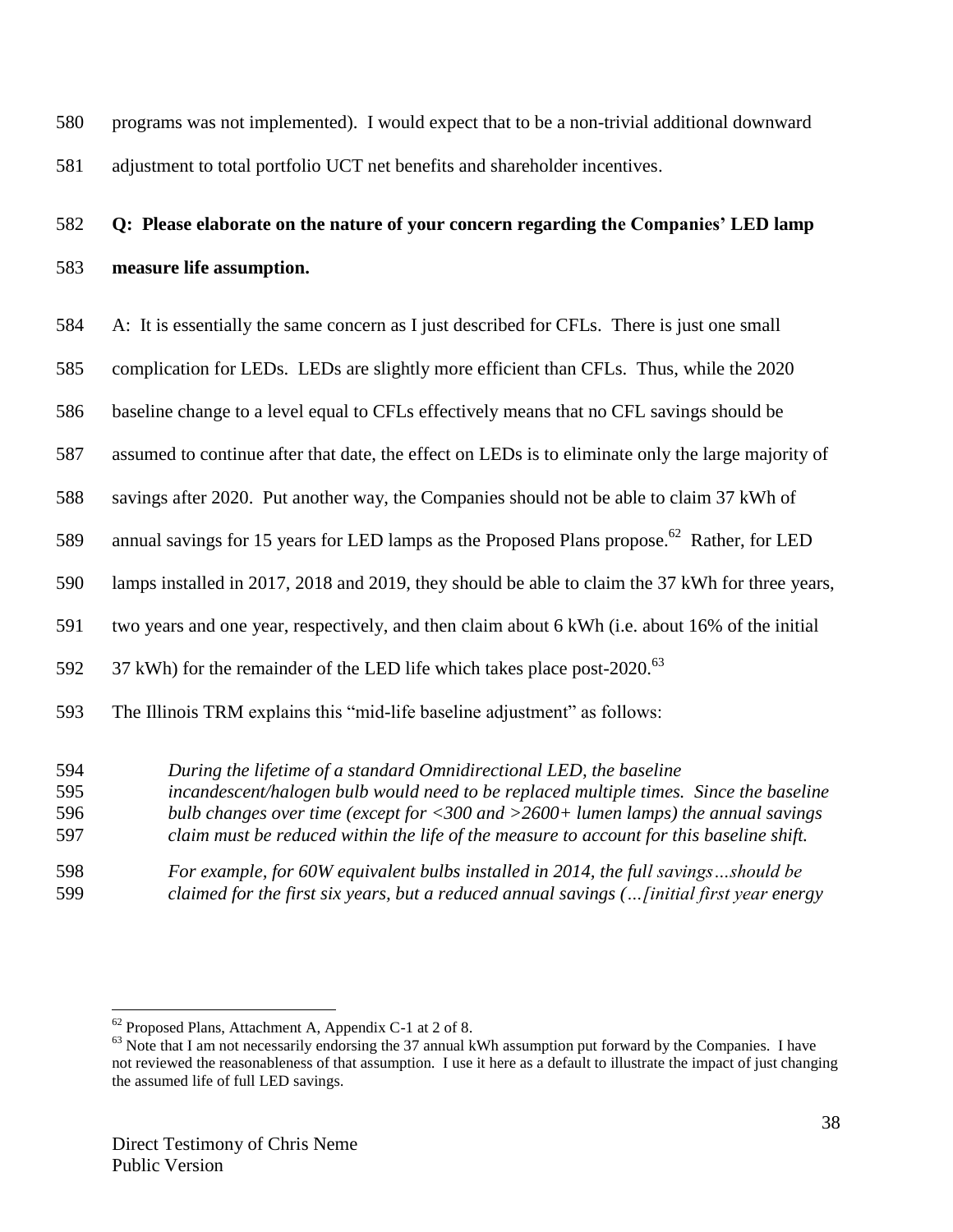programs was not implemented). I would expect that to be a non-trivial additional downward adjustment to total portfolio UCT net benefits and shareholder incentives.

# **Q: Please elaborate on the nature of your concern regarding the Companies' LED lamp measure life assumption.**

- A: It is essentially the same concern as I just described for CFLs. There is just one small
- complication for LEDs. LEDs are slightly more efficient than CFLs. Thus, while the 2020
- baseline change to a level equal to CFLs effectively means that no CFL savings should be
- assumed to continue after that date, the effect on LEDs is to eliminate only the large majority of
- savings after 2020. Put another way, the Companies should not be able to claim 37 kWh of
- 589 annual savings for 15 years for LED lamps as the Proposed Plans propose.<sup>62</sup> Rather, for LED
- lamps installed in 2017, 2018 and 2019, they should be able to claim the 37 kWh for three years,
- two years and one year, respectively, and then claim about 6 kWh (i.e. about 16% of the initial
- kWh) for the remainder of the LED life which takes place post-2020.<sup>63</sup>
- The Illinois TRM explains this "mid-life baseline adjustment" as follows:
- *During the lifetime of a standard Omnidirectional LED, the baseline incandescent/halogen bulb would need to be replaced multiple times. Since the baseline*
- *bulb changes over time (except for <300 and >2600+ lumen lamps) the annual savings*
- *claim must be reduced within the life of the measure to account for this baseline shift.*
- *For example, for 60W equivalent bulbs installed in 2014, the full savings…should be claimed for the first six years, but a reduced annual savings (…[initial first year energy*

Proposed Plans, Attachment A, Appendix C-1 at 2 of 8.

<sup>&</sup>lt;sup>63</sup> Note that I am not necessarily endorsing the 37 annual kWh assumption put forward by the Companies. I have not reviewed the reasonableness of that assumption. I use it here as a default to illustrate the impact of just changing the assumed life of full LED savings.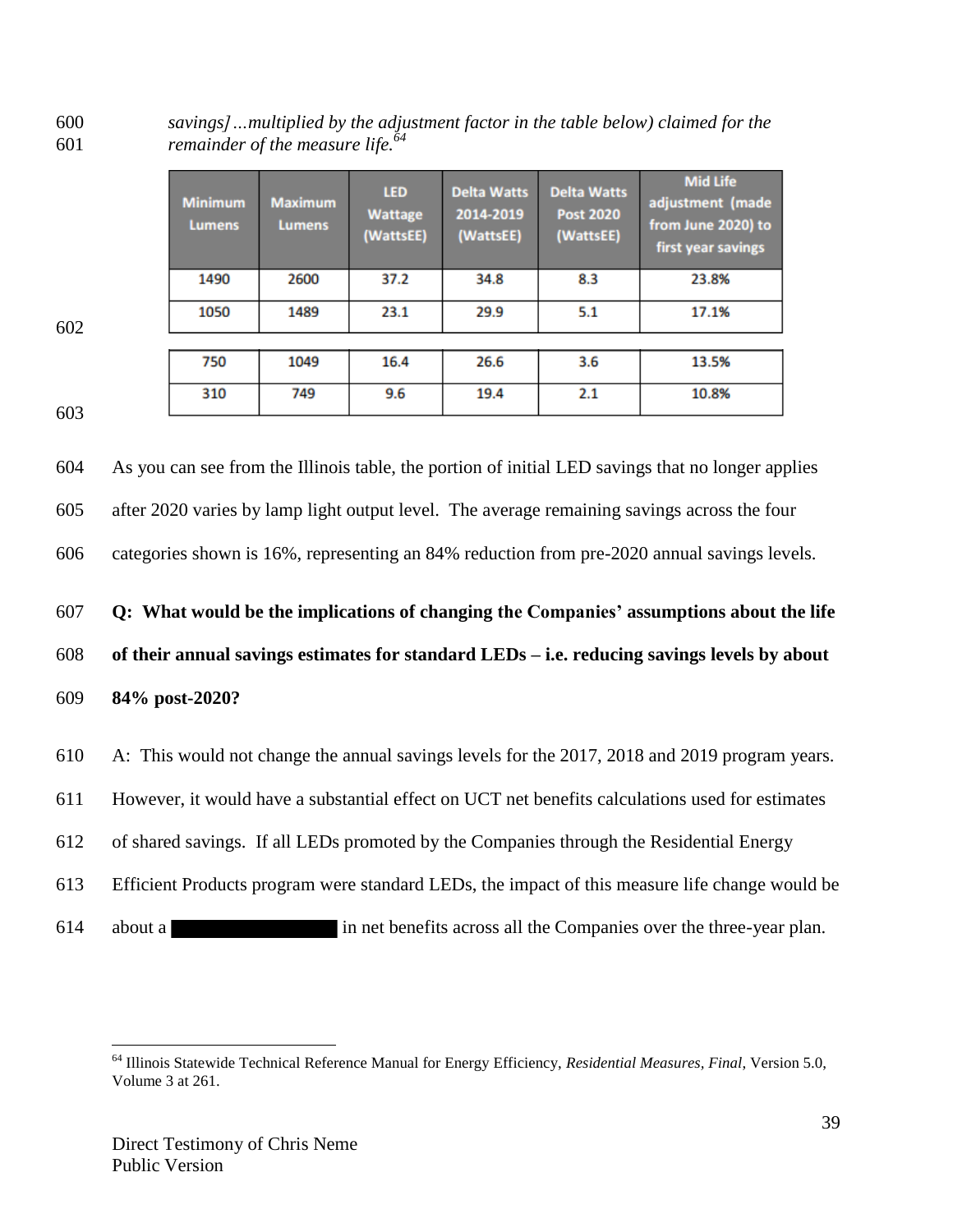*savings]…multiplied by the adjustment factor in the table below) claimed for the remainder of the measure life.<sup>64</sup>* 

| <b>Minimum</b><br><b>Lumens</b> | <b>Maximum</b><br><b>Lumens</b> | <b>LED</b><br><b>Wattage</b><br>(WattsEE) | <b>Delta Watts</b><br>2014-2019<br>(WattsEE) | <b>Delta Watts</b><br><b>Post 2020</b><br>(WattsEE) | <b>Mid Life</b><br>adjustment (made<br>from June 2020) to<br>first year savings |
|---------------------------------|---------------------------------|-------------------------------------------|----------------------------------------------|-----------------------------------------------------|---------------------------------------------------------------------------------|
| 1490                            | 2600                            | 37.2                                      | 34.8                                         | 8.3                                                 | 23.8%                                                                           |
| 1050                            | 1489                            | 23.1                                      | 29.9                                         | 5.1                                                 | 17.1%                                                                           |
|                                 |                                 |                                           |                                              |                                                     |                                                                                 |
| 750                             | 1049                            | 16.4                                      | 26.6                                         | 3.6                                                 | 13.5%                                                                           |
| 310                             | 749                             | 9.6                                       | 19.4                                         | 2.1                                                 | 10.8%                                                                           |

 As you can see from the Illinois table, the portion of initial LED savings that no longer applies after 2020 varies by lamp light output level. The average remaining savings across the four categories shown is 16%, representing an 84% reduction from pre-2020 annual savings levels. **Q: What would be the implications of changing the Companies' assumptions about the life of their annual savings estimates for standard LEDs – i.e. reducing savings levels by about 84% post-2020?** A: This would not change the annual savings levels for the 2017, 2018 and 2019 program years. However, it would have a substantial effect on UCT net benefits calculations used for estimates

- of shared savings. If all LEDs promoted by the Companies through the Residential Energy
- Efficient Products program were standard LEDs, the impact of this measure life change would be
- about a in net benefits across all the Companies over the three-year plan.

 Illinois Statewide Technical Reference Manual for Energy Efficiency, *Residential Measures, Final*, Version 5.0, Volume 3 at 261.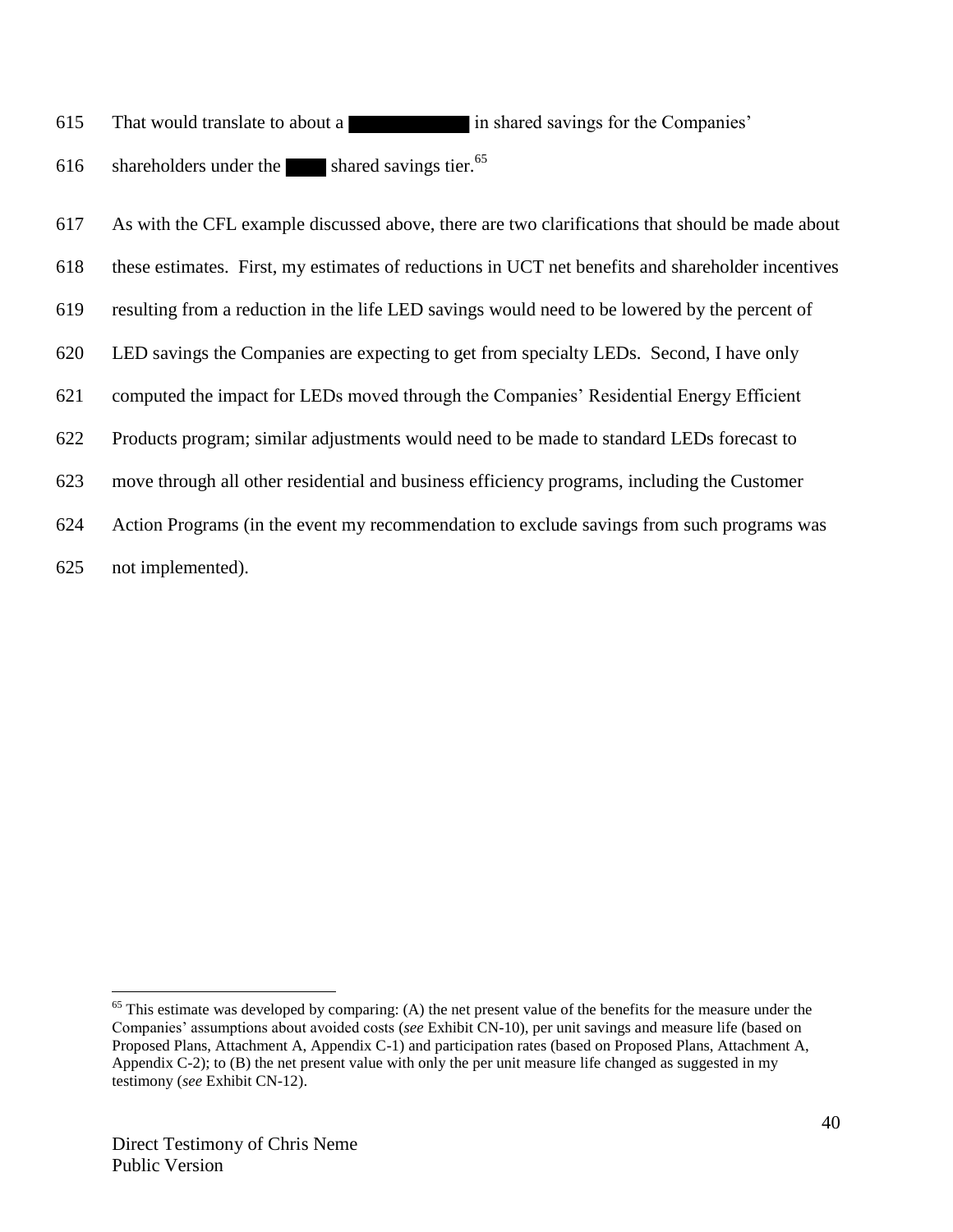- That would translate to about a in shared savings for the Companies'
- 616 shareholders under the shared savings tier.
- As with the CFL example discussed above, there are two clarifications that should be made about
- these estimates. First, my estimates of reductions in UCT net benefits and shareholder incentives
- resulting from a reduction in the life LED savings would need to be lowered by the percent of
- LED savings the Companies are expecting to get from specialty LEDs. Second, I have only
- computed the impact for LEDs moved through the Companies' Residential Energy Efficient
- Products program; similar adjustments would need to be made to standard LEDs forecast to
- move through all other residential and business efficiency programs, including the Customer
- Action Programs (in the event my recommendation to exclude savings from such programs was
- not implemented).

 This estimate was developed by comparing: (A) the net present value of the benefits for the measure under the Companies' assumptions about avoided costs (*see* Exhibit CN-10), per unit savings and measure life (based on Proposed Plans, Attachment A, Appendix C-1) and participation rates (based on Proposed Plans, Attachment A, Appendix  $C-2$ ); to  $(B)$  the net present value with only the per unit measure life changed as suggested in my testimony (*see* Exhibit CN-12).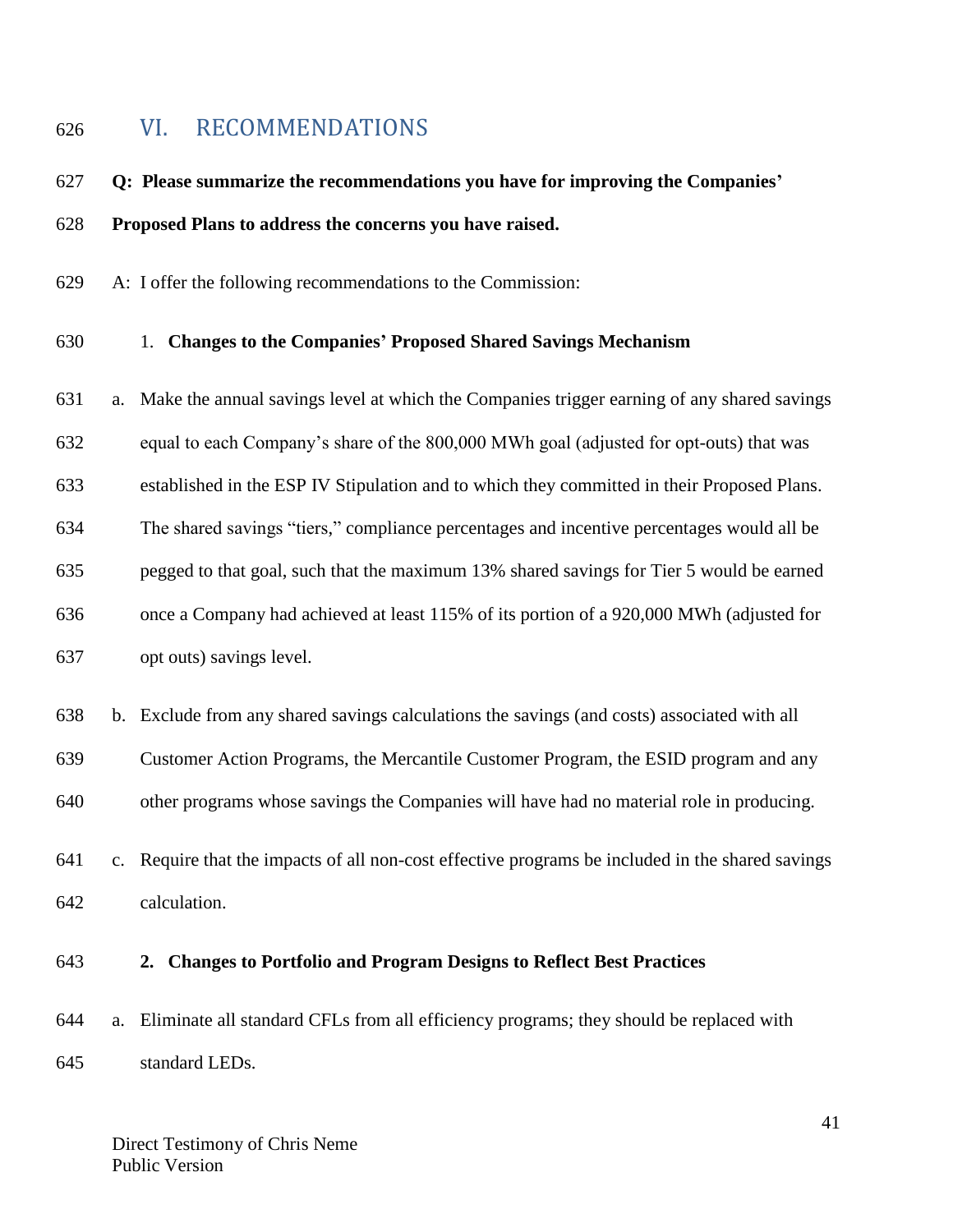# <span id="page-40-0"></span>VI. RECOMMENDATIONS

# **Q: Please summarize the recommendations you have for improving the Companies' Proposed Plans to address the concerns you have raised.**

A: I offer the following recommendations to the Commission:

#### 1. **Changes to the Companies' Proposed Shared Savings Mechanism**

 a. Make the annual savings level at which the Companies trigger earning of any shared savings equal to each Company's share of the 800,000 MWh goal (adjusted for opt-outs) that was established in the ESP IV Stipulation and to which they committed in their Proposed Plans. The shared savings "tiers," compliance percentages and incentive percentages would all be pegged to that goal, such that the maximum 13% shared savings for Tier 5 would be earned once a Company had achieved at least 115% of its portion of a 920,000 MWh (adjusted for opt outs) savings level.

- b. Exclude from any shared savings calculations the savings (and costs) associated with all
- Customer Action Programs, the Mercantile Customer Program, the ESID program and any
- other programs whose savings the Companies will have had no material role in producing.
- c. Require that the impacts of all non-cost effective programs be included in the shared savings calculation.
- 

### **2. Changes to Portfolio and Program Designs to Reflect Best Practices**

- a. Eliminate all standard CFLs from all efficiency programs; they should be replaced with
- standard LEDs.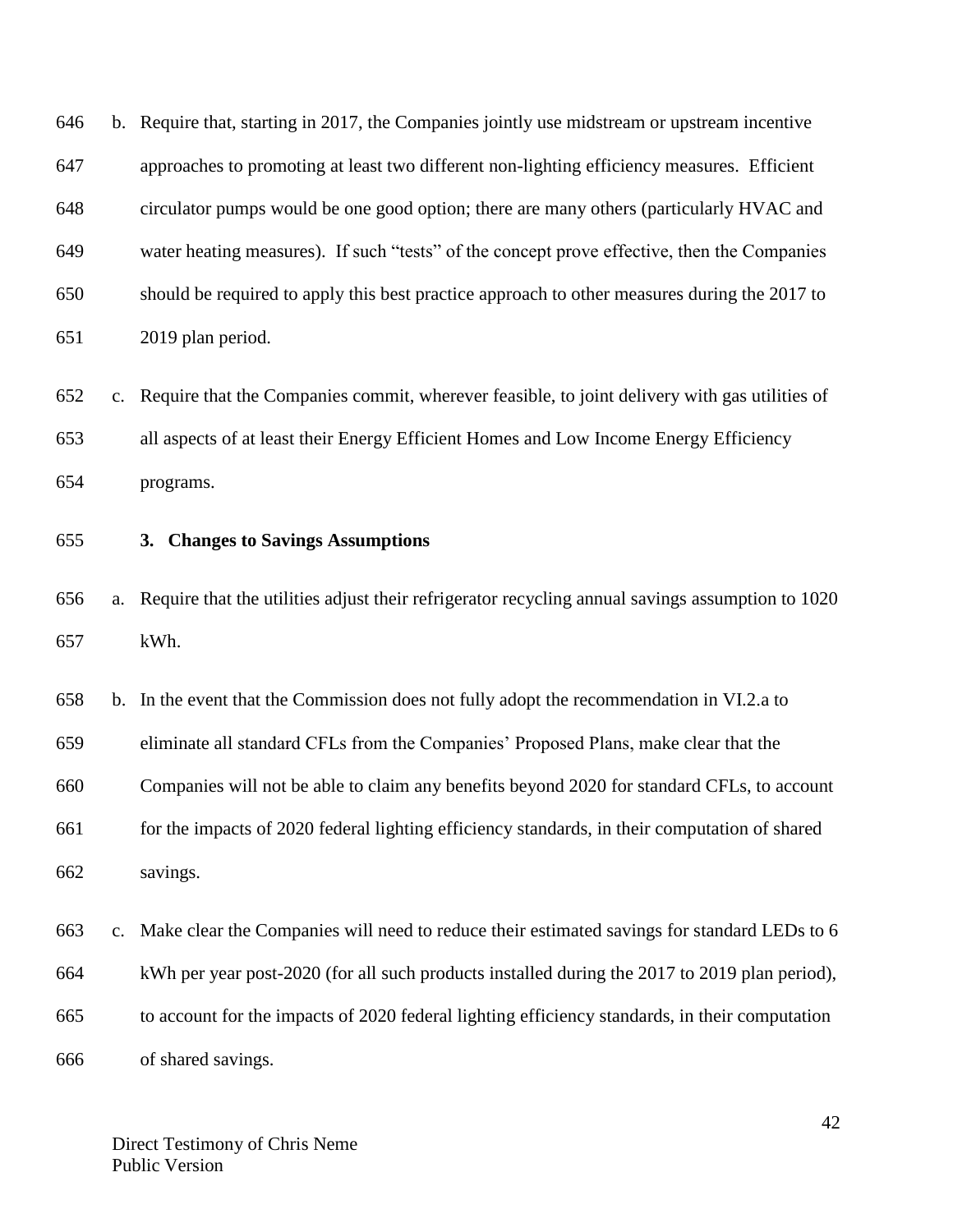b. Require that, starting in 2017, the Companies jointly use midstream or upstream incentive approaches to promoting at least two different non-lighting efficiency measures. Efficient circulator pumps would be one good option; there are many others (particularly HVAC and water heating measures). If such "tests" of the concept prove effective, then the Companies should be required to apply this best practice approach to other measures during the 2017 to 2019 plan period.

 c. Require that the Companies commit, wherever feasible, to joint delivery with gas utilities of all aspects of at least their Energy Efficient Homes and Low Income Energy Efficiency programs.

**3. Changes to Savings Assumptions**

 a. Require that the utilities adjust their refrigerator recycling annual savings assumption to 1020 kWh.

 b. In the event that the Commission does not fully adopt the recommendation in VI.2.a to eliminate all standard CFLs from the Companies' Proposed Plans, make clear that the Companies will not be able to claim any benefits beyond 2020 for standard CFLs, to account for the impacts of 2020 federal lighting efficiency standards, in their computation of shared savings.

 c. Make clear the Companies will need to reduce their estimated savings for standard LEDs to 6 kWh per year post-2020 (for all such products installed during the 2017 to 2019 plan period), to account for the impacts of 2020 federal lighting efficiency standards, in their computation of shared savings.

Direct Testimony of Chris Neme Public Version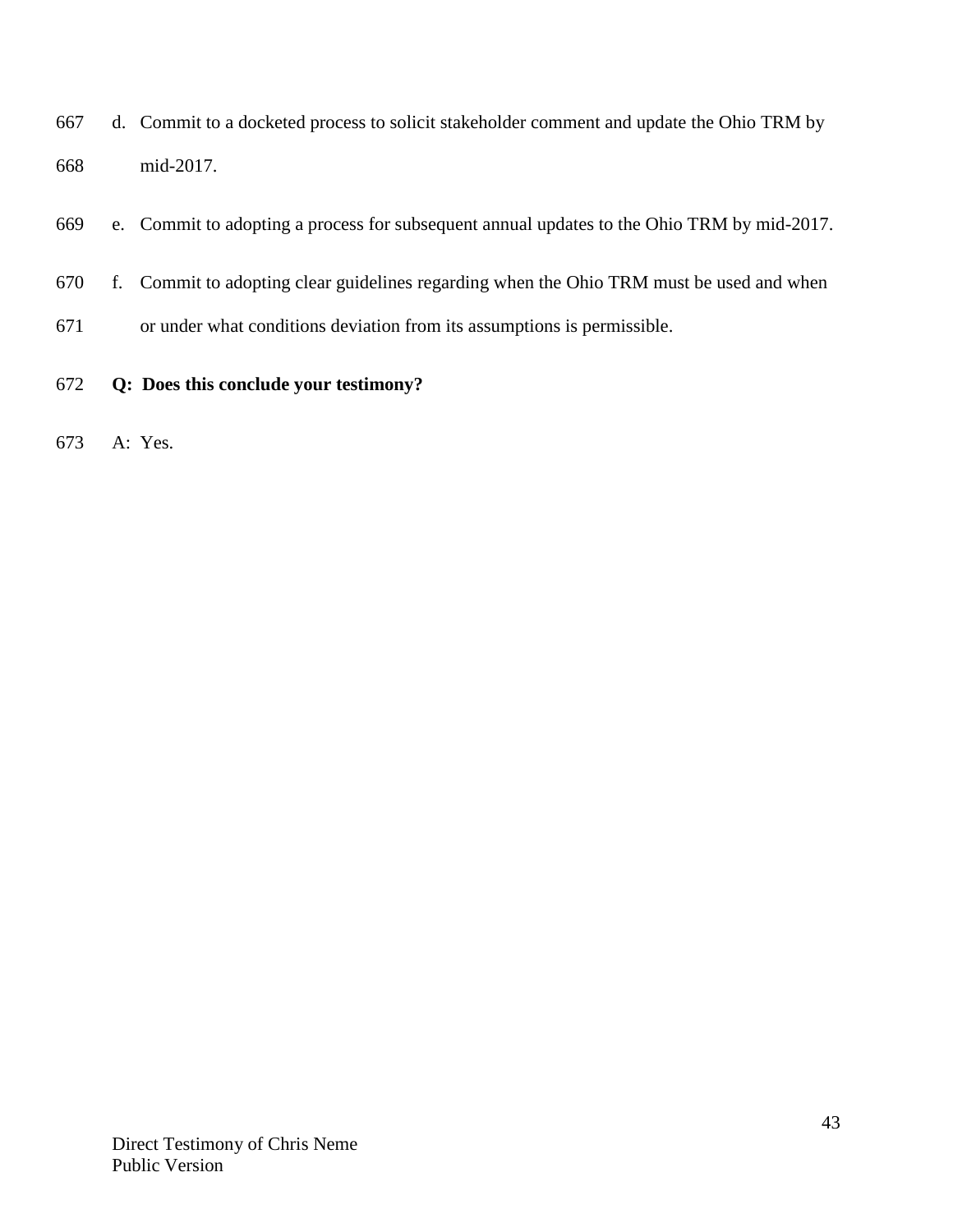- d. Commit to a docketed process to solicit stakeholder comment and update the Ohio TRM by mid-2017.
- e. Commit to adopting a process for subsequent annual updates to the Ohio TRM by mid-2017.
- f. Commit to adopting clear guidelines regarding when the Ohio TRM must be used and when
- or under what conditions deviation from its assumptions is permissible.
- **Q: Does this conclude your testimony?**
- A: Yes.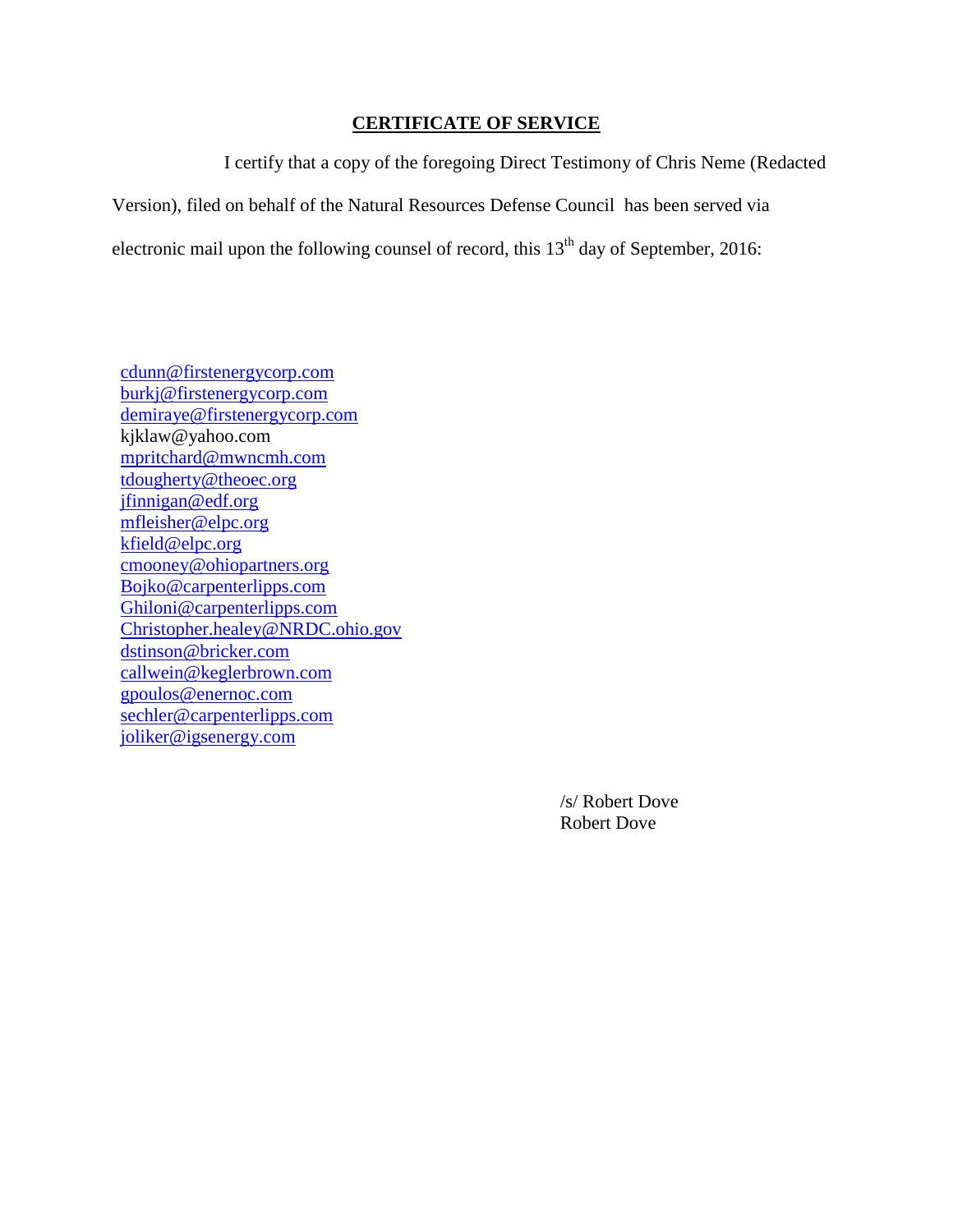### **CERTIFICATE OF SERVICE**

I certify that a copy of the foregoing Direct Testimony of Chris Neme (Redacted Version), filed on behalf of the Natural Resources Defense Council has been served via electronic mail upon the following counsel of record, this  $13<sup>th</sup>$  day of September, 2016:

[cdunn@firstenergycorp.com](mailto:cdunn@firstenergycorp.com) [burkj@firstenergycorp.com](mailto:burkj@forstenergycorp.com) [demiraye@firstenergycorp.com](mailto:demiraye@firstenergycorp.com) kjklaw@yahoo.com [mpritchard@mwncmh.com](mailto:mpritchard@mwncmh.com) [tdougherty@theoec.org](mailto:tdougherty@theoec.org) [jfinnigan@edf.org](mailto:jfinnigan@edf.org) [mfleisher@elpc.org](mailto:mfleisher@elpc.org) [kfield@elpc.org](mailto:kfield@elpc.org) [cmooney@ohiopartners.org](mailto:cmooney@ohiopartners.org) [Bojko@carpenterlipps.com](mailto:Bojko@carpenterlipps.com) [Ghiloni@carpenterlipps.com](mailto:Ghiloni@carpenterlipps.com) [Christopher.healey@NRDC.ohio.gov](mailto:Christopher.healey@occ.ohio.gov) [dstinson@bricker.com](mailto:dstinson@bricker.com) callwein@keglerbrown.com gpoulos@enernoc.com sechler@carpenterlipps.com joliker@igsenergy.com

> /s/ Robert Dove Robert Dove